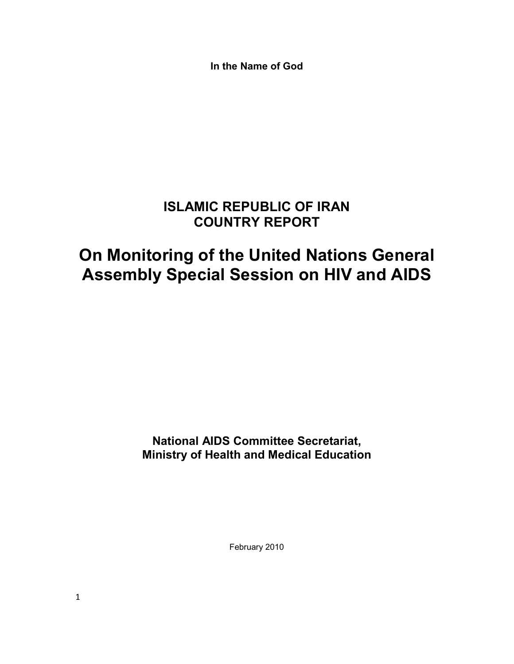**In the Name of God** 

# **ISLAMIC REPUBLIC OF IRAN COUNTRY REPORT**

# **On Monitoring of the United Nations General Assembly Special Session on HIV and AIDS**

**National AIDS Committee Secretariat, Ministry of Health and Medical Education** 

February 2010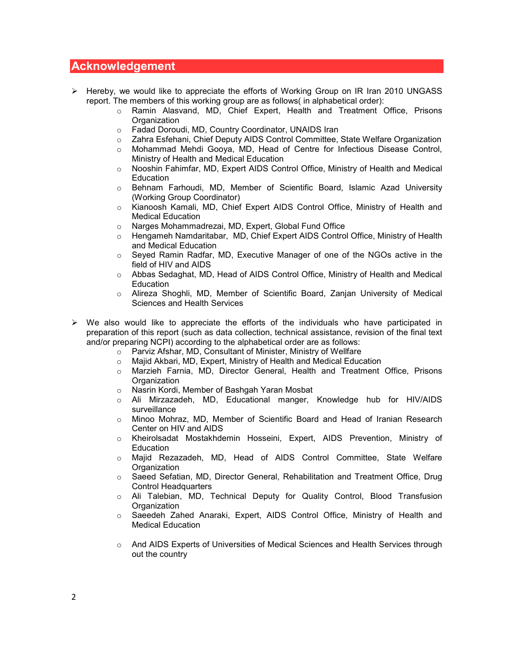## **Acknowledgement**

- > Hereby, we would like to appreciate the efforts of Working Group on IR Iran 2010 UNGASS report. The members of this working group are as follows( in alphabetical order):
	- o Ramin Alasvand, MD, Chief Expert, Health and Treatment Office, Prisons **Organization**
	- o Fadad Doroudi, MD, Country Coordinator, UNAIDS Iran
	- o Zahra Esfehani, Chief Deputy AIDS Control Committee, State Welfare Organization
	- o Mohammad Mehdi Gooya, MD, Head of Centre for Infectious Disease Control, Ministry of Health and Medical Education
	- o Nooshin Fahimfar, MD, Expert AIDS Control Office, Ministry of Health and Medical Education
	- o Behnam Farhoudi, MD, Member of Scientific Board, Islamic Azad University (Working Group Coordinator)
	- o Kianoosh Kamali, MD, Chief Expert AIDS Control Office, Ministry of Health and Medical Education
	- o Narges Mohammadrezai, MD, Expert, Global Fund Office
	- o Hengameh Namdaritabar, MD, Chief Expert AIDS Control Office, Ministry of Health and Medical Education
	- o Seyed Ramin Radfar, MD, Executive Manager of one of the NGOs active in the field of HIV and AIDS
	- o Abbas Sedaghat, MD, Head of AIDS Control Office, Ministry of Health and Medical **Education**
	- o Alireza Shoghli, MD, Member of Scientific Board, Zanjan University of Medical Sciences and Health Services
- $\triangleright$  We also would like to appreciate the efforts of the individuals who have participated in preparation of this report (such as data collection, technical assistance, revision of the final text and/or preparing NCPI) according to the alphabetical order are as follows:
	- o Parviz Afshar, MD, Consultant of Minister, Ministry of Wellfare
	- o Majid Akbari, MD, Expert, Ministry of Health and Medical Education
	- o Marzieh Farnia, MD, Director General, Health and Treatment Office, Prisons **Organization**
	- o Nasrin Kordi, Member of Bashgah Yaran Mosbat
	- o Ali Mirzazadeh, MD, Educational manger, Knowledge hub for HIV/AIDS surveillance
	- o Minoo Mohraz, MD, Member of Scientific Board and Head of Iranian Research Center on HIV and AIDS
	- o Kheirolsadat Mostakhdemin Hosseini, Expert, AIDS Prevention, Ministry of **Education**
	- o Majid Rezazadeh, MD, Head of AIDS Control Committee, State Welfare **Organization**
	- o Saeed Sefatian, MD, Director General, Rehabilitation and Treatment Office, Drug Control Headquarters
	- o Ali Talebian, MD, Technical Deputy for Quality Control, Blood Transfusion **Organization**
	- o Saeedeh Zahed Anaraki, Expert, AIDS Control Office, Ministry of Health and Medical Education
	- o And AIDS Experts of Universities of Medical Sciences and Health Services through out the country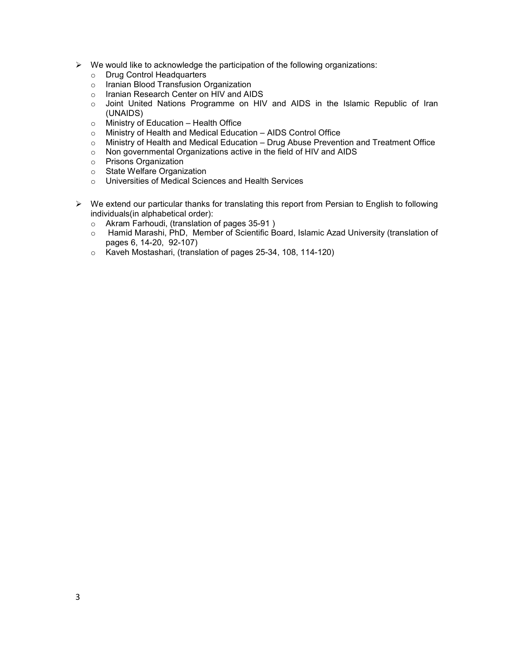- $\triangleright$  We would like to acknowledge the participation of the following organizations:
	- o Drug Control Headquarters
	- o Iranian Blood Transfusion Organization
	- o Iranian Research Center on HIV and AIDS
	- o Joint United Nations Programme on HIV and AIDS in the Islamic Republic of Iran (UNAIDS)
	- o Ministry of Education Health Office
	- o Ministry of Health and Medical Education AIDS Control Office
	- o Ministry of Health and Medical Education Drug Abuse Prevention and Treatment Office
	- o Non governmental Organizations active in the field of HIV and AIDS
	- o Prisons Organization
	- o State Welfare Organization
	- o Universities of Medical Sciences and Health Services
- $\triangleright$  We extend our particular thanks for translating this report from Persian to English to following individuals(in alphabetical order):
	- o Akram Farhoudi, (translation of pages 35-91 )
	- o Hamid Marashi, PhD, Member of Scientific Board, Islamic Azad University (translation of pages 6, 14-20, 92-107)
	- o Kaveh Mostashari, (translation of pages 25-34, 108, 114-120)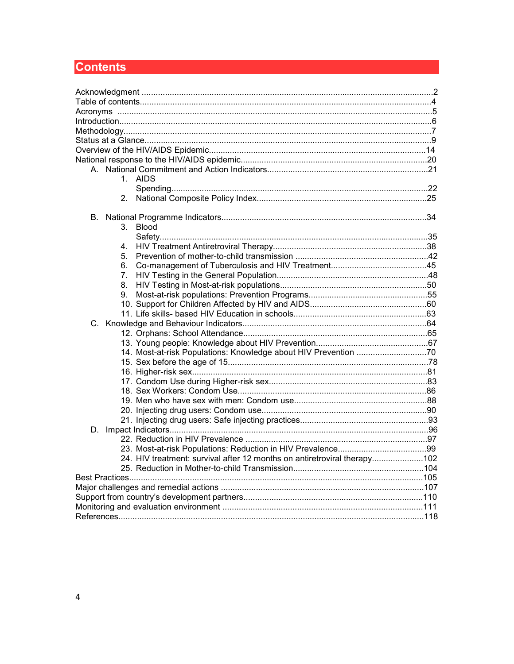# **Contents**

| 1. AIDS                                                                  |  |
|--------------------------------------------------------------------------|--|
|                                                                          |  |
| 2.                                                                       |  |
| В.                                                                       |  |
| 3.<br>Blood                                                              |  |
|                                                                          |  |
| 4.                                                                       |  |
| 5.                                                                       |  |
| 6.                                                                       |  |
| 7.                                                                       |  |
| 8.                                                                       |  |
| 9.                                                                       |  |
|                                                                          |  |
|                                                                          |  |
|                                                                          |  |
|                                                                          |  |
|                                                                          |  |
| 14. Most-at-risk Populations: Knowledge about HIV Prevention 70          |  |
|                                                                          |  |
|                                                                          |  |
|                                                                          |  |
|                                                                          |  |
|                                                                          |  |
|                                                                          |  |
|                                                                          |  |
| D.                                                                       |  |
|                                                                          |  |
|                                                                          |  |
| 24. HIV treatment: survival after 12 months on antiretroviral therapy102 |  |
|                                                                          |  |
|                                                                          |  |
|                                                                          |  |
|                                                                          |  |
|                                                                          |  |
|                                                                          |  |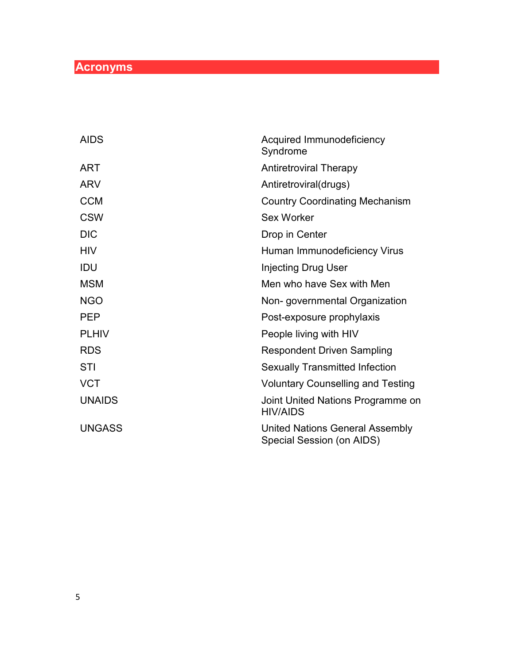# **Acronyms**

| <b>AIDS</b>   | Acquired Immunodeficiency<br>Syndrome                               |
|---------------|---------------------------------------------------------------------|
| <b>ART</b>    | <b>Antiretroviral Therapy</b>                                       |
| <b>ARV</b>    | Antiretroviral(drugs)                                               |
| <b>CCM</b>    | <b>Country Coordinating Mechanism</b>                               |
| <b>CSW</b>    | Sex Worker                                                          |
| <b>DIC</b>    | Drop in Center                                                      |
| <b>HIV</b>    | Human Immunodeficiency Virus                                        |
| <b>IDU</b>    | <b>Injecting Drug User</b>                                          |
| <b>MSM</b>    | Men who have Sex with Men                                           |
| <b>NGO</b>    | Non-governmental Organization                                       |
| <b>PEP</b>    | Post-exposure prophylaxis                                           |
| <b>PLHIV</b>  | People living with HIV                                              |
| <b>RDS</b>    | <b>Respondent Driven Sampling</b>                                   |
| <b>STI</b>    | <b>Sexually Transmitted Infection</b>                               |
| <b>VCT</b>    | <b>Voluntary Counselling and Testing</b>                            |
| <b>UNAIDS</b> | Joint United Nations Programme on<br><b>HIV/AIDS</b>                |
| <b>UNGASS</b> | <b>United Nations General Assembly</b><br>Special Session (on AIDS) |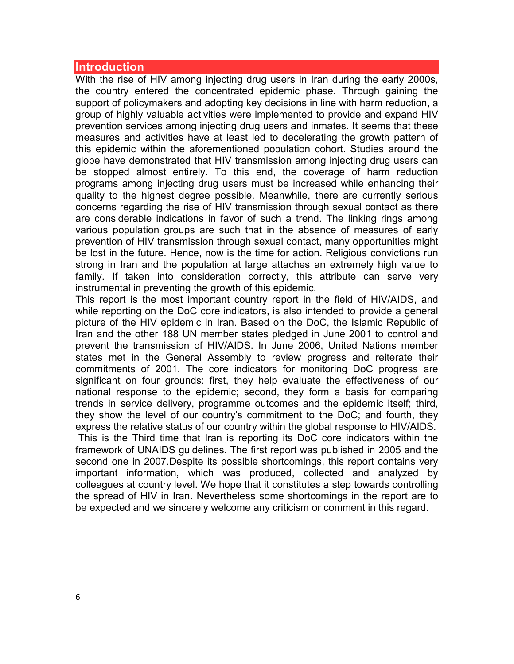#### **Introduction**

With the rise of HIV among injecting drug users in Iran during the early 2000s, the country entered the concentrated epidemic phase. Through gaining the support of policymakers and adopting key decisions in line with harm reduction, a group of highly valuable activities were implemented to provide and expand HIV prevention services among injecting drug users and inmates. It seems that these measures and activities have at least led to decelerating the growth pattern of this epidemic within the aforementioned population cohort. Studies around the globe have demonstrated that HIV transmission among injecting drug users can be stopped almost entirely. To this end, the coverage of harm reduction programs among injecting drug users must be increased while enhancing their quality to the highest degree possible. Meanwhile, there are currently serious concerns regarding the rise of HIV transmission through sexual contact as there are considerable indications in favor of such a trend. The linking rings among various population groups are such that in the absence of measures of early prevention of HIV transmission through sexual contact, many opportunities might be lost in the future. Hence, now is the time for action. Religious convictions run strong in Iran and the population at large attaches an extremely high value to family. If taken into consideration correctly, this attribute can serve very instrumental in preventing the growth of this epidemic.

This report is the most important country report in the field of HIV/AIDS, and while reporting on the DoC core indicators, is also intended to provide a general picture of the HIV epidemic in Iran. Based on the DoC, the Islamic Republic of Iran and the other 188 UN member states pledged in June 2001 to control and prevent the transmission of HIV/AIDS. In June 2006, United Nations member states met in the General Assembly to review progress and reiterate their commitments of 2001. The core indicators for monitoring DoC progress are significant on four grounds: first, they help evaluate the effectiveness of our national response to the epidemic; second, they form a basis for comparing trends in service delivery, programme outcomes and the epidemic itself; third, they show the level of our country's commitment to the DoC; and fourth, they express the relative status of our country within the global response to HIV/AIDS. This is the Third time that Iran is reporting its DoC core indicators within the framework of UNAIDS guidelines. The first report was published in 2005 and the second one in 2007.Despite its possible shortcomings, this report contains very important information, which was produced, collected and analyzed by colleagues at country level. We hope that it constitutes a step towards controlling the spread of HIV in Iran. Nevertheless some shortcomings in the report are to be expected and we sincerely welcome any criticism or comment in this regard.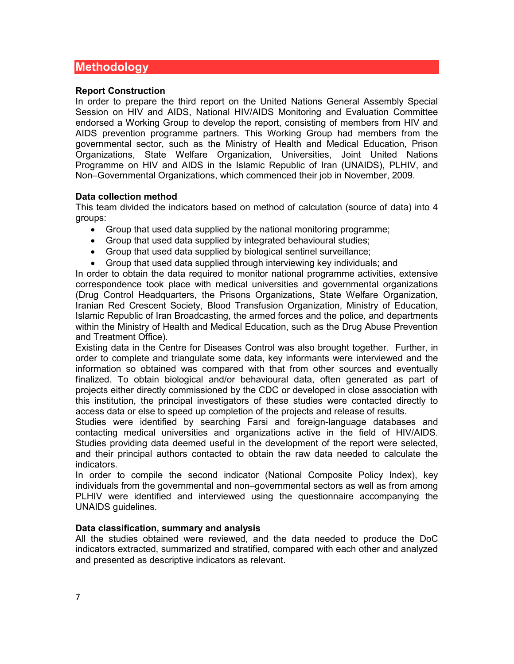# **Methodology**

#### **Report Construction**

In order to prepare the third report on the United Nations General Assembly Special Session on HIV and AIDS, National HIV/AIDS Monitoring and Evaluation Committee endorsed a Working Group to develop the report, consisting of members from HIV and AIDS prevention programme partners. This Working Group had members from the governmental sector, such as the Ministry of Health and Medical Education, Prison Organizations, State Welfare Organization, Universities, Joint United Nations Programme on HIV and AIDS in the Islamic Republic of Iran (UNAIDS), PLHIV, and Non–Governmental Organizations, which commenced their job in November, 2009.

#### **Data collection method**

This team divided the indicators based on method of calculation (source of data) into 4 groups:

- Group that used data supplied by the national monitoring programme;
- Group that used data supplied by integrated behavioural studies;
- Group that used data supplied by biological sentinel surveillance;
- Group that used data supplied through interviewing key individuals; and

In order to obtain the data required to monitor national programme activities, extensive correspondence took place with medical universities and governmental organizations (Drug Control Headquarters, the Prisons Organizations, State Welfare Organization, Iranian Red Crescent Society, Blood Transfusion Organization, Ministry of Education, Islamic Republic of Iran Broadcasting, the armed forces and the police, and departments within the Ministry of Health and Medical Education, such as the Drug Abuse Prevention and Treatment Office).

Existing data in the Centre for Diseases Control was also brought together. Further, in order to complete and triangulate some data, key informants were interviewed and the information so obtained was compared with that from other sources and eventually finalized. To obtain biological and/or behavioural data, often generated as part of projects either directly commissioned by the CDC or developed in close association with this institution, the principal investigators of these studies were contacted directly to access data or else to speed up completion of the projects and release of results.

Studies were identified by searching Farsi and foreign-language databases and contacting medical universities and organizations active in the field of HIV/AIDS. Studies providing data deemed useful in the development of the report were selected, and their principal authors contacted to obtain the raw data needed to calculate the indicators.

In order to compile the second indicator (National Composite Policy Index), key individuals from the governmental and non–governmental sectors as well as from among PLHIV were identified and interviewed using the questionnaire accompanying the UNAIDS guidelines.

#### **Data classification, summary and analysis**

All the studies obtained were reviewed, and the data needed to produce the DoC indicators extracted, summarized and stratified, compared with each other and analyzed and presented as descriptive indicators as relevant.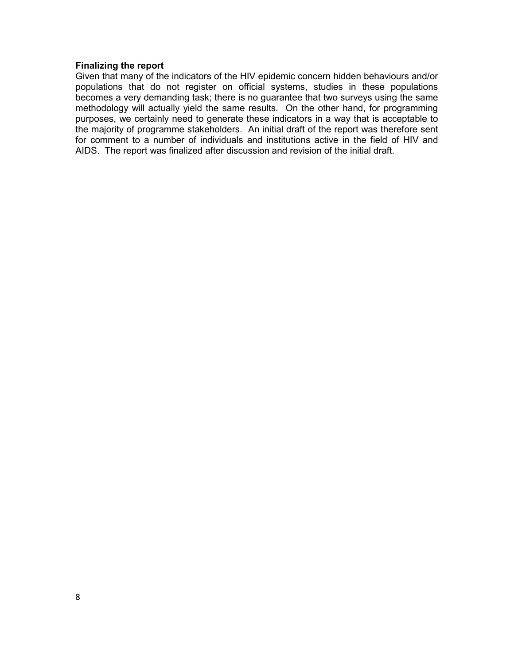#### **Finalizing the report**

Given that many of the indicators of the HIV epidemic concern hidden behaviours and/or populations that do not register on official systems, studies in these populations becomes a very demanding task; there is no guarantee that two surveys using the same methodology will actually yield the same results. On the other hand, for programming purposes, we certainly need to generate these indicators in a way that is acceptable to the majority of programme stakeholders. An initial draft of the report was therefore sent for comment to a number of individuals and institutions active in the field of HIV and AIDS. The report was finalized after discussion and revision of the initial draft.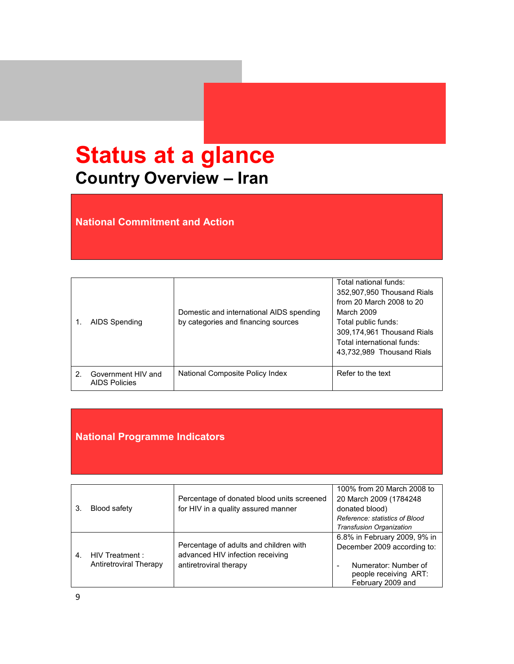# **Status at a glance Country Overview – Iran**

**National Commitment and Action** 

|   | AIDS Spending                              | Domestic and international AIDS spending<br>by categories and financing sources | Total national funds:<br>352,907,950 Thousand Rials<br>from 20 March 2008 to 20<br>March 2009<br>Total public funds:<br>309,174,961 Thousand Rials<br>Total international funds:<br>43,732,989 Thousand Rials |
|---|--------------------------------------------|---------------------------------------------------------------------------------|---------------------------------------------------------------------------------------------------------------------------------------------------------------------------------------------------------------|
| 2 | Government HIV and<br><b>AIDS Policies</b> | National Composite Policy Index                                                 | Refer to the text                                                                                                                                                                                             |

# **National Programme Indicators**

| 3.             | <b>Blood safety</b>                       | Percentage of donated blood units screened<br>for HIV in a quality assured manner                    | 100% from 20 March 2008 to<br>20 March 2009 (1784248)<br>donated blood)<br>Reference: statistics of Blood    |
|----------------|-------------------------------------------|------------------------------------------------------------------------------------------------------|--------------------------------------------------------------------------------------------------------------|
|                |                                           |                                                                                                      | <b>Transfusion Organization</b>                                                                              |
| $\overline{4}$ | HIV Treatment :<br>Antiretroviral Therapy | Percentage of adults and children with<br>advanced HIV infection receiving<br>antiretroviral therapy | 6.8% in February 2009, 9% in<br>December 2009 according to:<br>Numerator: Number of<br>people receiving ART: |
|                |                                           |                                                                                                      | February 2009 and                                                                                            |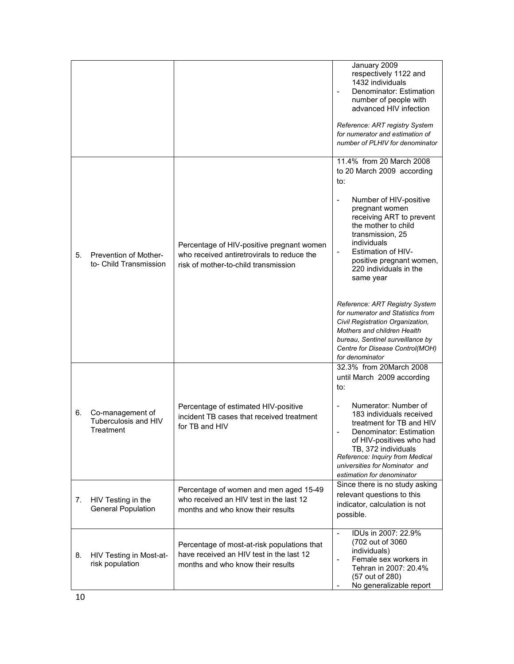|    |                                                       |                                                                                                                                 | January 2009<br>respectively 1122 and<br>1432 individuals<br>Denominator: Estimation<br>number of people with<br>advanced HIV infection                                                                                                                                         |
|----|-------------------------------------------------------|---------------------------------------------------------------------------------------------------------------------------------|---------------------------------------------------------------------------------------------------------------------------------------------------------------------------------------------------------------------------------------------------------------------------------|
|    |                                                       |                                                                                                                                 | Reference: ART registry System<br>for numerator and estimation of<br>number of PLHIV for denominator                                                                                                                                                                            |
|    |                                                       |                                                                                                                                 | 11.4% from 20 March 2008<br>to 20 March 2009 according<br>to:                                                                                                                                                                                                                   |
| 5. | Prevention of Mother-<br>to- Child Transmission       | Percentage of HIV-positive pregnant women<br>who received antiretrovirals to reduce the<br>risk of mother-to-child transmission | Number of HIV-positive<br>$\overline{\phantom{a}}$<br>pregnant women<br>receiving ART to prevent<br>the mother to child<br>transmission, 25<br>individuals<br><b>Estimation of HIV-</b><br>$\blacksquare$<br>positive pregnant women,<br>220 individuals in the<br>same year    |
|    |                                                       |                                                                                                                                 | Reference: ART Registry System<br>for numerator and Statistics from<br>Civil Registration Organization,<br>Mothers and children Health<br>bureau, Sentinel surveillance by<br>Centre for Disease Control(MOH)<br>for denominator                                                |
|    |                                                       |                                                                                                                                 | 32.3% from 20March 2008<br>until March 2009 according<br>to:                                                                                                                                                                                                                    |
| 6. | Co-management of<br>Tuberculosis and HIV<br>Treatment | Percentage of estimated HIV-positive<br>incident TB cases that received treatment<br>for TB and HIV                             | Numerator: Number of<br>$\blacksquare$<br>183 individuals received<br>treatment for TB and HIV<br>Denominator: Estimation<br>of HIV-positives who had<br>TB, 372 individuals<br>Reference: Inquiry from Medical<br>universities for Nominator and<br>estimation for denominator |
| 7. | HIV Testing in the<br><b>General Population</b>       | Percentage of women and men aged 15-49<br>who received an HIV test in the last 12<br>months and who know their results          | Since there is no study asking<br>relevant questions to this<br>indicator, calculation is not<br>possible.                                                                                                                                                                      |
| 8. | HIV Testing in Most-at-<br>risk population            | Percentage of most-at-risk populations that<br>have received an HIV test in the last 12<br>months and who know their results    | IDUs in 2007: 22.9%<br>$\mathbf{r}$<br>(702 out of 3060)<br>individuals)<br>Female sex workers in<br>$\blacksquare$<br>Tehran in 2007: 20.4%<br>(57 out of 280)<br>No generalizable report                                                                                      |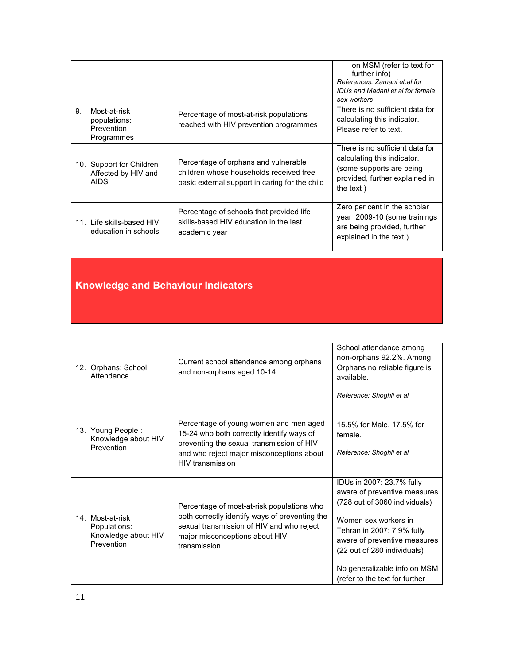|    |                                                                |                                                                                                                                   | on MSM (refer to text for<br>further info)<br>References: Zamani et al for<br>IDUs and Madani et al for female<br>sex workers              |
|----|----------------------------------------------------------------|-----------------------------------------------------------------------------------------------------------------------------------|--------------------------------------------------------------------------------------------------------------------------------------------|
| 9. | Most-at-risk<br>populations:<br>Prevention<br>Programmes       | Percentage of most-at-risk populations<br>reached with HIV prevention programmes                                                  | There is no sufficient data for<br>calculating this indicator.<br>Please refer to text.                                                    |
|    | 10. Support for Children<br>Affected by HIV and<br><b>AIDS</b> | Percentage of orphans and vulnerable<br>children whose households received free<br>basic external support in caring for the child | There is no sufficient data for<br>calculating this indicator.<br>(some supports are being)<br>provided, further explained in<br>the text) |
|    | 11. Life skills-based HIV<br>education in schools              | Percentage of schools that provided life<br>skills-based HIV education in the last<br>academic year                               | Zero per cent in the scholar<br>year 2009-10 (some trainings<br>are being provided, further<br>explained in the text)                      |

# **Knowledge and Behaviour Indicators**

| 12. Orphans: School<br>Attendance                                     | Current school attendance among orphans<br>and non-orphans aged 10-14                                                                                                                             | School attendance among<br>non-orphans 92.2%. Among<br>Orphans no reliable figure is<br>available.<br>Reference: Shoghli et al                                                                                                                                                    |
|-----------------------------------------------------------------------|---------------------------------------------------------------------------------------------------------------------------------------------------------------------------------------------------|-----------------------------------------------------------------------------------------------------------------------------------------------------------------------------------------------------------------------------------------------------------------------------------|
| 13. Young People:<br>Knowledge about HIV<br>Prevention                | Percentage of young women and men aged<br>15-24 who both correctly identify ways of<br>preventing the sexual transmission of HIV<br>and who reject major misconceptions about<br>HIV transmission | 15.5% for Male, 17.5% for<br>female.<br>Reference: Shoghli et al                                                                                                                                                                                                                  |
| 14. Most-at-risk<br>Populations:<br>Knowledge about HIV<br>Prevention | Percentage of most-at-risk populations who<br>both correctly identify ways of preventing the<br>sexual transmission of HIV and who reject<br>major misconceptions about HIV<br>transmission       | IDUs in 2007: 23.7% fully<br>aware of preventive measures<br>(728 out of 3060 individuals)<br>Women sex workers in<br>Tehran in 2007: 7.9% fully<br>aware of preventive measures<br>(22 out of 280 individuals)<br>No generalizable info on MSM<br>(refer to the text for further |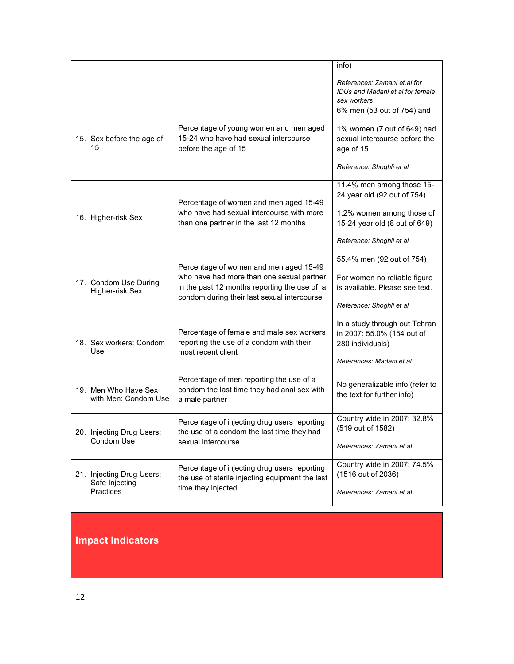|                                                                 |                                                                                                                                                                                    | info)                                                                                                                   |
|-----------------------------------------------------------------|------------------------------------------------------------------------------------------------------------------------------------------------------------------------------------|-------------------------------------------------------------------------------------------------------------------------|
|                                                                 |                                                                                                                                                                                    | References: Zamani et al for<br>IDUs and Madani et al for female<br>sex workers                                         |
|                                                                 |                                                                                                                                                                                    | 6% men (53 out of 754) and                                                                                              |
| 15. Sex before the age of<br>15                                 | Percentage of young women and men aged<br>15-24 who have had sexual intercourse<br>before the age of 15                                                                            | 1% women (7 out of 649) had<br>sexual intercourse before the<br>age of 15                                               |
|                                                                 |                                                                                                                                                                                    | Reference: Shoghli et al                                                                                                |
| 16. Higher-risk Sex                                             | Percentage of women and men aged 15-49<br>who have had sexual intercourse with more<br>than one partner in the last 12 months                                                      | 11.4% men among those 15-<br>24 year old (92 out of 754)<br>1.2% women among those of<br>15-24 year old (8 out of 649)  |
|                                                                 |                                                                                                                                                                                    | Reference: Shoghli et al                                                                                                |
| 17. Condom Use During<br>Higher-risk Sex                        | Percentage of women and men aged 15-49<br>who have had more than one sexual partner<br>in the past 12 months reporting the use of a<br>condom during their last sexual intercourse | 55.4% men (92 out of 754)<br>For women no reliable figure<br>is available. Please see text.<br>Reference: Shoghli et al |
| 18. Sex workers: Condom<br>Use                                  | Percentage of female and male sex workers<br>reporting the use of a condom with their<br>most recent client                                                                        | In a study through out Tehran<br>in 2007: 55.0% (154 out of<br>280 individuals)<br>References: Madani et.al             |
| 19. Men Who Have Sex<br>with Men: Condom Use                    | Percentage of men reporting the use of a<br>condom the last time they had anal sex with<br>a male partner                                                                          | No generalizable info (refer to<br>the text for further info)                                                           |
| 20. Injecting Drug Users:<br>Condom Use                         | Percentage of injecting drug users reporting<br>the use of a condom the last time they had<br>sexual intercourse                                                                   | Country wide in 2007: 32.8%<br>(519 out of 1582)<br>References: Zamani et.al                                            |
| 21. Injecting Drug Users:<br>Safe Injecting<br><b>Practices</b> | Percentage of injecting drug users reporting<br>the use of sterile injecting equipment the last<br>time they injected                                                              | Country wide in 2007: 74.5%<br>(1516 out of 2036)<br>References: Zamani et.al                                           |

# **Impact Indicators**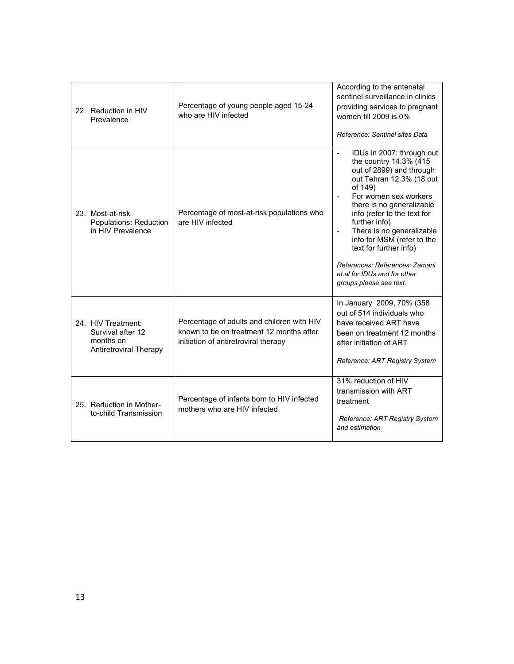| 22. Reduction in HIV<br>Prevalence                                                    | Percentage of young people aged 15-24<br>who are HIV infected                                                                  | According to the antenatal<br>sentinel surveillance in clinics<br>providing services to pregnant<br>women till 2009 is 0%<br>Reference: Sentinel sites Data                                                                                                                                                                                                                                                                                                                              |
|---------------------------------------------------------------------------------------|--------------------------------------------------------------------------------------------------------------------------------|------------------------------------------------------------------------------------------------------------------------------------------------------------------------------------------------------------------------------------------------------------------------------------------------------------------------------------------------------------------------------------------------------------------------------------------------------------------------------------------|
| 23. Most-at-risk<br>Populations: Reduction<br>in HIV Prevalence                       | Percentage of most-at-risk populations who<br>are HIV infected                                                                 | IDUs in 2007: through out<br>$\overline{\phantom{a}}$<br>the country 14.3% (415<br>out of 2899) and through<br>out Tehran 12.3% (18 out<br>of 149)<br>For women sex workers<br>$\blacksquare$<br>there is no generalizable<br>info (refer to the text for<br>further info)<br>There is no generalizable<br>$\overline{\phantom{a}}$<br>info for MSM (refer to the<br>text for further info)<br>References: References: Zamani<br>et.al for IDUs and for other<br>groups please see text. |
| 24. HIV Treatment:<br>Survival after 12<br>months on<br><b>Antiretroviral Therapy</b> | Percentage of adults and children with HIV<br>known to be on treatment 12 months after<br>initiation of antiretroviral therapy | In January 2009, 70% (358<br>out of 514 individuals who<br>have received ART have<br>been on treatment 12 months<br>after initiation of ART<br>Reference: ART Registry System                                                                                                                                                                                                                                                                                                            |
| 25. Reduction in Mother-<br>to-child Transmission                                     | Percentage of infants born to HIV infected<br>mothers who are HIV infected                                                     | 31% reduction of HIV<br>transmission with ART<br>treatment<br>Reference: ART Registry System<br>and estimation                                                                                                                                                                                                                                                                                                                                                                           |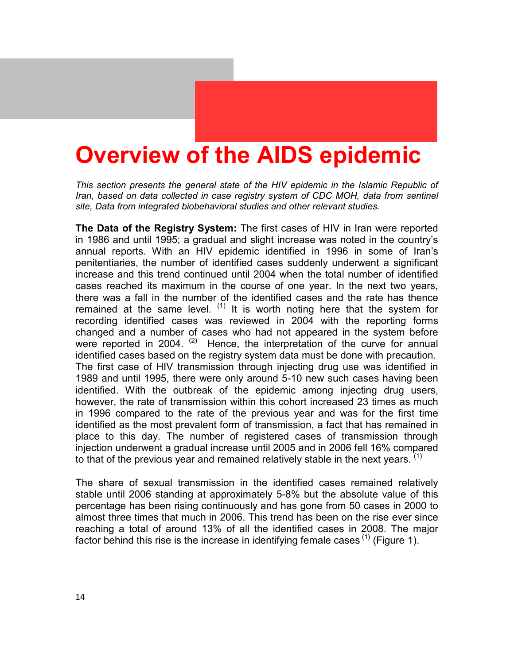# **Overview of the AIDS epidemic**

*This section presents the general state of the HIV epidemic in the Islamic Republic of Iran, based on data collected in case registry system of CDC MOH, data from sentinel site, Data from integrated biobehavioral studies and other relevant studies.* 

**The Data of the Registry System:** The first cases of HIV in Iran were reported in 1986 and until 1995; a gradual and slight increase was noted in the country's annual reports. With an HIV epidemic identified in 1996 in some of Iran's penitentiaries, the number of identified cases suddenly underwent a significant increase and this trend continued until 2004 when the total number of identified cases reached its maximum in the course of one year. In the next two years, there was a fall in the number of the identified cases and the rate has thence remained at the same level.  $(1)$  It is worth noting here that the system for recording identified cases was reviewed in 2004 with the reporting forms changed and a number of cases who had not appeared in the system before were reported in 2004.  $(2)$  Hence, the interpretation of the curve for annual identified cases based on the registry system data must be done with precaution. The first case of HIV transmission through injecting drug use was identified in 1989 and until 1995, there were only around 5-10 new such cases having been identified. With the outbreak of the epidemic among injecting drug users, however, the rate of transmission within this cohort increased 23 times as much in 1996 compared to the rate of the previous year and was for the first time identified as the most prevalent form of transmission, a fact that has remained in place to this day. The number of registered cases of transmission through injection underwent a gradual increase until 2005 and in 2006 fell 16% compared to that of the previous year and remained relatively stable in the next years.  $(1)$ 

The share of sexual transmission in the identified cases remained relatively stable until 2006 standing at approximately 5-8% but the absolute value of this percentage has been rising continuously and has gone from 50 cases in 2000 to almost three times that much in 2006. This trend has been on the rise ever since reaching a total of around 13% of all the identified cases in 2008. The major factor behind this rise is the increase in identifying female cases  $(1)$  (Figure 1).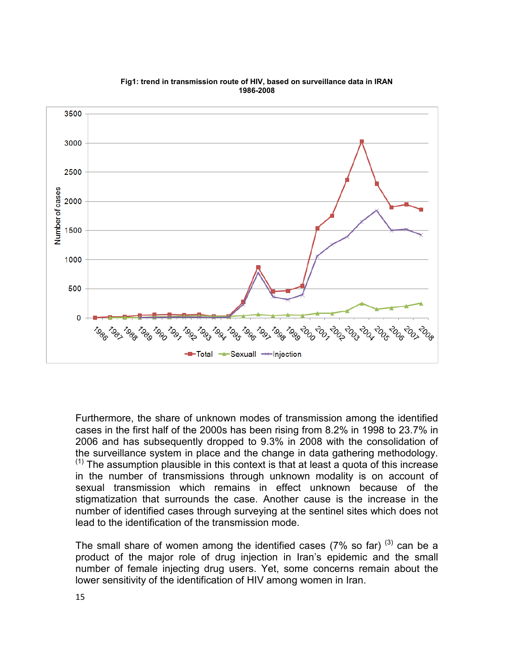

**Fig1: trend in transmission route of HIV, based on surveillance data in IRAN 1986-2008** 

Furthermore, the share of unknown modes of transmission among the identified cases in the first half of the 2000s has been rising from 8.2% in 1998 to 23.7% in 2006 and has subsequently dropped to 9.3% in 2008 with the consolidation of the surveillance system in place and the change in data gathering methodology.  $(1)$  The assumption plausible in this context is that at least a quota of this increase in the number of transmissions through unknown modality is on account of sexual transmission which remains in effect unknown because of the stigmatization that surrounds the case. Another cause is the increase in the number of identified cases through surveying at the sentinel sites which does not lead to the identification of the transmission mode.

The small share of women among the identified cases (7% so far)  $^{(3)}$  can be a product of the major role of drug injection in Iran's epidemic and the small number of female injecting drug users. Yet, some concerns remain about the lower sensitivity of the identification of HIV among women in Iran.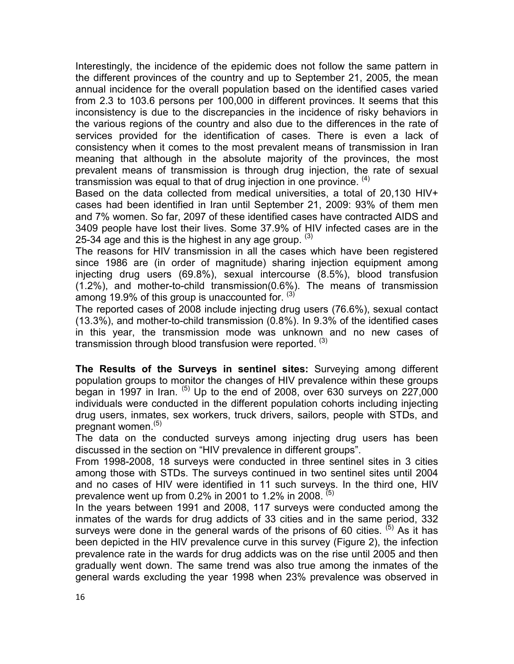Interestingly, the incidence of the epidemic does not follow the same pattern in the different provinces of the country and up to September 21, 2005, the mean annual incidence for the overall population based on the identified cases varied from 2.3 to 103.6 persons per 100,000 in different provinces. It seems that this inconsistency is due to the discrepancies in the incidence of risky behaviors in the various regions of the country and also due to the differences in the rate of services provided for the identification of cases. There is even a lack of consistency when it comes to the most prevalent means of transmission in Iran meaning that although in the absolute majority of the provinces, the most prevalent means of transmission is through drug injection, the rate of sexual transmission was equal to that of drug injection in one province.  $(4)$ 

Based on the data collected from medical universities, a total of 20,130 HIV+ cases had been identified in Iran until September 21, 2009: 93% of them men and 7% women. So far, 2097 of these identified cases have contracted AIDS and 3409 people have lost their lives. Some 37.9% of HIV infected cases are in the 25-34 age and this is the highest in any age group.  $(3)$ 

The reasons for HIV transmission in all the cases which have been registered since 1986 are (in order of magnitude) sharing injection equipment among injecting drug users (69.8%), sexual intercourse (8.5%), blood transfusion (1.2%), and mother-to-child transmission(0.6%). The means of transmission among 19.9% of this group is unaccounted for.  $(3)$ 

The reported cases of 2008 include injecting drug users (76.6%), sexual contact (13.3%), and mother-to-child transmission (0.8%). In 9.3% of the identified cases in this year, the transmission mode was unknown and no new cases of transmission through blood transfusion were reported.  $(3)$ 

**The Results of the Surveys in sentinel sites:** Surveying among different population groups to monitor the changes of HIV prevalence within these groups began in 1997 in Iran.  $^{(5)}$  Up to the end of 2008, over 630 surveys on 227,000 individuals were conducted in the different population cohorts including injecting drug users, inmates, sex workers, truck drivers, sailors, people with STDs, and pregnant women.<sup>(5)</sup>

The data on the conducted surveys among injecting drug users has been discussed in the section on "HIV prevalence in different groups".

From 1998-2008, 18 surveys were conducted in three sentinel sites in 3 cities among those with STDs. The surveys continued in two sentinel sites until 2004 and no cases of HIV were identified in 11 such surveys. In the third one, HIV prevalence went up from 0.2% in 2001 to 1.2% in 2008.  $(5)$ 

In the years between 1991 and 2008, 117 surveys were conducted among the inmates of the wards for drug addicts of 33 cities and in the same period, 332 surveys were done in the general wards of the prisons of 60 cities.  $(5)$  As it has been depicted in the HIV prevalence curve in this survey (Figure 2), the infection prevalence rate in the wards for drug addicts was on the rise until 2005 and then gradually went down. The same trend was also true among the inmates of the general wards excluding the year 1998 when 23% prevalence was observed in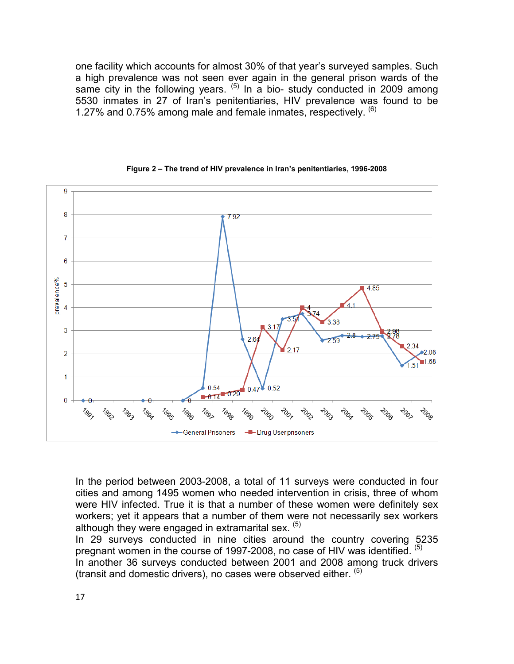one facility which accounts for almost 30% of that year's surveyed samples. Such a high prevalence was not seen ever again in the general prison wards of the same city in the following years.  $(5)$  In a bio-study conducted in 2009 among 5530 inmates in 27 of Iran's penitentiaries, HIV prevalence was found to be 1.27% and 0.75% among male and female inmates, respectively.  $^{(6)}$ 





In the period between 2003-2008, a total of 11 surveys were conducted in four cities and among 1495 women who needed intervention in crisis, three of whom were HIV infected. True it is that a number of these women were definitely sex workers; yet it appears that a number of them were not necessarily sex workers although they were engaged in extramarital sex. (5)

In 29 surveys conducted in nine cities around the country covering 5235 pregnant women in the course of 1997-2008, no case of HIV was identified. (5) In another 36 surveys conducted between 2001 and 2008 among truck drivers (transit and domestic drivers), no cases were observed either.  $<sup>(5)</sup>$ </sup>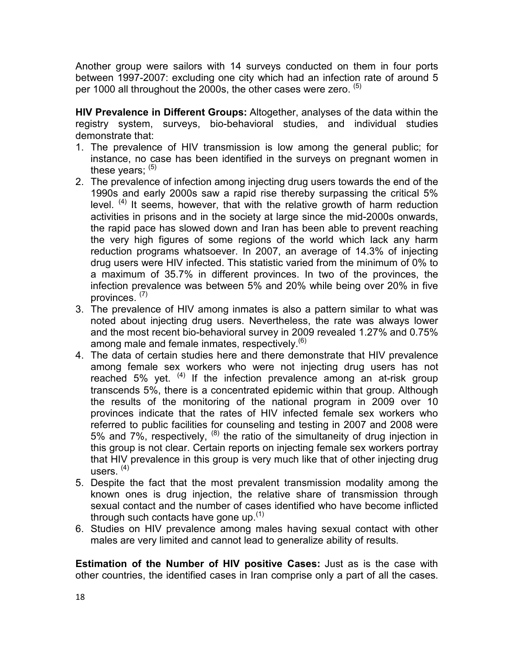Another group were sailors with 14 surveys conducted on them in four ports between 1997-2007: excluding one city which had an infection rate of around 5 per 1000 all throughout the 2000s, the other cases were zero. <sup>(5)</sup>

**HIV Prevalence in Different Groups:** Altogether, analyses of the data within the registry system, surveys, bio-behavioral studies, and individual studies demonstrate that:

- 1. The prevalence of HIV transmission is low among the general public; for instance, no case has been identified in the surveys on pregnant women in these years;  $(5)$
- 2. The prevalence of infection among injecting drug users towards the end of the 1990s and early 2000s saw a rapid rise thereby surpassing the critical 5% level. <sup>(4)</sup> It seems, however, that with the relative growth of harm reduction activities in prisons and in the society at large since the mid-2000s onwards, the rapid pace has slowed down and Iran has been able to prevent reaching the very high figures of some regions of the world which lack any harm reduction programs whatsoever. In 2007, an average of 14.3% of injecting drug users were HIV infected. This statistic varied from the minimum of 0% to a maximum of 35.7% in different provinces. In two of the provinces, the infection prevalence was between 5% and 20% while being over 20% in five provinces. (7)
- 3. The prevalence of HIV among inmates is also a pattern similar to what was noted about injecting drug users. Nevertheless, the rate was always lower and the most recent bio-behavioral survey in 2009 revealed 1.27% and 0.75% among male and female inmates, respectively. $(6)$
- 4. The data of certain studies here and there demonstrate that HIV prevalence among female sex workers who were not injecting drug users has not reached 5% yet. <sup>(4)</sup> If the infection prevalence among an at-risk group transcends 5%, there is a concentrated epidemic within that group. Although the results of the monitoring of the national program in 2009 over 10 provinces indicate that the rates of HIV infected female sex workers who referred to public facilities for counseling and testing in 2007 and 2008 were 5% and 7%, respectively,  $(8)$  the ratio of the simultaneity of drug injection in this group is not clear. Certain reports on injecting female sex workers portray that HIV prevalence in this group is very much like that of other injecting drug users.  $(4)$
- 5. Despite the fact that the most prevalent transmission modality among the known ones is drug injection, the relative share of transmission through sexual contact and the number of cases identified who have become inflicted through such contacts have gone up.  $(1)$
- 6. Studies on HIV prevalence among males having sexual contact with other males are very limited and cannot lead to generalize ability of results.

**Estimation of the Number of HIV positive Cases:** Just as is the case with other countries, the identified cases in Iran comprise only a part of all the cases.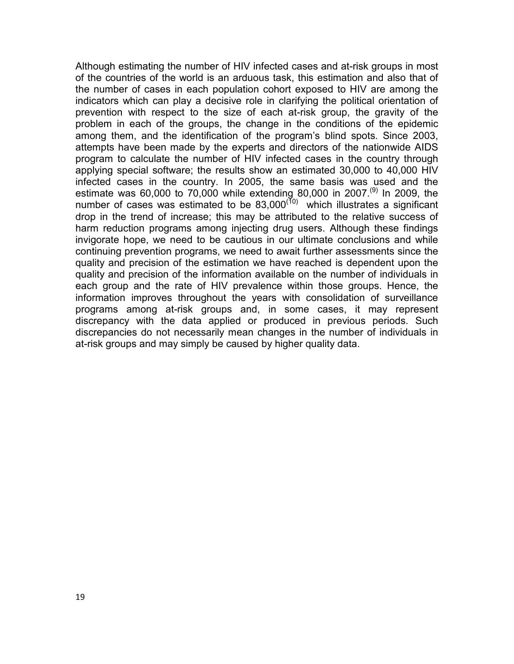Although estimating the number of HIV infected cases and at-risk groups in most of the countries of the world is an arduous task, this estimation and also that of the number of cases in each population cohort exposed to HIV are among the indicators which can play a decisive role in clarifying the political orientation of prevention with respect to the size of each at-risk group, the gravity of the problem in each of the groups, the change in the conditions of the epidemic among them, and the identification of the program's blind spots. Since 2003, attempts have been made by the experts and directors of the nationwide AIDS program to calculate the number of HIV infected cases in the country through applying special software; the results show an estimated 30,000 to 40,000 HIV infected cases in the country. In 2005, the same basis was used and the estimate was 60,000 to 70,000 while extending 80,000 in 2007.<sup>(9)</sup> In 2009, the number of cases was estimated to be  $83,000^{(10)}$  which illustrates a significant drop in the trend of increase; this may be attributed to the relative success of harm reduction programs among injecting drug users. Although these findings invigorate hope, we need to be cautious in our ultimate conclusions and while continuing prevention programs, we need to await further assessments since the quality and precision of the estimation we have reached is dependent upon the quality and precision of the information available on the number of individuals in each group and the rate of HIV prevalence within those groups. Hence, the information improves throughout the years with consolidation of surveillance programs among at-risk groups and, in some cases, it may represent discrepancy with the data applied or produced in previous periods. Such discrepancies do not necessarily mean changes in the number of individuals in at-risk groups and may simply be caused by higher quality data.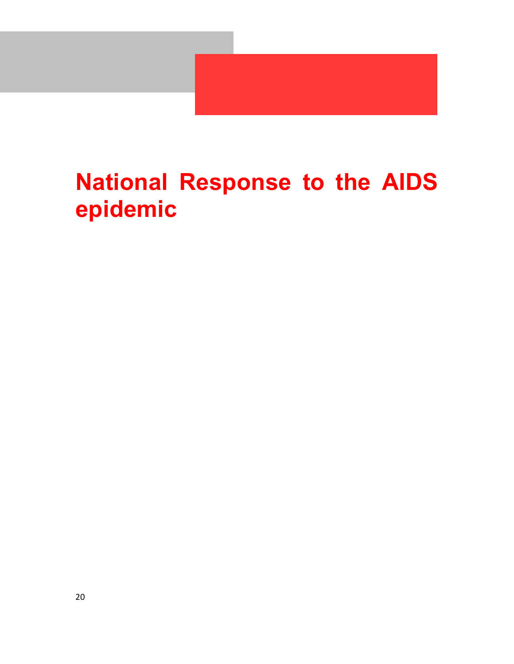

# **National Response to the AIDS epidemic**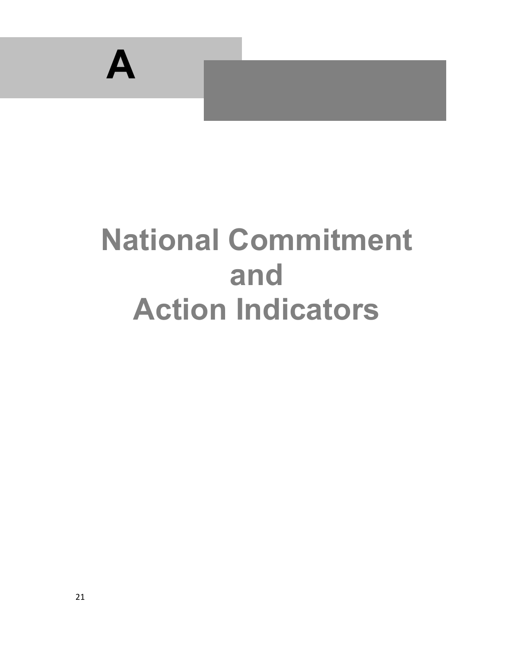

# **National Commitment and Action Indicators**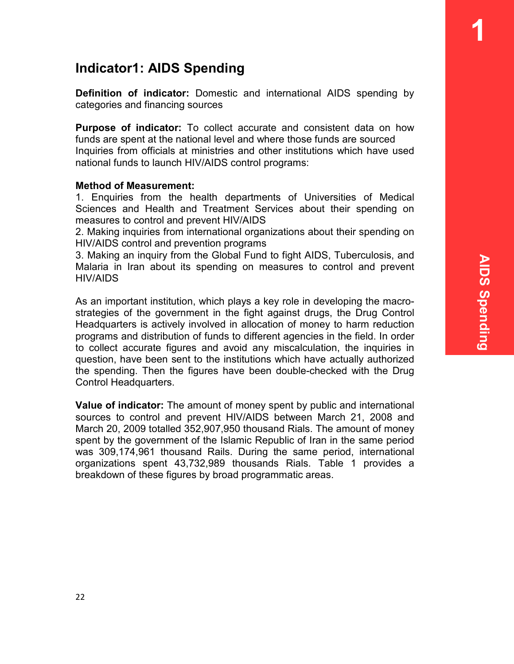**1** 

# **Indicator1: AIDS Spending**

**Definition of indicator:** Domestic and international AIDS spending by categories and financing sources

**Purpose of indicator:** To collect accurate and consistent data on how funds are spent at the national level and where those funds are sourced Inquiries from officials at ministries and other institutions which have used national funds to launch HIV/AIDS control programs:

#### **Method of Measurement:**

1. Enquiries from the health departments of Universities of Medical Sciences and Health and Treatment Services about their spending on measures to control and prevent HIV/AIDS

2. Making inquiries from international organizations about their spending on HIV/AIDS control and prevention programs

3. Making an inquiry from the Global Fund to fight AIDS, Tuberculosis, and Malaria in Iran about its spending on measures to control and prevent HIV/AIDS

As an important institution, which plays a key role in developing the macrostrategies of the government in the fight against drugs, the Drug Control Headquarters is actively involved in allocation of money to harm reduction programs and distribution of funds to different agencies in the field. In order to collect accurate figures and avoid any miscalculation, the inquiries in question, have been sent to the institutions which have actually authorized the spending. Then the figures have been double-checked with the Drug Control Headquarters.

**Value of indicator:** The amount of money spent by public and international sources to control and prevent HIV/AIDS between March 21, 2008 and March 20, 2009 totalled 352,907,950 thousand Rials. The amount of money spent by the government of the Islamic Republic of Iran in the same period was 309,174,961 thousand Rails. During the same period, international organizations spent 43,732,989 thousands Rials. Table 1 provides a breakdown of these figures by broad programmatic areas.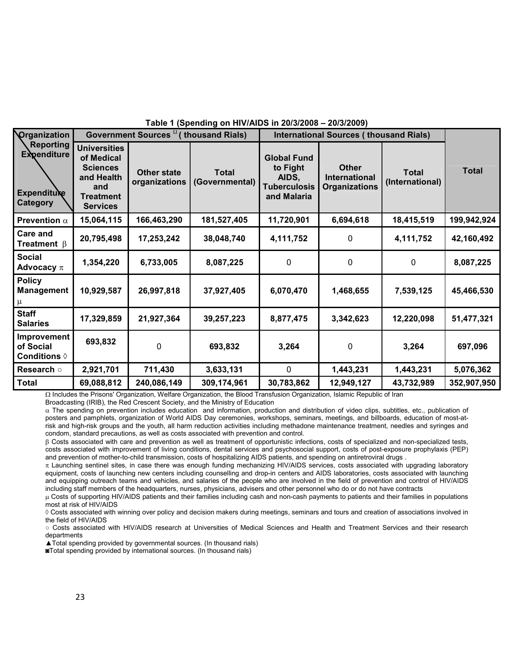| Organization<br>Government Sources <sup>12</sup> (thousand Rials)<br><b>International Sources (thousand Rials)</b><br><b>Reporting</b>                                                                                                                                                                                                                                                                                                |              |
|---------------------------------------------------------------------------------------------------------------------------------------------------------------------------------------------------------------------------------------------------------------------------------------------------------------------------------------------------------------------------------------------------------------------------------------|--------------|
|                                                                                                                                                                                                                                                                                                                                                                                                                                       |              |
| <b>Universities</b><br><b>Expenditure</b><br>of Medical<br><b>Global Fund</b><br><b>Other</b><br>to Fight<br><b>Sciences</b><br><b>Total</b><br><b>Other state</b><br><b>Total</b><br>and Health<br>International<br>AIDS,<br>organizations<br>(International)<br>(Governmental)<br><b>Tuberculosis</b><br><b>Organizations</b><br>and<br><b>Expendituke</b><br>and Malaria<br><b>Treatment</b><br><b>Category</b><br><b>Services</b> | <b>Total</b> |
| 15,064,115<br>166,463,290<br>181,527,405<br>11,720,901<br>6,694,618<br>18,415,519<br>Prevention $\alpha$                                                                                                                                                                                                                                                                                                                              | 199,942,924  |
| Care and<br>20,795,498<br>4,111,752<br>17,253,242<br>38,048,740<br>4,111,752<br>0<br><b>Treatment</b> $\beta$                                                                                                                                                                                                                                                                                                                         | 42,160,492   |
| <b>Social</b><br>1,354,220<br>6,733,005<br>8,087,225<br>0<br>0<br>0<br>Advocacy $\pi$                                                                                                                                                                                                                                                                                                                                                 | 8,087,225    |
| <b>Policy</b><br>10,929,587<br>26,997,818<br>6,070,470<br><b>Management</b><br>37,927,405<br>1,468,655<br>7,539,125<br>μ                                                                                                                                                                                                                                                                                                              | 45,466,530   |
| <b>Staff</b><br>21,927,364<br>17,329,859<br>39,257,223<br>8,877,475<br>3,342,623<br>12,220,098<br><b>Salaries</b>                                                                                                                                                                                                                                                                                                                     | 51,477,321   |
| Improvement<br>693,832<br>0<br>of Social<br>693,832<br>3,264<br>3,264<br>0<br>Conditions $\Diamond$                                                                                                                                                                                                                                                                                                                                   | 697,096      |
| 711,430<br>Research o<br>2,921,701<br>3,633,131<br>$\mathbf 0$<br>1,443,231<br>1,443,231                                                                                                                                                                                                                                                                                                                                              | 5,076,362    |
| 240,086,149<br>43,732,989<br><b>Total</b><br>69,088,812<br>309,174,961<br>30,783,862<br>12,949,127                                                                                                                                                                                                                                                                                                                                    | 352,907,950  |

#### **Table 1 (Spending on HIV/AIDS in 20/3/2008 – 20/3/2009)**

Ω Includes the Prisons' Organization, Welfare Organization, the Blood Transfusion Organization, Islamic Republic of Iran

Broadcasting (IRIB), the Red Crescent Society, and the Ministry of Education

α The spending on prevention includes education and information, production and distribution of video clips, subtitles, etc., publication of posters and pamphlets, organization of World AIDS Day ceremonies, workshops, seminars, meetings, and billboards, education of most-atrisk and high-risk groups and the youth, all harm reduction activities including methadone maintenance treatment, needles and syringes and condom, standard precautions, as well as costs associated with prevention and control.

β Costs associated with care and prevention as well as treatment of opportunistic infections, costs of specialized and non-specialized tests, costs associated with improvement of living conditions, dental services and psychosocial support, costs of post-exposure prophylaxis (PEP) and prevention of mother-to-child transmission, costs of hospitalizing AIDS patients, and spending on antiretroviral drugs .

π Launching sentinel sites, in case there was enough funding mechanizing HIV/AIDS services, costs associated with upgrading laboratory equipment, costs of launching new centers including counselling and drop-in centers and AIDS laboratories, costs associated with launching and equipping outreach teams and vehicles, and salaries of the people who are involved in the field of prevention and control of HIV/AIDS including staff members of the headquarters, nurses, physicians, advisers and other personnel who do or do not have contracts

µ Costs of supporting HIV/AIDS patients and their families including cash and non-cash payments to patients and their families in populations most at risk of HIV/AIDS

◊ Costs associated with winning over policy and decision makers during meetings, seminars and tours and creation of associations involved in the field of HIV/AIDS

○ Costs associated with HIV/AIDS research at Universities of Medical Sciences and Health and Treatment Services and their research departments

▲Total spending provided by governmental sources. (In thousand rials)

◙Total spending provided by international sources. (In thousand rials)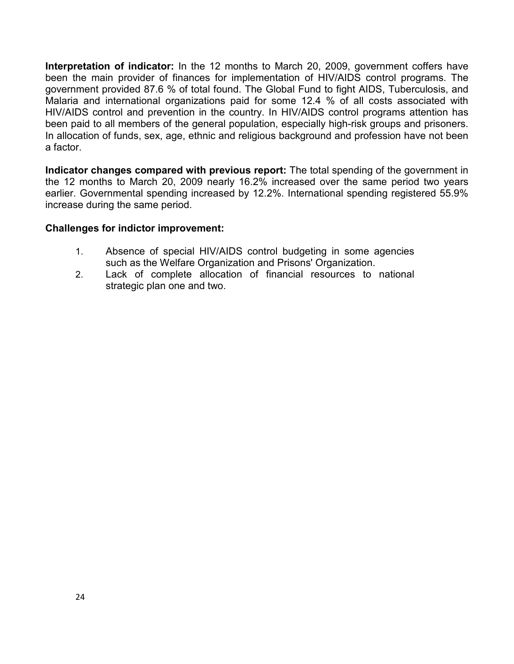**Interpretation of indicator:** In the 12 months to March 20, 2009, government coffers have been the main provider of finances for implementation of HIV/AIDS control programs. The government provided 87.6 % of total found. The Global Fund to fight AIDS, Tuberculosis, and Malaria and international organizations paid for some 12.4 % of all costs associated with HIV/AIDS control and prevention in the country. In HIV/AIDS control programs attention has been paid to all members of the general population, especially high-risk groups and prisoners. In allocation of funds, sex, age, ethnic and religious background and profession have not been a factor.

**Indicator changes compared with previous report:** The total spending of the government in the 12 months to March 20, 2009 nearly 16.2% increased over the same period two years earlier. Governmental spending increased by 12.2%. International spending registered 55.9% increase during the same period.

### **Challenges for indictor improvement:**

- 1. Absence of special HIV/AIDS control budgeting in some agencies such as the Welfare Organization and Prisons' Organization.
- 2. Lack of complete allocation of financial resources to national strategic plan one and two.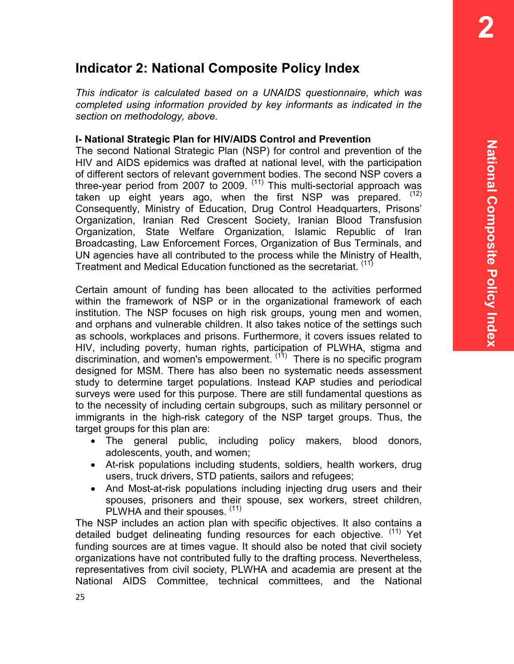# **Indicator 2: National Composite Policy Index**

*This indicator is calculated based on a UNAIDS questionnaire, which was completed using information provided by key informants as indicated in the section on methodology, above.* 

# **I- National Strategic Plan for HIV/AIDS Control and Prevention**

The second National Strategic Plan (NSP) for control and prevention of the HIV and AIDS epidemics was drafted at national level, with the participation of different sectors of relevant government bodies. The second NSP covers a three-year period from 2007 to 2009.  $(11)$  This multi-sectorial approach was taken up eight years ago, when the first NSP was prepared.  $(12)$ Consequently, Ministry of Education, Drug Control Headquarters, Prisons' Organization, Iranian Red Crescent Society, Iranian Blood Transfusion Organization, State Welfare Organization, Islamic Republic of Iran Broadcasting, Law Enforcement Forces, Organization of Bus Terminals, and UN agencies have all contributed to the process while the Ministry of Health, Treatment and Medical Education functioned as the secretariat. (11)

Certain amount of funding has been allocated to the activities performed within the framework of NSP or in the organizational framework of each institution. The NSP focuses on high risk groups, young men and women, and orphans and vulnerable children. It also takes notice of the settings such as schools, workplaces and prisons. Furthermore, it covers issues related to HIV, including poverty, human rights, participation of PLWHA, stigma and discrimination, and women's empowerment. (11) There is no specific program designed for MSM. There has also been no systematic needs assessment study to determine target populations. Instead KAP studies and periodical surveys were used for this purpose. There are still fundamental questions as to the necessity of including certain subgroups, such as military personnel or immigrants in the high-risk category of the NSP target groups. Thus, the target groups for this plan are:

- The general public, including policy makers, blood donors, adolescents, youth, and women;
- At-risk populations including students, soldiers, health workers, drug users, truck drivers, STD patients, sailors and refugees;
- And Most-at-risk populations including injecting drug users and their spouses, prisoners and their spouse, sex workers, street children, PLWHA and their spouses. (11)

The NSP includes an action plan with specific objectives. It also contains a detailed budget delineating funding resources for each objective. <sup>(11)</sup> Yet funding sources are at times vague. It should also be noted that civil society organizations have not contributed fully to the drafting process. Nevertheless, representatives from civil society, PLWHA and academia are present at the National AIDS Committee, technical committees, and the National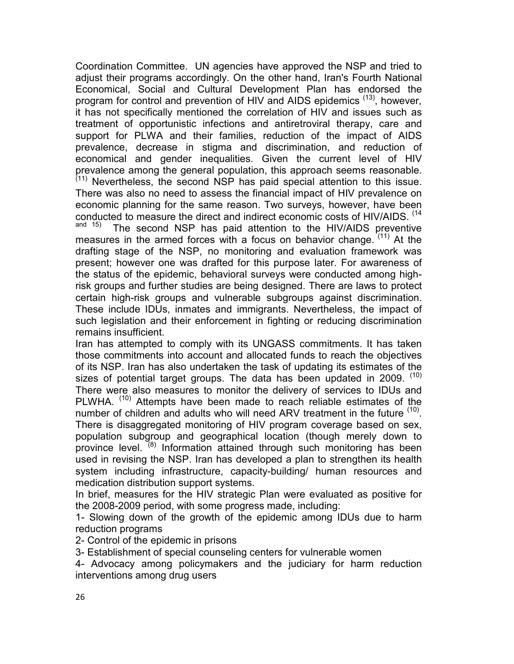Coordination Committee. UN agencies have approved the NSP and tried to adjust their programs accordingly. On the other hand, Iran's Fourth National Economical, Social and Cultural Development Plan has endorsed the program for control and prevention of HIV and AIDS epidemics <sup>(13)</sup>, however, it has not specifically mentioned the correlation of HIV and issues such as treatment of opportunistic infections and antiretroviral therapy, care and support for PLWA and their families, reduction of the impact of AIDS prevalence, decrease in stigma and discrimination, and reduction of economical and gender inequalities. Given the current level of HIV prevalence among the general population, this approach seems reasonable.  $(11)$  Nevertheless, the second NSP has paid special attention to this issue. There was also no need to assess the financial impact of HIV prevalence on economic planning for the same reason. Two surveys, however, have been conducted to measure the direct and indirect economic costs of HIV/AIDS.  $^{(14)}$ <br>and  $^{15)}$  The second NSD has paid attention to the HIV/AIDS preventive The second NSP has paid attention to the HIV/AIDS preventive measures in the armed forces with a focus on behavior change.  $(11)$  At the drafting stage of the NSP, no monitoring and evaluation framework was present; however one was drafted for this purpose later. For awareness of the status of the epidemic, behavioral surveys were conducted among highrisk groups and further studies are being designed. There are laws to protect certain high-risk groups and vulnerable subgroups against discrimination. These include IDUs, inmates and immigrants. Nevertheless, the impact of such legislation and their enforcement in fighting or reducing discrimination remains insufficient.

Iran has attempted to comply with its UNGASS commitments. It has taken those commitments into account and allocated funds to reach the objectives of its NSP. Iran has also undertaken the task of updating its estimates of the sizes of potential target groups. The data has been updated in 2009. (10) There were also measures to monitor the delivery of services to IDUs and PLWHA.<sup>(10)</sup> Attempts have been made to reach reliable estimates of the number of children and adults who will need ARV treatment in the future  $(10)$ . There is disaggregated monitoring of HIV program coverage based on sex, population subgroup and geographical location (though merely down to province level. <sup>(8)</sup> Information attained through such monitoring has been used in revising the NSP. Iran has developed a plan to strengthen its health system including infrastructure, capacity-building/ human resources and medication distribution support systems.

In brief, measures for the HIV strategic Plan were evaluated as positive for the 2008-2009 period, with some progress made, including:

1- Slowing down of the growth of the epidemic among IDUs due to harm reduction programs

2- Control of the epidemic in prisons

3- Establishment of special counseling centers for vulnerable women

4- Advocacy among policymakers and the judiciary for harm reduction interventions among drug users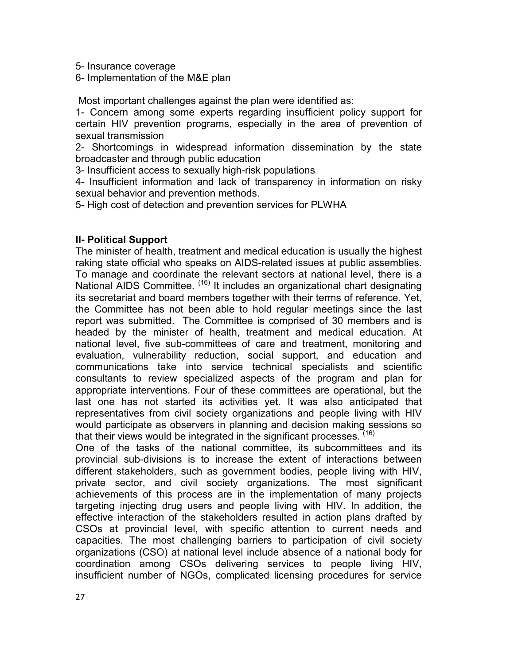5- Insurance coverage

6- Implementation of the M&E plan

Most important challenges against the plan were identified as:

1- Concern among some experts regarding insufficient policy support for certain HIV prevention programs, especially in the area of prevention of sexual transmission

2- Shortcomings in widespread information dissemination by the state broadcaster and through public education

3- Insufficient access to sexually high-risk populations

4- Insufficient information and lack of transparency in information on risky sexual behavior and prevention methods.

5- High cost of detection and prevention services for PLWHA

### **II- Political Support**

The minister of health, treatment and medical education is usually the highest raking state official who speaks on AIDS-related issues at public assemblies. To manage and coordinate the relevant sectors at national level, there is a National AIDS Committee. <sup>(16)</sup> It includes an organizational chart designating its secretariat and board members together with their terms of reference. Yet, the Committee has not been able to hold regular meetings since the last report was submitted. The Committee is comprised of 30 members and is headed by the minister of health, treatment and medical education. At national level, five sub-committees of care and treatment, monitoring and evaluation, vulnerability reduction, social support, and education and communications take into service technical specialists and scientific consultants to review specialized aspects of the program and plan for appropriate interventions. Four of these committees are operational, but the last one has not started its activities yet. It was also anticipated that representatives from civil society organizations and people living with HIV would participate as observers in planning and decision making sessions so that their views would be integrated in the significant processes. <sup>(16)</sup>

One of the tasks of the national committee, its subcommittees and its provincial sub-divisions is to increase the extent of interactions between different stakeholders, such as government bodies, people living with HIV, private sector, and civil society organizations. The most significant achievements of this process are in the implementation of many projects targeting injecting drug users and people living with HIV. In addition, the effective interaction of the stakeholders resulted in action plans drafted by CSOs at provincial level, with specific attention to current needs and capacities. The most challenging barriers to participation of civil society organizations (CSO) at national level include absence of a national body for coordination among CSOs delivering services to people living HIV, insufficient number of NGOs, complicated licensing procedures for service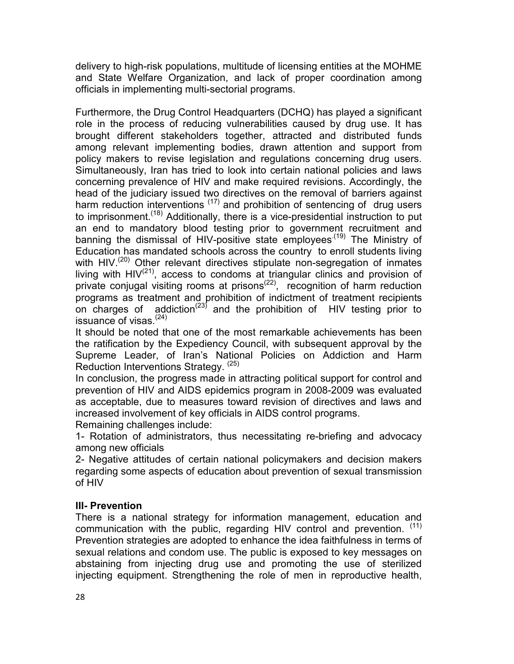delivery to high-risk populations, multitude of licensing entities at the MOHME and State Welfare Organization, and lack of proper coordination among officials in implementing multi-sectorial programs.

Furthermore, the Drug Control Headquarters (DCHQ) has played a significant role in the process of reducing vulnerabilities caused by drug use. It has brought different stakeholders together, attracted and distributed funds among relevant implementing bodies, drawn attention and support from policy makers to revise legislation and regulations concerning drug users. Simultaneously, Iran has tried to look into certain national policies and laws concerning prevalence of HIV and make required revisions. Accordingly, the head of the judiciary issued two directives on the removal of barriers against harm reduction interventions  $(17)$  and prohibition of sentencing of drug users to imprisonment.<sup>(18)</sup> Additionally, there is a vice-presidential instruction to put an end to mandatory blood testing prior to government recruitment and banning the dismissal of HIV-positive state employees<sup>(19)</sup> The Ministry of Education has mandated schools across the country to enroll students living with HIV.<sup>(20)</sup> Other relevant directives stipulate non-segregation of inmates living with  $HIV^{(21)}$ , access to condoms at triangular clinics and provision of private conjugal visiting rooms at prisons<sup> $(22)$ </sup>, recognition of harm reduction programs as treatment and prohibition of indictment of treatment recipients on charges of addiction<sup>(23)</sup> and the prohibition of HIV testing prior to issuance of visas. $(24)$ 

It should be noted that one of the most remarkable achievements has been the ratification by the Expediency Council, with subsequent approval by the Supreme Leader, of Iran's National Policies on Addiction and Harm Reduction Interventions Strategy. (25)

In conclusion, the progress made in attracting political support for control and prevention of HIV and AIDS epidemics program in 2008-2009 was evaluated as acceptable, due to measures toward revision of directives and laws and increased involvement of key officials in AIDS control programs. Remaining challenges include:

1- Rotation of administrators, thus necessitating re-briefing and advocacy among new officials

2- Negative attitudes of certain national policymakers and decision makers regarding some aspects of education about prevention of sexual transmission of HIV

### **III- Prevention**

There is a national strategy for information management, education and communication with the public, regarding HIV control and prevention. (11) Prevention strategies are adopted to enhance the idea faithfulness in terms of sexual relations and condom use. The public is exposed to key messages on abstaining from injecting drug use and promoting the use of sterilized injecting equipment. Strengthening the role of men in reproductive health,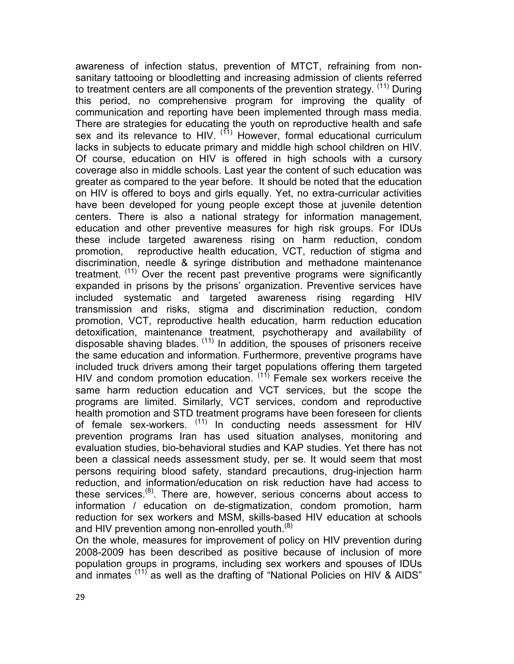awareness of infection status, prevention of MTCT, refraining from nonsanitary tattooing or bloodletting and increasing admission of clients referred to treatment centers are all components of the prevention strategy. <sup>(11)</sup> During this period, no comprehensive program for improving the quality of communication and reporting have been implemented through mass media. There are strategies for educating the youth on reproductive health and safe sex and its relevance to HIV.  $(11)$  However, formal educational curriculum lacks in subjects to educate primary and middle high school children on HIV. Of course, education on HIV is offered in high schools with a cursory coverage also in middle schools. Last year the content of such education was greater as compared to the year before. It should be noted that the education on HIV is offered to boys and girls equally. Yet, no extra-curricular activities have been developed for young people except those at juvenile detention centers. There is also a national strategy for information management, education and other preventive measures for high risk groups. For IDUs these include targeted awareness rising on harm reduction, condom promotion, reproductive health education, VCT, reduction of stigma and discrimination, needle & syringe distribution and methadone maintenance treatment. <sup>(11)</sup> Over the recent past preventive programs were significantly expanded in prisons by the prisons' organization. Preventive services have included systematic and targeted awareness rising regarding HIV transmission and risks, stigma and discrimination reduction, condom promotion, VCT, reproductive health education, harm reduction education detoxification, maintenance treatment, psychotherapy and availability of disposable shaving blades.  $(11)$  In addition, the spouses of prisoners receive the same education and information. Furthermore, preventive programs have included truck drivers among their target populations offering them targeted HIV and condom promotion education.  $(11)$  Female sex workers receive the same harm reduction education and VCT services, but the scope the programs are limited. Similarly, VCT services, condom and reproductive health promotion and STD treatment programs have been foreseen for clients of female sex-workers. (11) In conducting needs assessment for HIV prevention programs Iran has used situation analyses, monitoring and evaluation studies, bio-behavioral studies and KAP studies. Yet there has not been a classical needs assessment study, per se. It would seem that most persons requiring blood safety, standard precautions, drug-injection harm reduction, and information/education on risk reduction have had access to these services.<sup>(8)</sup>. There are, however, serious concerns about access to information / education on de-stigmatization, condom promotion, harm reduction for sex workers and MSM, skills-based HIV education at schools and HIV prevention among non-enrolled youth.<sup>(8)</sup>

On the whole, measures for improvement of policy on HIV prevention during 2008-2009 has been described as positive because of inclusion of more population groups in programs, including sex workers and spouses of IDUs and inmates (11) as well as the drafting of "National Policies on HIV & AIDS"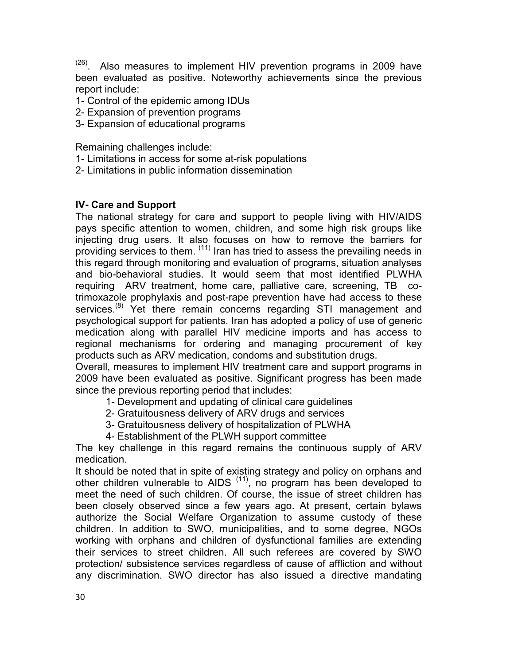$(26)$ . Also measures to implement HIV prevention programs in 2009 have been evaluated as positive. Noteworthy achievements since the previous report include:

- 1- Control of the epidemic among IDUs
- 2- Expansion of prevention programs
- 3- Expansion of educational programs

Remaining challenges include:

- 1- Limitations in access for some at-risk populations
- 2- Limitations in public information dissemination

### **IV- Care and Support**

The national strategy for care and support to people living with HIV/AIDS pays specific attention to women, children, and some high risk groups like injecting drug users. It also focuses on how to remove the barriers for providing services to them. <sup>(11)</sup> Iran has tried to assess the prevailing needs in this regard through monitoring and evaluation of programs, situation analyses and bio-behavioral studies. It would seem that most identified PLWHA requiring ARV treatment, home care, palliative care, screening, TB cotrimoxazole prophylaxis and post-rape prevention have had access to these services.<sup>(8)</sup> Yet there remain concerns regarding STI management and psychological support for patients. Iran has adopted a policy of use of generic medication along with parallel HIV medicine imports and has access to regional mechanisms for ordering and managing procurement of key products such as ARV medication, condoms and substitution drugs.

Overall, measures to implement HIV treatment care and support programs in 2009 have been evaluated as positive. Significant progress has been made since the previous reporting period that includes:

- 1- Development and updating of clinical care guidelines
- 2- Gratuitousness delivery of ARV drugs and services
- 3- Gratuitousness delivery of hospitalization of PLWHA
- 4- Establishment of the PLWH support committee

The key challenge in this regard remains the continuous supply of ARV medication.

It should be noted that in spite of existing strategy and policy on orphans and other children vulnerable to AIDS  $(11)$ , no program has been developed to meet the need of such children. Of course, the issue of street children has been closely observed since a few years ago. At present, certain bylaws authorize the Social Welfare Organization to assume custody of these children. In addition to SWO, municipalities, and to some degree, NGOs working with orphans and children of dysfunctional families are extending their services to street children. All such referees are covered by SWO protection/ subsistence services regardless of cause of affliction and without any discrimination. SWO director has also issued a directive mandating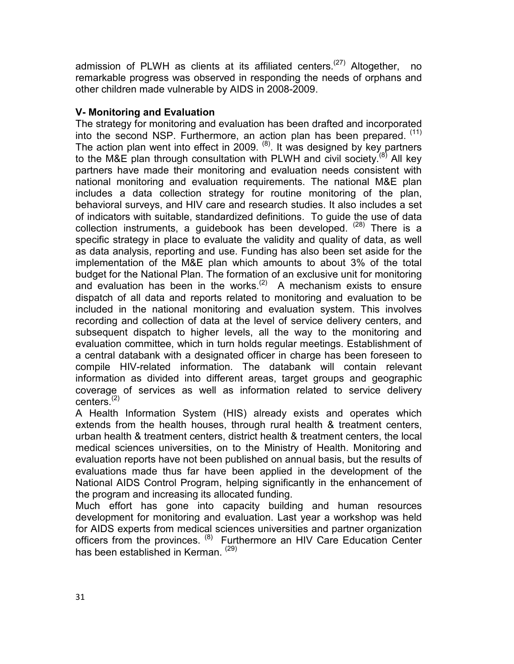admission of PLWH as clients at its affiliated centers.<sup>(27)</sup> Altogether, no remarkable progress was observed in responding the needs of orphans and other children made vulnerable by AIDS in 2008-2009.

# **V- Monitoring and Evaluation**

The strategy for monitoring and evaluation has been drafted and incorporated into the second NSP. Furthermore, an action plan has been prepared. (11) The action plan went into effect in 2009.  $(8)$ . It was designed by key partners to the M&E plan through consultation with PLWH and civil society.<sup>(8)</sup> All key partners have made their monitoring and evaluation needs consistent with national monitoring and evaluation requirements. The national M&E plan includes a data collection strategy for routine monitoring of the plan, behavioral surveys, and HIV care and research studies. It also includes a set of indicators with suitable, standardized definitions. To guide the use of data collection instruments, a guidebook has been developed.  $(28)$  There is a specific strategy in place to evaluate the validity and quality of data, as well as data analysis, reporting and use. Funding has also been set aside for the implementation of the M&E plan which amounts to about 3% of the total budget for the National Plan. The formation of an exclusive unit for monitoring and evaluation has been in the works.<sup>(2)</sup> A mechanism exists to ensure dispatch of all data and reports related to monitoring and evaluation to be included in the national monitoring and evaluation system. This involves recording and collection of data at the level of service delivery centers, and subsequent dispatch to higher levels, all the way to the monitoring and evaluation committee, which in turn holds regular meetings. Establishment of a central databank with a designated officer in charge has been foreseen to compile HIV-related information. The databank will contain relevant information as divided into different areas, target groups and geographic coverage of services as well as information related to service delivery centers<sup>(2)</sup>

A Health Information System (HIS) already exists and operates which extends from the health houses, through rural health & treatment centers, urban health & treatment centers, district health & treatment centers, the local medical sciences universities, on to the Ministry of Health. Monitoring and evaluation reports have not been published on annual basis, but the results of evaluations made thus far have been applied in the development of the National AIDS Control Program, helping significantly in the enhancement of the program and increasing its allocated funding.

Much effort has gone into capacity building and human resources development for monitoring and evaluation. Last year a workshop was held for AIDS experts from medical sciences universities and partner organization officers from the provinces. (8) Furthermore an HIV Care Education Center has been established in Kerman. (29)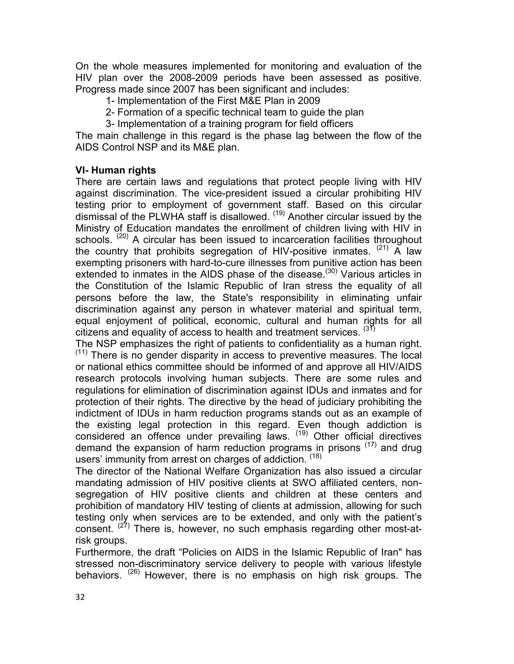On the whole measures implemented for monitoring and evaluation of the HIV plan over the 2008-2009 periods have been assessed as positive. Progress made since 2007 has been significant and includes:

- 1- Implementation of the First M&E Plan in 2009
- 2- Formation of a specific technical team to guide the plan
- 3- Implementation of a training program for field officers

The main challenge in this regard is the phase lag between the flow of the AIDS Control NSP and its M&E plan.

## **VI- Human rights**

There are certain laws and regulations that protect people living with HIV against discrimination. The vice-president issued a circular prohibiting HIV testing prior to employment of government staff. Based on this circular dismissal of the PLWHA staff is disallowed. (19) Another circular issued by the Ministry of Education mandates the enrollment of children living with HIV in schools. <sup>(20)</sup> A circular has been issued to incarceration facilities throughout the country that prohibits segregation of HIV-positive inmates.  $(21)$  A law exempting prisoners with hard-to-cure illnesses from punitive action has been extended to inmates in the AIDS phase of the disease.<sup>(30)</sup> Various articles in the Constitution of the Islamic Republic of Iran stress the equality of all persons before the law, the State's responsibility in eliminating unfair discrimination against any person in whatever material and spiritual term, equal enjoyment of political, economic, cultural and human rights for all citizens and equality of access to health and treatment services.  $(31)$ 

The NSP emphasizes the right of patients to confidentiality as a human right.  $(11)$  There is no gender disparity in access to preventive measures. The local or national ethics committee should be informed of and approve all HIV/AIDS research protocols involving human subjects. There are some rules and regulations for elimination of discrimination against IDUs and inmates and for protection of their rights. The directive by the head of judiciary prohibiting the indictment of IDUs in harm reduction programs stands out as an example of the existing legal protection in this regard. Even though addiction is considered an offence under prevailing laws. (19) Other official directives demand the expansion of harm reduction programs in prisons  $(17)$  and drug users' immunity from arrest on charges of addiction. (18)

The director of the National Welfare Organization has also issued a circular mandating admission of HIV positive clients at SWO affiliated centers, nonsegregation of HIV positive clients and children at these centers and prohibition of mandatory HIV testing of clients at admission, allowing for such testing only when services are to be extended, and only with the patient's consent. <sup>(27)</sup> There is, however, no such emphasis regarding other most-atrisk groups.

Furthermore, the draft "Policies on AIDS in the Islamic Republic of Iran" has stressed non-discriminatory service delivery to people with various lifestyle behaviors. (26) However, there is no emphasis on high risk groups. The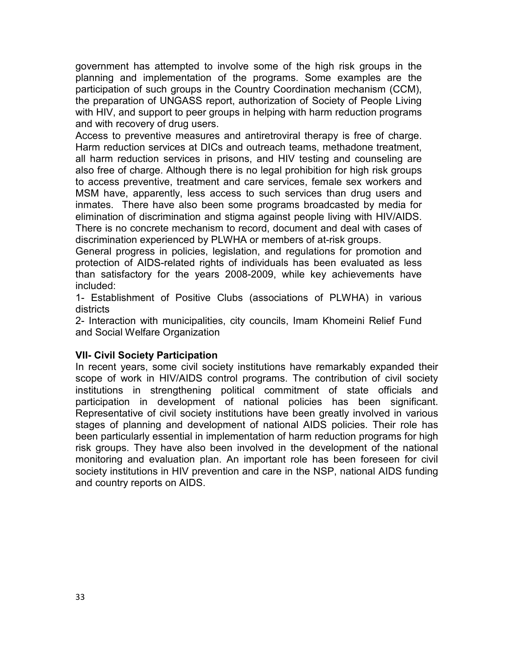government has attempted to involve some of the high risk groups in the planning and implementation of the programs. Some examples are the participation of such groups in the Country Coordination mechanism (CCM), the preparation of UNGASS report, authorization of Society of People Living with HIV, and support to peer groups in helping with harm reduction programs and with recovery of drug users.

Access to preventive measures and antiretroviral therapy is free of charge. Harm reduction services at DICs and outreach teams, methadone treatment, all harm reduction services in prisons, and HIV testing and counseling are also free of charge. Although there is no legal prohibition for high risk groups to access preventive, treatment and care services, female sex workers and MSM have, apparently, less access to such services than drug users and inmates. There have also been some programs broadcasted by media for elimination of discrimination and stigma against people living with HIV/AIDS. There is no concrete mechanism to record, document and deal with cases of discrimination experienced by PLWHA or members of at-risk groups.

General progress in policies, legislation, and regulations for promotion and protection of AIDS-related rights of individuals has been evaluated as less than satisfactory for the years 2008-2009, while key achievements have included:

1- Establishment of Positive Clubs (associations of PLWHA) in various districts

2- Interaction with municipalities, city councils, Imam Khomeini Relief Fund and Social Welfare Organization

### **VII- Civil Society Participation**

In recent years, some civil society institutions have remarkably expanded their scope of work in HIV/AIDS control programs. The contribution of civil society institutions in strengthening political commitment of state officials and participation in development of national policies has been significant. Representative of civil society institutions have been greatly involved in various stages of planning and development of national AIDS policies. Their role has been particularly essential in implementation of harm reduction programs for high risk groups. They have also been involved in the development of the national monitoring and evaluation plan. An important role has been foreseen for civil society institutions in HIV prevention and care in the NSP, national AIDS funding and country reports on AIDS.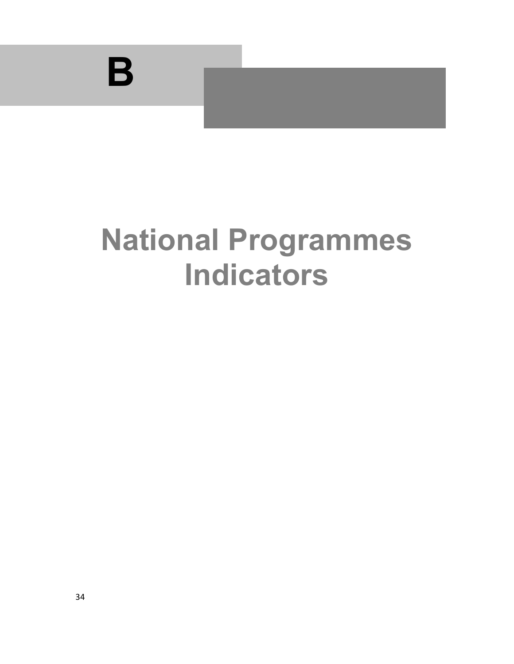

# **National Programmes Indicators**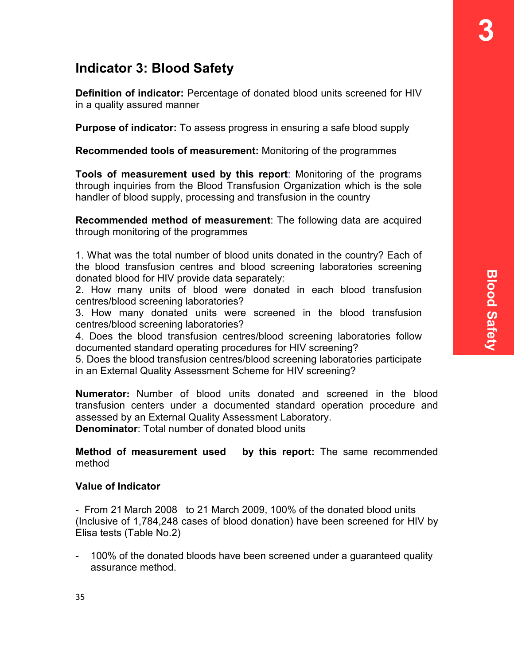# **Indicator 3: Blood Safety**

**Definition of indicator:** Percentage of donated blood units screened for HIV in a quality assured manner

**Purpose of indicator:** To assess progress in ensuring a safe blood supply

**Recommended tools of measurement:** Monitoring of the programmes

**Tools of measurement used by this report**: Monitoring of the programs through inquiries from the Blood Transfusion Organization which is the sole handler of blood supply, processing and transfusion in the country

**Recommended method of measurement**: The following data are acquired through monitoring of the programmes

1. What was the total number of blood units donated in the country? Each of the blood transfusion centres and blood screening laboratories screening donated blood for HIV provide data separately:

2. How many units of blood were donated in each blood transfusion centres/blood screening laboratories?

3. How many donated units were screened in the blood transfusion centres/blood screening laboratories?

4. Does the blood transfusion centres/blood screening laboratories follow documented standard operating procedures for HIV screening?

5. Does the blood transfusion centres/blood screening laboratories participate in an External Quality Assessment Scheme for HIV screening?

**Numerator:** Number of blood units donated and screened in the blood transfusion centers under a documented standard operation procedure and assessed by an External Quality Assessment Laboratory.

**Denominator**: Total number of donated blood units

**Method of measurement used by this report:** The same recommended method

# **Value of Indicator**

- From 21 March 2008 to 21 March 2009, 100% of the donated blood units (Inclusive of 1,784,248 cases of blood donation) have been screened for HIV by Elisa tests (Table No.2)

- 100% of the donated bloods have been screened under a guaranteed quality assurance method.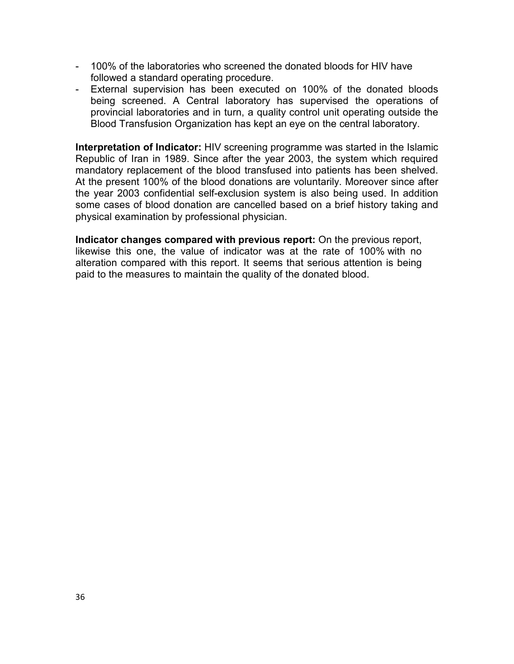- 100% of the laboratories who screened the donated bloods for HIV have followed a standard operating procedure.
- External supervision has been executed on 100% of the donated bloods being screened. A Central laboratory has supervised the operations of provincial laboratories and in turn, a quality control unit operating outside the Blood Transfusion Organization has kept an eye on the central laboratory.

**Interpretation of Indicator:** HIV screening programme was started in the Islamic Republic of Iran in 1989. Since after the year 2003, the system which required mandatory replacement of the blood transfused into patients has been shelved. At the present 100% of the blood donations are voluntarily. Moreover since after the year 2003 confidential self-exclusion system is also being used. In addition some cases of blood donation are cancelled based on a brief history taking and physical examination by professional physician.

**Indicator changes compared with previous report:** On the previous report, likewise this one, the value of indicator was at the rate of 100% with no alteration compared with this report. It seems that serious attention is being paid to the measures to maintain the quality of the donated blood.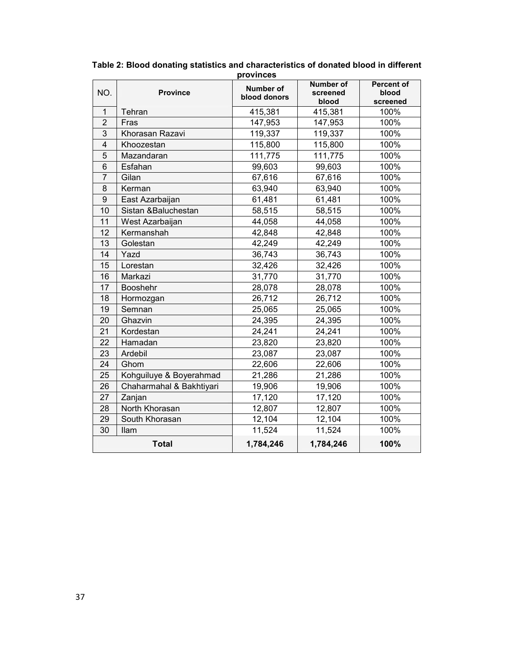| NO.                     | <b>Province</b>          | Number of    | <b>Number of</b><br>screened | <b>Percent of</b><br>blood |
|-------------------------|--------------------------|--------------|------------------------------|----------------------------|
|                         |                          | blood donors | blood                        | screened                   |
| $\mathbf{1}$            | Tehran                   | 415,381      | 415,381                      | 100%                       |
| $\overline{2}$          | Fras                     | 147,953      | 147,953                      | 100%                       |
| 3                       | Khorasan Razavi          | 119,337      | 119,337                      | 100%                       |
| $\overline{\mathbf{4}}$ | Khoozestan               | 115,800      | 115,800                      | 100%                       |
| 5                       | Mazandaran               | 111,775      | 111,775                      | 100%                       |
| 6                       | Esfahan                  | 99,603       | 99,603                       | 100%                       |
| $\overline{7}$          | Gilan                    | 67,616       | 67,616                       | 100%                       |
| 8                       | Kerman                   | 63,940       | 63,940                       | 100%                       |
| 9                       | East Azarbaijan          | 61,481       | 61,481                       | 100%                       |
| 10                      | Sistan &Baluchestan      | 58,515       | 58,515                       | 100%                       |
| 11                      | West Azarbaijan          | 44,058       | 44,058                       | 100%                       |
| 12                      | Kermanshah               | 42,848       | 42,848                       | 100%                       |
| 13                      | Golestan                 | 42,249       | 42,249                       | 100%                       |
| 14                      | Yazd                     | 36,743       | 36,743                       | 100%                       |
| 15                      | Lorestan                 | 32,426       | 32,426                       | 100%                       |
| 16                      | Markazi                  | 31,770       | 31,770                       | 100%                       |
| 17                      | Booshehr                 | 28,078       | 28,078                       | 100%                       |
| 18                      | Hormozgan                | 26,712       | 26,712                       | 100%                       |
| 19                      | Semnan                   | 25,065       | 25,065                       | 100%                       |
| 20                      | Ghazvin                  | 24,395       | 24,395                       | 100%                       |
| 21                      | Kordestan                | 24,241       | 24,241                       | 100%                       |
| 22                      | Hamadan                  | 23,820       | 23,820                       | 100%                       |
| 23                      | Ardebil                  | 23,087       | 23,087                       | 100%                       |
| 24                      | Ghom                     | 22,606       | 22,606                       | 100%                       |
| 25                      | Kohguiluye & Boyerahmad  | 21,286       | 21,286                       | 100%                       |
| 26                      | Chaharmahal & Bakhtiyari | 19,906       | 19,906                       | 100%                       |
| 27                      | Zanjan                   | 17,120       | 17,120                       | 100%                       |
| 28                      | North Khorasan           | 12,807       | 12,807                       | 100%                       |
| 29                      | South Khorasan           | 12,104       | 12,104                       | 100%                       |
| 30                      | llam                     | 11,524       | 11,524                       | 100%                       |
|                         | <b>Total</b>             | 1,784,246    | 1,784,246                    | 100%                       |

**Table 2: Blood donating statistics and characteristics of donated blood in different provinces**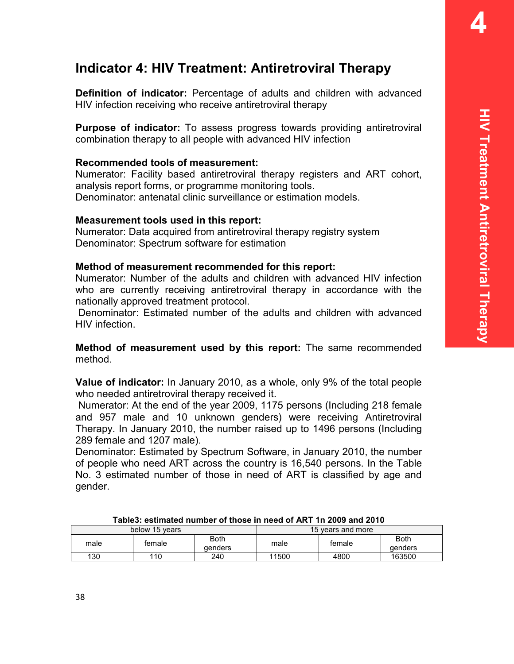# **Indicator 4: HIV Treatment: Antiretroviral Therapy**

**Definition of indicator:** Percentage of adults and children with advanced HIV infection receiving who receive antiretroviral therapy

**Purpose of indicator:** To assess progress towards providing antiretroviral combination therapy to all people with advanced HIV infection

## **Recommended tools of measurement:**

Numerator: Facility based antiretroviral therapy registers and ART cohort, analysis report forms, or programme monitoring tools. Denominator: antenatal clinic surveillance or estimation models.

## **Measurement tools used in this report:**

Numerator: Data acquired from antiretroviral therapy registry system Denominator: Spectrum software for estimation

## **Method of measurement recommended for this report:**

Numerator: Number of the adults and children with advanced HIV infection who are currently receiving antiretroviral therapy in accordance with the nationally approved treatment protocol.

 Denominator: Estimated number of the adults and children with advanced HIV infection.

**Method of measurement used by this report:** The same recommended method.

**Value of indicator:** In January 2010, as a whole, only 9% of the total people who needed antiretroviral therapy received it.

 Numerator: At the end of the year 2009, 1175 persons (Including 218 female and 957 male and 10 unknown genders) were receiving Antiretroviral Therapy. In January 2010, the number raised up to 1496 persons (Including 289 female and 1207 male).

Denominator: Estimated by Spectrum Software, in January 2010, the number of people who need ART across the country is 16,540 persons. In the Table No. 3 estimated number of those in need of ART is classified by age and gender.

|      | below 15 years |                 | 15 years and more |        |                 |  |  |  |
|------|----------------|-----------------|-------------------|--------|-----------------|--|--|--|
| male | female         | Both<br>denders | male              | female | Both<br>denders |  |  |  |
| 130  | 110            | 240             | 11500             | 4800   | 163500          |  |  |  |

**Table3: estimated number of those in need of ART 1n 2009 and 2010**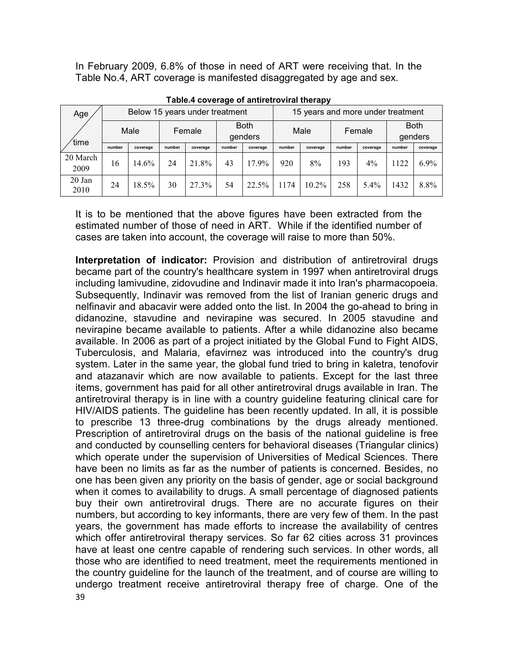In February 2009, 6.8% of those in need of ART were receiving that. In the Table No.4, ART coverage is manifested disaggregated by age and sex.

| Age              |        | Below 15 years under treatment |        |                                  |        |          | 15 years and more under treatment |          |        |          |                        |          |  |
|------------------|--------|--------------------------------|--------|----------------------------------|--------|----------|-----------------------------------|----------|--------|----------|------------------------|----------|--|
| time             | Male   |                                |        | <b>Both</b><br>Female<br>genders |        |          | Male                              |          | Female |          | <b>Both</b><br>genders |          |  |
|                  | number | coverage                       | number | coverage                         | number | coverage | number                            | coverage | number | coverage | number                 | coverage |  |
| 20 March<br>2009 | 16     | 14.6%                          | 24     | 21.8%                            | 43     | $17.9\%$ | 920                               | 8%       | 193    | 4%       | 1122                   | $6.9\%$  |  |
| 20 Jan<br>2010   | 24     | 18.5%                          | 30     | 27 3%                            | 54     | 22.5%    | 1174                              | $10.2\%$ | 258    | 5.4%     | 1432                   | 8.8%     |  |

**Table.4 coverage of antiretroviral therapy** 

It is to be mentioned that the above figures have been extracted from the estimated number of those of need in ART. While if the identified number of cases are taken into account, the coverage will raise to more than 50%.

39 **Interpretation of indicator:** Provision and distribution of antiretroviral drugs became part of the country's healthcare system in 1997 when antiretroviral drugs including lamivudine, zidovudine and Indinavir made it into Iran's pharmacopoeia. Subsequently, Indinavir was removed from the list of Iranian generic drugs and nelfinavir and abacavir were added onto the list. In 2004 the go-ahead to bring in didanozine, stavudine and nevirapine was secured. In 2005 stavudine and nevirapine became available to patients. After a while didanozine also became available. In 2006 as part of a project initiated by the Global Fund to Fight AIDS, Tuberculosis, and Malaria, efavirnez was introduced into the country's drug system. Later in the same year, the global fund tried to bring in kaletra, tenofovir and atazanavir which are now available to patients. Except for the last three items, government has paid for all other antiretroviral drugs available in Iran. The antiretroviral therapy is in line with a country guideline featuring clinical care for HIV/AIDS patients. The guideline has been recently updated. In all, it is possible to prescribe 13 three-drug combinations by the drugs already mentioned. Prescription of antiretroviral drugs on the basis of the national guideline is free and conducted by counselling centers for behavioral diseases (Triangular clinics) which operate under the supervision of Universities of Medical Sciences. There have been no limits as far as the number of patients is concerned. Besides, no one has been given any priority on the basis of gender, age or social background when it comes to availability to drugs. A small percentage of diagnosed patients buy their own antiretroviral drugs. There are no accurate figures on their numbers, but according to key informants, there are very few of them. In the past years, the government has made efforts to increase the availability of centres which offer antiretroviral therapy services. So far 62 cities across 31 provinces have at least one centre capable of rendering such services. In other words, all those who are identified to need treatment, meet the requirements mentioned in the country guideline for the launch of the treatment, and of course are willing to undergo treatment receive antiretroviral therapy free of charge. One of the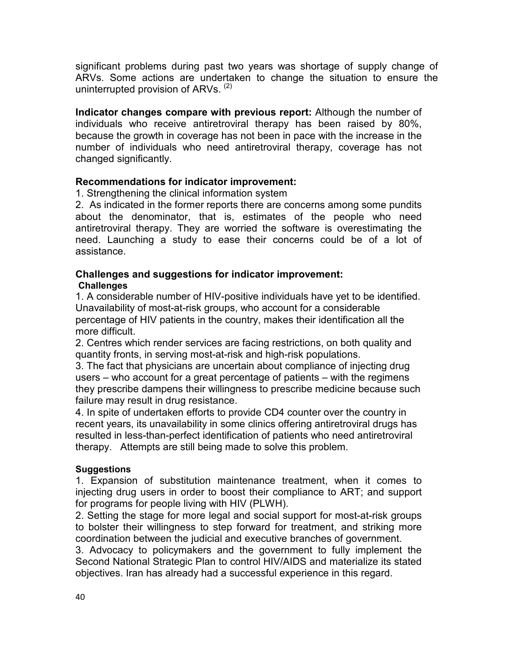significant problems during past two years was shortage of supply change of ARVs. Some actions are undertaken to change the situation to ensure the uninterrupted provision of ARVs. (2)

**Indicator changes compare with previous report:** Although the number of individuals who receive antiretroviral therapy has been raised by 80%, because the growth in coverage has not been in pace with the increase in the number of individuals who need antiretroviral therapy, coverage has not changed significantly.

## **Recommendations for indicator improvement:**

1. Strengthening the clinical information system

2. As indicated in the former reports there are concerns among some pundits about the denominator, that is, estimates of the people who need antiretroviral therapy. They are worried the software is overestimating the need. Launching a study to ease their concerns could be of a lot of assistance.

#### **Challenges and suggestions for indicator improvement: Challenges**

1. A considerable number of HIV-positive individuals have yet to be identified. Unavailability of most-at-risk groups, who account for a considerable percentage of HIV patients in the country, makes their identification all the more difficult.

2. Centres which render services are facing restrictions, on both quality and quantity fronts, in serving most-at-risk and high-risk populations.

3. The fact that physicians are uncertain about compliance of injecting drug users – who account for a great percentage of patients – with the regimens they prescribe dampens their willingness to prescribe medicine because such failure may result in drug resistance.

4. In spite of undertaken efforts to provide CD4 counter over the country in recent years, its unavailability in some clinics offering antiretroviral drugs has resulted in less-than-perfect identification of patients who need antiretroviral therapy. Attempts are still being made to solve this problem.

#### **Suggestions**

1. Expansion of substitution maintenance treatment, when it comes to injecting drug users in order to boost their compliance to ART; and support for programs for people living with HIV (PLWH).

2. Setting the stage for more legal and social support for most-at-risk groups to bolster their willingness to step forward for treatment, and striking more coordination between the judicial and executive branches of government.

3. Advocacy to policymakers and the government to fully implement the Second National Strategic Plan to control HIV/AIDS and materialize its stated objectives. Iran has already had a successful experience in this regard.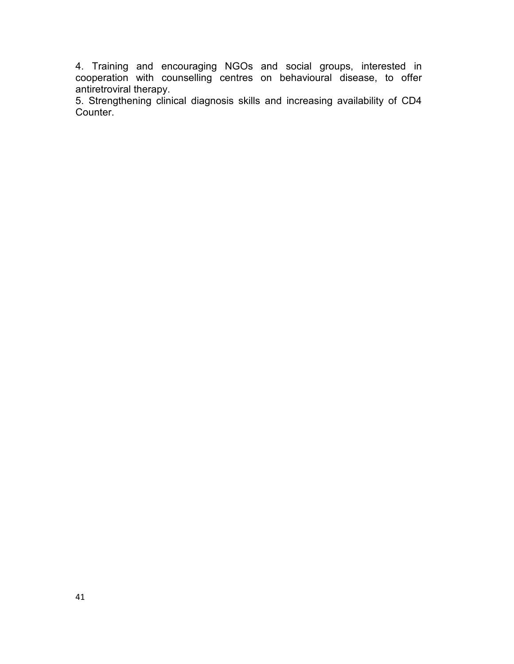4. Training and encouraging NGOs and social groups, interested in cooperation with counselling centres on behavioural disease, to offer antiretroviral therapy.

5. Strengthening clinical diagnosis skills and increasing availability of CD4 Counter.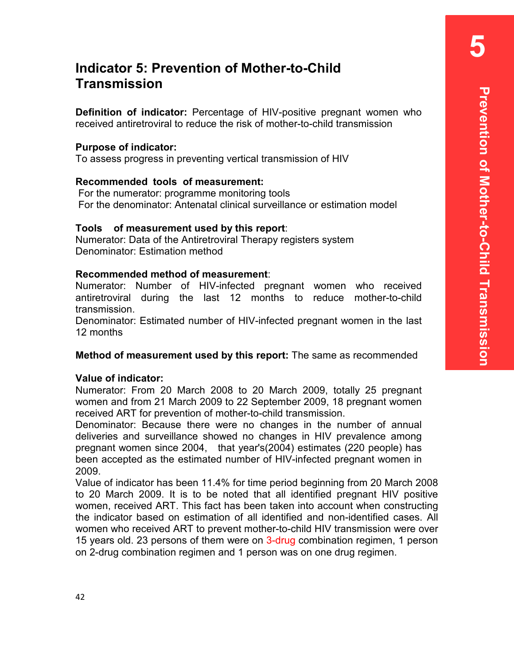# **Indicator 5: Prevention of Mother-to-Child Transmission**

**Definition of indicator:** Percentage of HIV-positive pregnant women who received antiretroviral to reduce the risk of mother-to-child transmission

#### **Purpose of indicator:**

To assess progress in preventing vertical transmission of HIV

#### **Recommended tools of measurement:**

 For the numerator: programme monitoring tools For the denominator: Antenatal clinical surveillance or estimation model

#### **Tools of measurement used by this report**:

Numerator: Data of the Antiretroviral Therapy registers system Denominator: Estimation method

#### **Recommended method of measurement**:

Numerator: Number of HIV-infected pregnant women who received antiretroviral during the last 12 months to reduce mother-to-child transmission.

Denominator: Estimated number of HIV-infected pregnant women in the last 12 months

#### **Method of measurement used by this report:** The same as recommended

#### **Value of indicator:**

Numerator: From 20 March 2008 to 20 March 2009, totally 25 pregnant women and from 21 March 2009 to 22 September 2009, 18 pregnant women received ART for prevention of mother-to-child transmission.

Denominator: Because there were no changes in the number of annual deliveries and surveillance showed no changes in HIV prevalence among pregnant women since 2004, that year's(2004) estimates (220 people) has been accepted as the estimated number of HIV-infected pregnant women in 2009.

Value of indicator has been 11.4% for time period beginning from 20 March 2008 to 20 March 2009. It is to be noted that all identified pregnant HIV positive women, received ART. This fact has been taken into account when constructing the indicator based on estimation of all identified and non-identified cases. All women who received ART to prevent mother-to-child HIV transmission were over 15 years old. 23 persons of them were on 3-drug combination regimen, 1 person on 2-drug combination regimen and 1 person was on one drug regimen.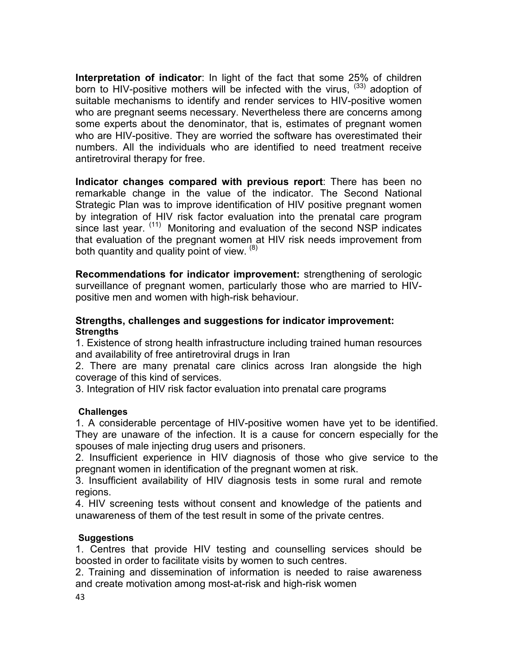**Interpretation of indicator**: In light of the fact that some 25% of children born to HIV-positive mothers will be infected with the virus,  $(33)$  adoption of suitable mechanisms to identify and render services to HIV-positive women who are pregnant seems necessary. Nevertheless there are concerns among some experts about the denominator, that is, estimates of pregnant women who are HIV-positive. They are worried the software has overestimated their numbers. All the individuals who are identified to need treatment receive antiretroviral therapy for free.

**Indicator changes compared with previous report**: There has been no remarkable change in the value of the indicator. The Second National Strategic Plan was to improve identification of HIV positive pregnant women by integration of HIV risk factor evaluation into the prenatal care program since last year.  $(11)$  Monitoring and evaluation of the second NSP indicates that evaluation of the pregnant women at HIV risk needs improvement from both quantity and quality point of view. <sup>(8)</sup>

**Recommendations for indicator improvement:** strengthening of serologic surveillance of pregnant women, particularly those who are married to HIVpositive men and women with high-risk behaviour.

#### **Strengths, challenges and suggestions for indicator improvement: Strengths**

1. Existence of strong health infrastructure including trained human resources and availability of free antiretroviral drugs in Iran

2. There are many prenatal care clinics across Iran alongside the high coverage of this kind of services.

3. Integration of HIV risk factor evaluation into prenatal care programs

#### **Challenges**

1. A considerable percentage of HIV-positive women have yet to be identified. They are unaware of the infection. It is a cause for concern especially for the spouses of male injecting drug users and prisoners.

2. Insufficient experience in HIV diagnosis of those who give service to the pregnant women in identification of the pregnant women at risk.

3. Insufficient availability of HIV diagnosis tests in some rural and remote regions.

4. HIV screening tests without consent and knowledge of the patients and unawareness of them of the test result in some of the private centres.

#### **Suggestions**

1. Centres that provide HIV testing and counselling services should be boosted in order to facilitate visits by women to such centres.

2. Training and dissemination of information is needed to raise awareness and create motivation among most-at-risk and high-risk women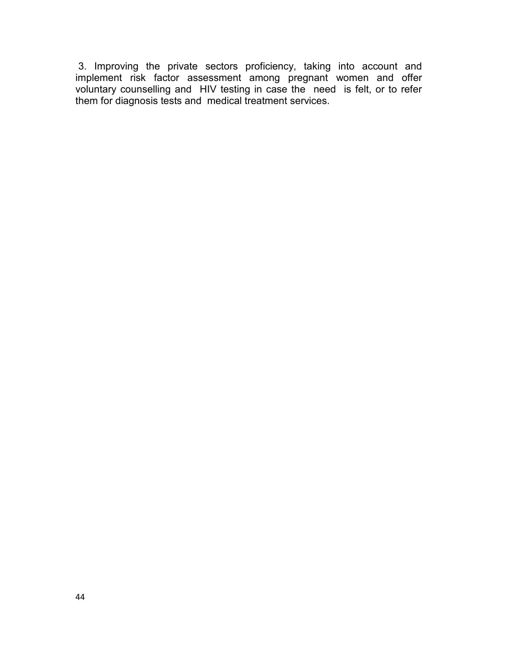3. Improving the private sectors proficiency, taking into account and implement risk factor assessment among pregnant women and offer voluntary counselling and HIV testing in case the need is felt, or to refer them for diagnosis tests and medical treatment services.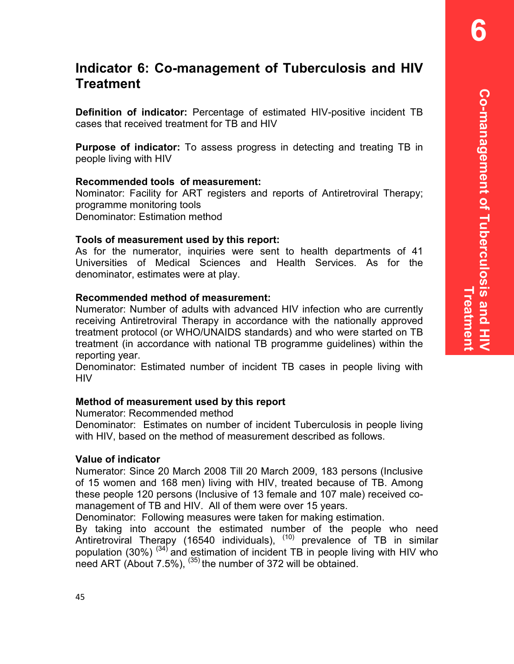**6** 

# **Indicator 6: Co-management of Tuberculosis and HIV Treatment**

**Definition of indicator:** Percentage of estimated HIV-positive incident TB cases that received treatment for TB and HIV

**Purpose of indicator:** To assess progress in detecting and treating TB in people living with HIV

#### **Recommended tools of measurement:**

Nominator: Facility for ART registers and reports of Antiretroviral Therapy; programme monitoring tools Denominator: Estimation method

#### **Tools of measurement used by this report:**

As for the numerator, inquiries were sent to health departments of 41 Universities of Medical Sciences and Health Services. As for the denominator, estimates were at play.

#### **Recommended method of measurement:**

Numerator: Number of adults with advanced HIV infection who are currently receiving Antiretroviral Therapy in accordance with the nationally approved treatment protocol (or WHO/UNAIDS standards) and who were started on TB treatment (in accordance with national TB programme guidelines) within the reporting year.

Denominator: Estimated number of incident TB cases in people living with HIV

#### **Method of measurement used by this report**

Numerator: Recommended method

Denominator: Estimates on number of incident Tuberculosis in people living with HIV, based on the method of measurement described as follows.

#### **Value of indicator**

Numerator: Since 20 March 2008 Till 20 March 2009, 183 persons (Inclusive of 15 women and 168 men) living with HIV, treated because of TB. Among these people 120 persons (Inclusive of 13 female and 107 male) received comanagement of TB and HIV. All of them were over 15 years.

Denominator: Following measures were taken for making estimation.

By taking into account the estimated number of the people who need Antiretroviral Therapy (16540 individuals), <sup>(10)</sup> prevalence of TB in similar population (30%)  $(34)$  and estimation of incident TB in people living with HIV who need ART (About 7.5%), (35) the number of 372 will be obtained.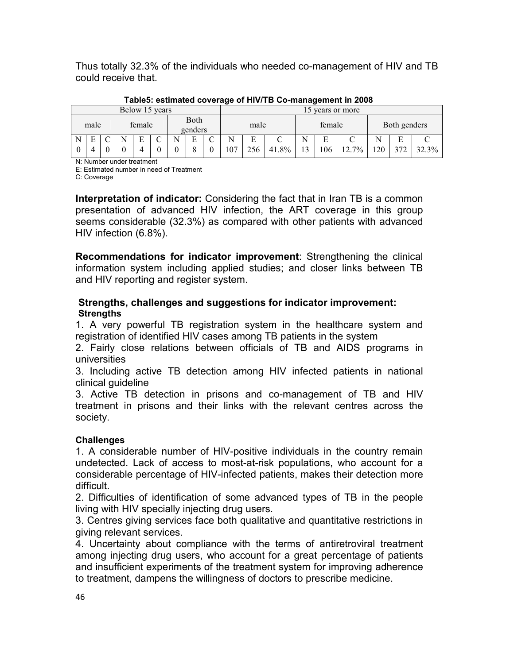Thus totally 32.3% of the individuals who needed co-management of HIV and TB could receive that.

|   |      |  |        | Below 15 years |                 |   |                |     |       |                   |     | 15 years or more |    |        |       |
|---|------|--|--------|----------------|-----------------|---|----------------|-----|-------|-------------------|-----|------------------|----|--------|-------|
|   | male |  | female |                | Both<br>genders |   | female<br>male |     |       |                   |     | Both genders     |    |        |       |
| N | Е    |  | E      |                | Ð               | ⌒ | N              | E   |       |                   |     |                  | N  | Ē<br>н |       |
|   |      |  |        |                |                 | v | 107            | 256 | 41.8% | $\mathbf{\hat{}}$ | 106 | $12.7\%$         | 20 | 372    | 32.3% |

**Table5: estimated coverage of HIV/TB Co-management in 2008** 

N: Number under treatment

E: Estimated number in need of Treatment

C: Coverage

**Interpretation of indicator:** Considering the fact that in Iran TB is a common presentation of advanced HIV infection, the ART coverage in this group seems considerable (32.3%) as compared with other patients with advanced HIV infection (6.8%).

**Recommendations for indicator improvement**: Strengthening the clinical information system including applied studies; and closer links between TB and HIV reporting and register system.

#### **Strengths, challenges and suggestions for indicator improvement: Strengths**

1. A very powerful TB registration system in the healthcare system and registration of identified HIV cases among TB patients in the system

2. Fairly close relations between officials of TB and AIDS programs in universities

3. Including active TB detection among HIV infected patients in national clinical guideline

3. Active TB detection in prisons and co-management of TB and HIV treatment in prisons and their links with the relevant centres across the society.

## **Challenges**

1. A considerable number of HIV-positive individuals in the country remain undetected. Lack of access to most-at-risk populations, who account for a considerable percentage of HIV-infected patients, makes their detection more difficult.

2. Difficulties of identification of some advanced types of TB in the people living with HIV specially injecting drug users.

3. Centres giving services face both qualitative and quantitative restrictions in giving relevant services.

4. Uncertainty about compliance with the terms of antiretroviral treatment among injecting drug users, who account for a great percentage of patients and insufficient experiments of the treatment system for improving adherence to treatment, dampens the willingness of doctors to prescribe medicine.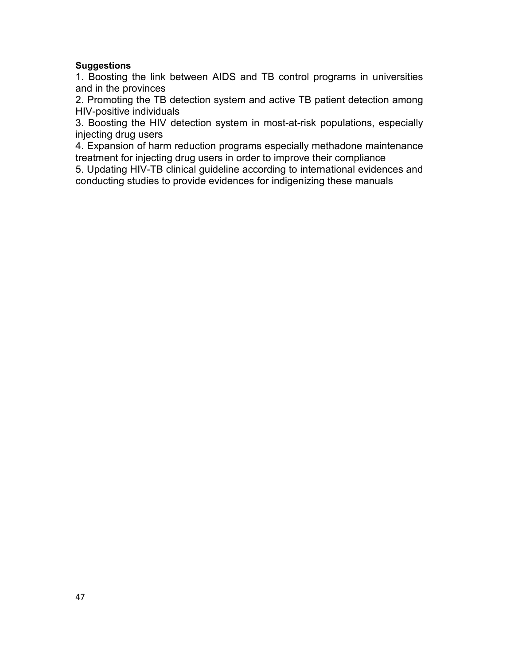#### **Suggestions**

1. Boosting the link between AIDS and TB control programs in universities and in the provinces

2. Promoting the TB detection system and active TB patient detection among HIV-positive individuals

3. Boosting the HIV detection system in most-at-risk populations, especially injecting drug users

4. Expansion of harm reduction programs especially methadone maintenance treatment for injecting drug users in order to improve their compliance

5. Updating HIV-TB clinical guideline according to international evidences and conducting studies to provide evidences for indigenizing these manuals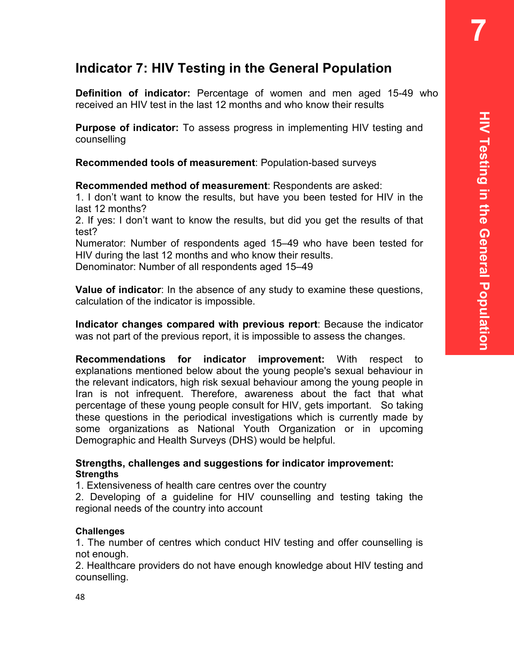**7** 

# **Indicator 7: HIV Testing in the General Population**

**Definition of indicator:** Percentage of women and men aged 15-49 who received an HIV test in the last 12 months and who know their results

**Purpose of indicator:** To assess progress in implementing HIV testing and counselling

**Recommended tools of measurement**: Population-based surveys

**Recommended method of measurement**: Respondents are asked:

1. I don't want to know the results, but have you been tested for HIV in the last 12 months?

2. If yes: I don't want to know the results, but did you get the results of that test?

Numerator: Number of respondents aged 15–49 who have been tested for HIV during the last 12 months and who know their results.

Denominator: Number of all respondents aged 15–49

**Value of indicator**: In the absence of any study to examine these questions, calculation of the indicator is impossible.

**Indicator changes compared with previous report**: Because the indicator was not part of the previous report, it is impossible to assess the changes.

**Recommendations for indicator improvement:** With respect to explanations mentioned below about the young people's sexual behaviour in the relevant indicators, high risk sexual behaviour among the young people in Iran is not infrequent. Therefore, awareness about the fact that what percentage of these young people consult for HIV, gets important. So taking these questions in the periodical investigations which is currently made by some organizations as National Youth Organization or in upcoming Demographic and Health Surveys (DHS) would be helpful.

#### **Strengths, challenges and suggestions for indicator improvement: Strengths**

1. Extensiveness of health care centres over the country

2. Developing of a guideline for HIV counselling and testing taking the regional needs of the country into account

#### **Challenges**

1. The number of centres which conduct HIV testing and offer counselling is not enough.

2. Healthcare providers do not have enough knowledge about HIV testing and counselling.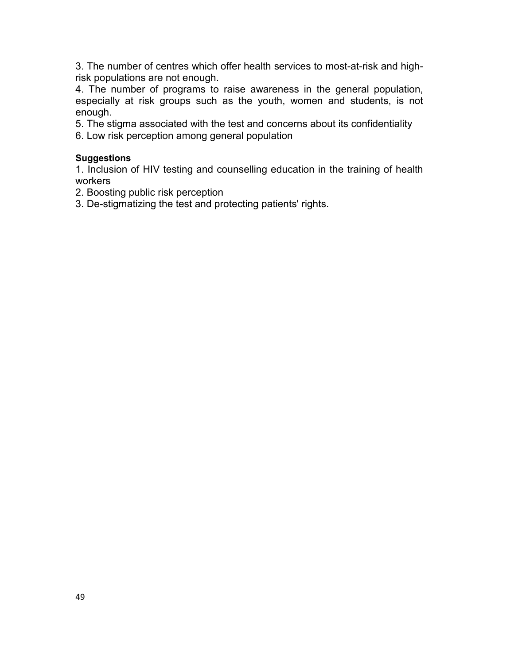3. The number of centres which offer health services to most-at-risk and highrisk populations are not enough.

4. The number of programs to raise awareness in the general population, especially at risk groups such as the youth, women and students, is not enough.

5. The stigma associated with the test and concerns about its confidentiality

6. Low risk perception among general population

#### **Suggestions**

1. Inclusion of HIV testing and counselling education in the training of health workers

2. Boosting public risk perception

3. De-stigmatizing the test and protecting patients' rights.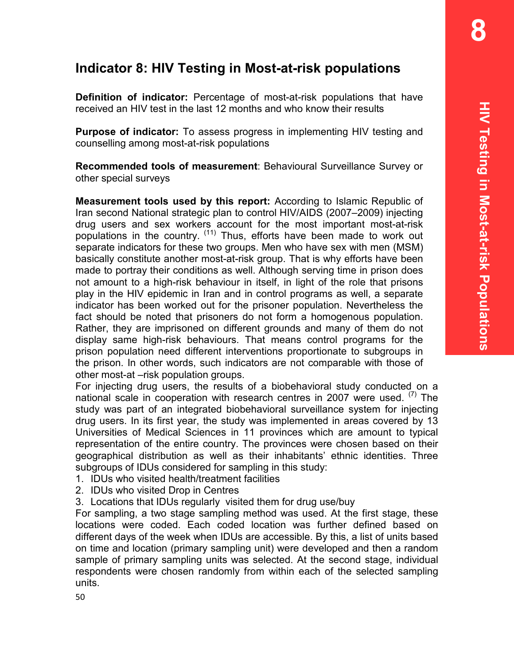**8** 

# **Indicator 8: HIV Testing in Most-at-risk populations**

**Definition of indicator:** Percentage of most-at-risk populations that have received an HIV test in the last 12 months and who know their results

**Purpose of indicator:** To assess progress in implementing HIV testing and counselling among most-at-risk populations

**Recommended tools of measurement**: Behavioural Surveillance Survey or other special surveys

**Measurement tools used by this report:** According to Islamic Republic of Iran second National strategic plan to control HIV/AIDS (2007–2009) injecting drug users and sex workers account for the most important most-at-risk populations in the country. (11) Thus, efforts have been made to work out separate indicators for these two groups. Men who have sex with men (MSM) basically constitute another most-at-risk group. That is why efforts have been made to portray their conditions as well. Although serving time in prison does not amount to a high-risk behaviour in itself, in light of the role that prisons play in the HIV epidemic in Iran and in control programs as well, a separate indicator has been worked out for the prisoner population. Nevertheless the fact should be noted that prisoners do not form a homogenous population. Rather, they are imprisoned on different grounds and many of them do not display same high-risk behaviours. That means control programs for the prison population need different interventions proportionate to subgroups in the prison. In other words, such indicators are not comparable with those of other most-at –risk population groups.

For injecting drug users, the results of a biobehavioral study conducted on a national scale in cooperation with research centres in 2007 were used.  $\binom{7}{1}$  The study was part of an integrated biobehavioral surveillance system for injecting drug users. In its first year, the study was implemented in areas covered by 13 Universities of Medical Sciences in 11 provinces which are amount to typical representation of the entire country. The provinces were chosen based on their geographical distribution as well as their inhabitants' ethnic identities. Three subgroups of IDUs considered for sampling in this study:

- 1. IDUs who visited health/treatment facilities
- 2. IDUs who visited Drop in Centres
- 3. Locations that IDUs regularly visited them for drug use/buy

For sampling, a two stage sampling method was used. At the first stage, these locations were coded. Each coded location was further defined based on different days of the week when IDUs are accessible. By this, a list of units based on time and location (primary sampling unit) were developed and then a random sample of primary sampling units was selected. At the second stage, individual respondents were chosen randomly from within each of the selected sampling units.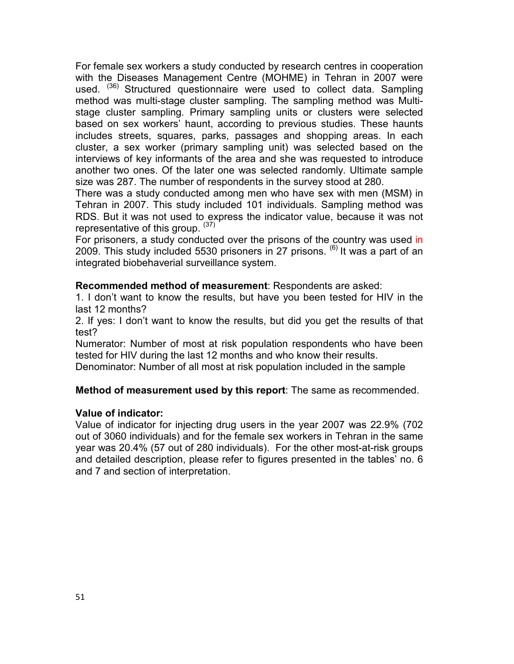For female sex workers a study conducted by research centres in cooperation with the Diseases Management Centre (MOHME) in Tehran in 2007 were used. (36) Structured questionnaire were used to collect data. Sampling method was multi-stage cluster sampling. The sampling method was Multistage cluster sampling. Primary sampling units or clusters were selected based on sex workers' haunt, according to previous studies. These haunts includes streets, squares, parks, passages and shopping areas. In each cluster, a sex worker (primary sampling unit) was selected based on the interviews of key informants of the area and she was requested to introduce another two ones. Of the later one was selected randomly. Ultimate sample size was 287. The number of respondents in the survey stood at 280.

There was a study conducted among men who have sex with men (MSM) in Tehran in 2007. This study included 101 individuals. Sampling method was RDS. But it was not used to express the indicator value, because it was not representative of this group. (37)

For prisoners, a study conducted over the prisons of the country was used in 2009. This study included 5530 prisoners in 27 prisons.  $^{(6)}$  It was a part of an integrated biobehaverial surveillance system.

#### **Recommended method of measurement**: Respondents are asked:

1. I don't want to know the results, but have you been tested for HIV in the last 12 months?

2. If yes: I don't want to know the results, but did you get the results of that test?

Numerator: Number of most at risk population respondents who have been tested for HIV during the last 12 months and who know their results.

Denominator: Number of all most at risk population included in the sample

#### **Method of measurement used by this report**: The same as recommended.

#### **Value of indicator:**

Value of indicator for injecting drug users in the year 2007 was 22.9% (702 out of 3060 individuals) and for the female sex workers in Tehran in the same year was 20.4% (57 out of 280 individuals). For the other most-at-risk groups and detailed description, please refer to figures presented in the tables' no. 6 and 7 and section of interpretation.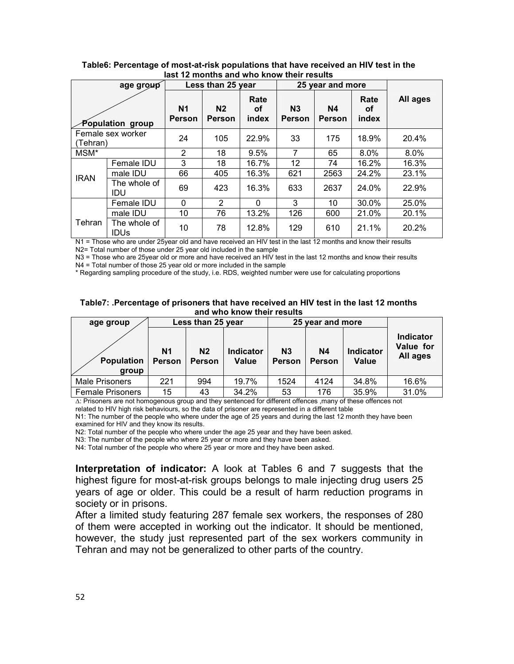|                               | age group                   |                                 | Less than 25 year               |                     |                          | 25 year and more    |                     |          |
|-------------------------------|-----------------------------|---------------------------------|---------------------------------|---------------------|--------------------------|---------------------|---------------------|----------|
| Population group              |                             | N <sub>1</sub><br><b>Person</b> | N <sub>2</sub><br><b>Person</b> | Rate<br>οf<br>index | N <sub>3</sub><br>Person | <b>N4</b><br>Person | Rate<br>οf<br>index | All ages |
| Female sex worker<br>(Tehran) |                             | 24                              | 105                             | 22.9%               | 33                       | 175                 | 18.9%               | 20.4%    |
| MSM*                          |                             | $\overline{2}$                  | 18                              | 9.5%                | 7                        | 65                  | 8.0%                | $8.0\%$  |
|                               | Female IDU                  | 3                               | 18                              | 16.7%               | $12 \overline{ }$        | 74                  | 16.2%               | 16.3%    |
| <b>IRAN</b>                   | male IDU                    | 66                              | 405                             | 16.3%               | 621                      | 2563                | 24.2%               | 23.1%    |
|                               | The whole of<br>IDU         | 69                              | 423                             | 16.3%               | 633                      | 2637                | 24.0%               | 22.9%    |
|                               | Female IDU                  | 0                               | 2                               | $\Omega$            | 3                        | 10                  | 30.0%               | 25.0%    |
|                               | male IDU                    | 10                              | 76                              | 13.2%               | 126                      | 600                 | 21.0%               | 20.1%    |
| Tehran                        | The whole of<br><b>IDUs</b> | 10                              | 78                              | 12.8%               | 129                      | 610                 | 21.1%               | 20.2%    |

**Table6: Percentage of most-at-risk populations that have received an HIV test in the last 12 months and who know their results** 

N1 = Those who are under 25year old and have received an HIV test in the last 12 months and know their results N2= Total number of those under 25 year old included in the sample

N3 = Those who are 25year old or more and have received an HIV test in the last 12 months and know their results N4 = Total number of those 25 year old or more included in the sample

\* Regarding sampling procedure of the study, i.e. RDS, weighted number were use for calculating proportions

**Table7: .Percentage of prisoners that have received an HIV test in the last 12 months and who know their results** 

| age group                  |                     | Less than 25 year               |                                  |                                 | 25 year and more           |                           |                                           |
|----------------------------|---------------------|---------------------------------|----------------------------------|---------------------------------|----------------------------|---------------------------|-------------------------------------------|
| <b>Population</b><br>group | N1<br><b>Person</b> | N <sub>2</sub><br><b>Person</b> | <b>Indicator</b><br><b>Value</b> | N <sub>3</sub><br><b>Person</b> | <b>N4</b><br><b>Person</b> | <b>Indicator</b><br>Value | <b>Indicator</b><br>Value for<br>All ages |
| <b>Male Prisoners</b>      | 221                 | 994                             | 19.7%                            | 1524                            | 4124                       | 34.8%                     | 16.6%                                     |
| <b>Female Prisoners</b>    | 15                  | 43                              | 34.2%                            | 53                              | 176                        | 35.9%                     | 31.0%                                     |

∆: Prisoners are not homogenous group and they sentenced for different offences ,many of these offences not related to HIV high risk behaviours, so the data of prisoner are represented in a different table

N1: The number of the people who where under the age of 25 years and during the last 12 month they have been examined for HIV and they know its results.

N2: Total number of the people who where under the age 25 year and they have been asked.

N3: The number of the people who where 25 year or more and they have been asked.

N4: Total number of the people who where 25 year or more and they have been asked.

**Interpretation of indicator:** A look at Tables 6 and 7 suggests that the highest figure for most-at-risk groups belongs to male injecting drug users 25 years of age or older. This could be a result of harm reduction programs in society or in prisons.

After a limited study featuring 287 female sex workers, the responses of 280 of them were accepted in working out the indicator. It should be mentioned, however, the study just represented part of the sex workers community in Tehran and may not be generalized to other parts of the country.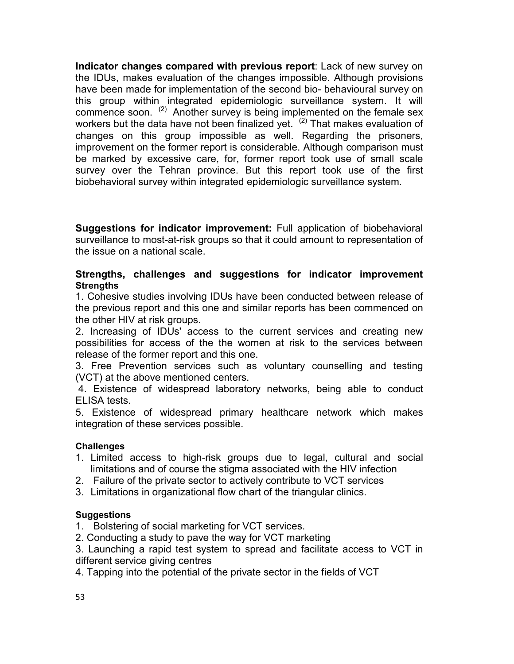**Indicator changes compared with previous report**: Lack of new survey on the IDUs, makes evaluation of the changes impossible. Although provisions have been made for implementation of the second bio- behavioural survey on this group within integrated epidemiologic surveillance system. It will commence soon.  $(2)$  Another survey is being implemented on the female sex workers but the data have not been finalized yet.  $(2)$  That makes evaluation of changes on this group impossible as well. Regarding the prisoners, improvement on the former report is considerable. Although comparison must be marked by excessive care, for, former report took use of small scale survey over the Tehran province. But this report took use of the first biobehavioral survey within integrated epidemiologic surveillance system.

**Suggestions for indicator improvement:** Full application of biobehavioral surveillance to most-at-risk groups so that it could amount to representation of the issue on a national scale.

#### **Strengths, challenges and suggestions for indicator improvement Strengths**

1. Cohesive studies involving IDUs have been conducted between release of the previous report and this one and similar reports has been commenced on the other HIV at risk groups.

2. Increasing of IDUs' access to the current services and creating new possibilities for access of the the women at risk to the services between release of the former report and this one.

3. Free Prevention services such as voluntary counselling and testing (VCT) at the above mentioned centers.

 4. Existence of widespread laboratory networks, being able to conduct ELISA tests.

5. Existence of widespread primary healthcare network which makes integration of these services possible.

#### **Challenges**

- 1. Limited access to high-risk groups due to legal, cultural and social limitations and of course the stigma associated with the HIV infection
- 2. Failure of the private sector to actively contribute to VCT services
- 3. Limitations in organizational flow chart of the triangular clinics.

#### **Suggestions**

- 1. Bolstering of social marketing for VCT services.
- 2. Conducting a study to pave the way for VCT marketing
- 3. Launching a rapid test system to spread and facilitate access to VCT in different service giving centres
- 4. Tapping into the potential of the private sector in the fields of VCT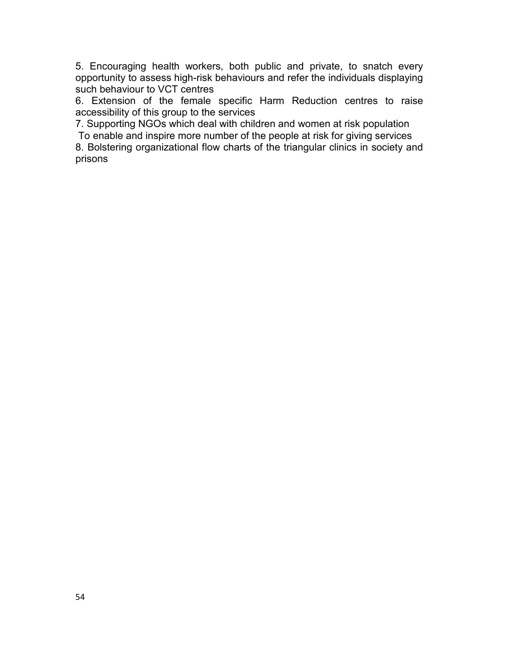5. Encouraging health workers, both public and private, to snatch every opportunity to assess high-risk behaviours and refer the individuals displaying such behaviour to VCT centres

6. Extension of the female specific Harm Reduction centres to raise accessibility of this group to the services

7. Supporting NGOs which deal with children and women at risk population To enable and inspire more number of the people at risk for giving services

8. Bolstering organizational flow charts of the triangular clinics in society and prisons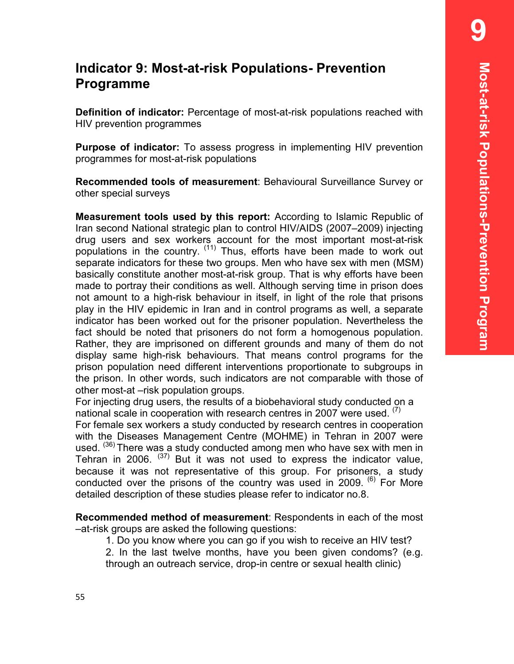# **Indicator 9: Most-at-risk Populations- Prevention Programme**

**Definition of indicator:** Percentage of most-at-risk populations reached with HIV prevention programmes

**Purpose of indicator:** To assess progress in implementing HIV prevention programmes for most-at-risk populations

**Recommended tools of measurement**: Behavioural Surveillance Survey or other special surveys

**Measurement tools used by this report:** According to Islamic Republic of Iran second National strategic plan to control HIV/AIDS (2007–2009) injecting drug users and sex workers account for the most important most-at-risk populations in the country. (11) Thus, efforts have been made to work out separate indicators for these two groups. Men who have sex with men (MSM) basically constitute another most-at-risk group. That is why efforts have been made to portray their conditions as well. Although serving time in prison does not amount to a high-risk behaviour in itself, in light of the role that prisons play in the HIV epidemic in Iran and in control programs as well, a separate indicator has been worked out for the prisoner population. Nevertheless the fact should be noted that prisoners do not form a homogenous population. Rather, they are imprisoned on different grounds and many of them do not display same high-risk behaviours. That means control programs for the prison population need different interventions proportionate to subgroups in the prison. In other words, such indicators are not comparable with those of other most-at –risk population groups.

For injecting drug users, the results of a biobehavioral study conducted on a national scale in cooperation with research centres in 2007 were used.  $(7)$ 

For female sex workers a study conducted by research centres in cooperation with the Diseases Management Centre (MOHME) in Tehran in 2007 were used. <sup>(36)</sup> There was a study conducted among men who have sex with men in Tehran in 2006.  $(37)$  But it was not used to express the indicator value, because it was not representative of this group. For prisoners, a study conducted over the prisons of the country was used in 2009. <sup>(6)</sup> For More detailed description of these studies please refer to indicator no.8.

**Recommended method of measurement**: Respondents in each of the most –at-risk groups are asked the following questions:

1. Do you know where you can go if you wish to receive an HIV test?

2. In the last twelve months, have you been given condoms? (e.g. through an outreach service, drop-in centre or sexual health clinic)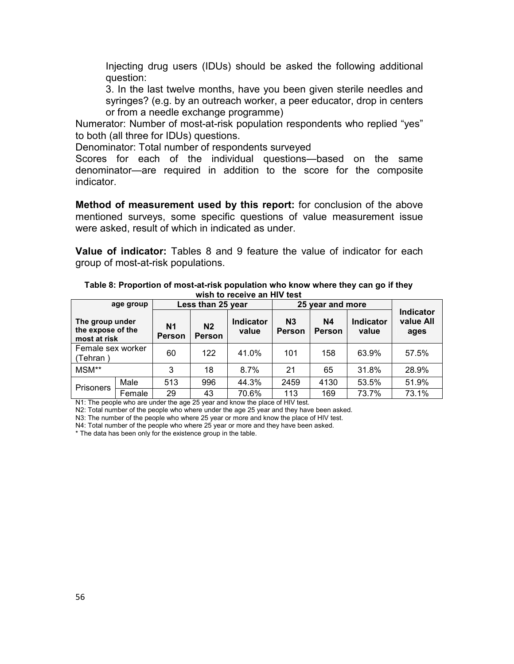Injecting drug users (IDUs) should be asked the following additional question:

3. In the last twelve months, have you been given sterile needles and syringes? (e.g. by an outreach worker, a peer educator, drop in centers or from a needle exchange programme)

Numerator: Number of most-at-risk population respondents who replied "yes" to both (all three for IDUs) questions.

Denominator: Total number of respondents surveyed

Scores for each of the individual questions—based on the same denominator—are required in addition to the score for the composite indicator.

**Method of measurement used by this report:** for conclusion of the above mentioned surveys, some specific questions of value measurement issue were asked, result of which in indicated as under.

**Value of indicator:** Tables 8 and 9 feature the value of indicator for each group of most-at-risk populations.

| Table 8: Proportion of most-at-risk population who know where they can go if they<br>wish to receive an HIV test |  |  |  |  |  |  |  |  |  |  |
|------------------------------------------------------------------------------------------------------------------|--|--|--|--|--|--|--|--|--|--|
| 25 year and more<br>Less than 25 year<br>age group                                                               |  |  |  |  |  |  |  |  |  |  |

|                                                      | age group |                     | Less than 25 year               |                           |                                 | 25 year and more    |                    |                                       |
|------------------------------------------------------|-----------|---------------------|---------------------------------|---------------------------|---------------------------------|---------------------|--------------------|---------------------------------------|
| The group under<br>the expose of the<br>most at risk |           | N1<br><b>Person</b> | N <sub>2</sub><br><b>Person</b> | <b>Indicator</b><br>value | N <sub>3</sub><br><b>Person</b> | N4<br><b>Person</b> | Indicator<br>value | <b>Indicator</b><br>value All<br>ages |
| Female sex worker<br>(Tehran)                        |           | 60                  | 122                             | 41.0%                     | 101                             | 158                 | 63.9%              | 57.5%                                 |
| MSM**                                                |           | 3                   | 18                              | 8.7%                      | 21                              | 65                  | 31.8%              | 28.9%                                 |
| <b>Prisoners</b>                                     | Male      | 513                 | 996                             | 44.3%                     | 2459                            | 4130                | 53.5%              | 51.9%                                 |
|                                                      | Female    | 29                  | 43                              | 70.6%                     | 113                             | 169                 | 73.7%              | 73.1%                                 |

N1: The people who are under the age 25 year and know the place of HIV test.

N2: Total number of the people who where under the age 25 year and they have been asked.

N3: The number of the people who where 25 year or more and know the place of HIV test.

N4: Total number of the people who where 25 year or more and they have been asked.

\* The data has been only for the existence group in the table.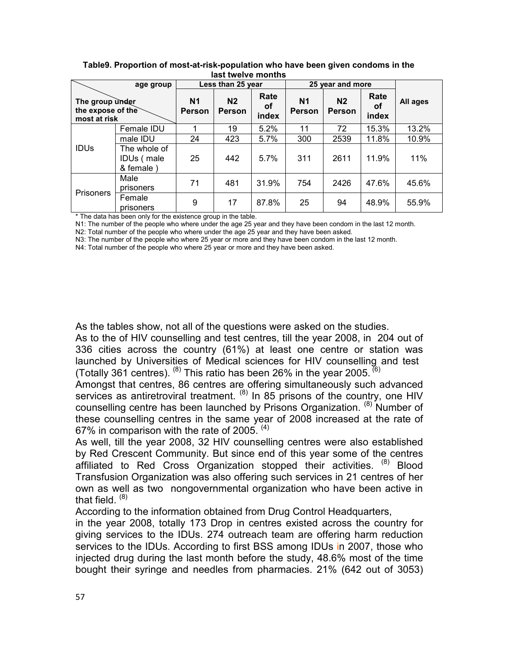|                                                      |                                         |                          |                          | ,,,,,,,,,,,,,,,,,,,,,,, |                            |                          |                     |          |
|------------------------------------------------------|-----------------------------------------|--------------------------|--------------------------|-------------------------|----------------------------|--------------------------|---------------------|----------|
|                                                      | age group                               |                          | Less than 25 year        |                         | 25 year and more           |                          |                     |          |
| The group under<br>the expose of the<br>most at risk |                                         | N <sub>1</sub><br>Person | N <sub>2</sub><br>Person | Rate<br>оf<br>index     | <b>N1</b><br><b>Person</b> | N <sub>2</sub><br>Person | Rate<br>οf<br>index | All ages |
|                                                      | Female IDU                              |                          | 19                       | 5.2%                    | 11                         | 72                       | 15.3%               | 13.2%    |
| <b>IDUS</b>                                          | male IDU                                | 24                       | 423                      | 5.7%                    | 300                        | 2539                     | 11.8%               | 10.9%    |
|                                                      | The whole of<br>IDUs (male<br>& female) | 25                       | 442                      | 5.7%                    | 311                        | 2611                     | 11.9%               | 11%      |
| Prisoners                                            | Male<br>prisoners                       | 71                       | 481                      | 31.9%                   | 754                        | 2426                     | 47.6%               | 45.6%    |
|                                                      | Female<br>prisoners                     | 9                        | 17                       | 87.8%                   | 25                         | 94                       | 48.9%               | 55.9%    |

**Table9. Proportion of most-at-risk-population who have been given condoms in the last twelve months** 

\* The data has been only for the existence group in the table.

N1: The number of the people who where under the age 25 year and they have been condom in the last 12 month.

N2: Total number of the people who where under the age 25 year and they have been asked.

N3: The number of the people who where 25 year or more and they have been condom in the last 12 month.

N4: Total number of the people who where 25 year or more and they have been asked.

As the tables show, not all of the questions were asked on the studies.

As to the of HIV counselling and test centres, till the year 2008, in 204 out of 336 cities across the country (61%) at least one centre or station was launched by Universities of Medical sciences for HIV counselling and test (Totally 361 centres).  $^{(8)}$  This ratio has been 26% in the year 2005.  $^{(6)}$ 

Amongst that centres, 86 centres are offering simultaneously such advanced services as antiretroviral treatment.  $(8)$  In 85 prisons of the country, one HIV counselling centre has been launched by Prisons Organization. <sup>(8)</sup> Number of these counselling centres in the same year of 2008 increased at the rate of 67% in comparison with the rate of 2005.  $(4)$ 

As well, till the year 2008, 32 HIV counselling centres were also established by Red Crescent Community. But since end of this year some of the centres affiliated to Red Cross Organization stopped their activities. <sup>(8)</sup> Blood Transfusion Organization was also offering such services in 21 centres of her own as well as two nongovernmental organization who have been active in that field.  $(8)$ 

According to the information obtained from Drug Control Headquarters,

in the year 2008, totally 173 Drop in centres existed across the country for giving services to the IDUs. 274 outreach team are offering harm reduction services to the IDUs. According to first BSS among IDUs in 2007, those who injected drug during the last month before the study, 48.6% most of the time bought their syringe and needles from pharmacies. 21% (642 out of 3053)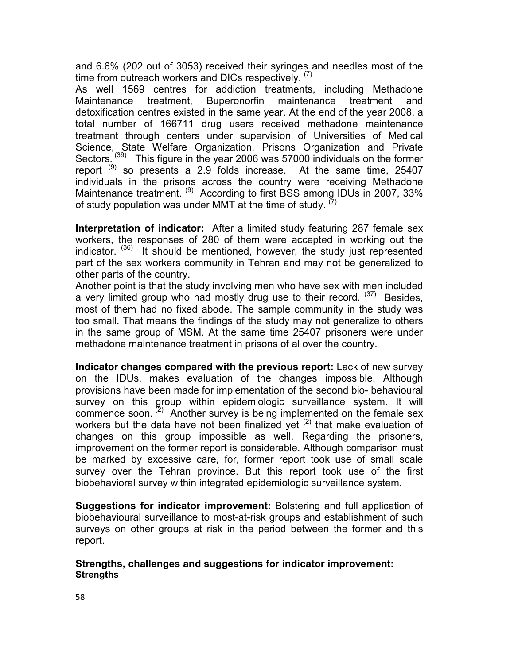and 6.6% (202 out of 3053) received their syringes and needles most of the time from outreach workers and DICs respectively. (7)

As well 1569 centres for addiction treatments, including Methadone Maintenance treatment, Buperonorfin maintenance treatment and detoxification centres existed in the same year. At the end of the year 2008, a total number of 166711 drug users received methadone maintenance treatment through centers under supervision of Universities of Medical Science, State Welfare Organization, Prisons Organization and Private Sectors.<sup>(39)</sup> This figure in the year 2006 was 57000 individuals on the former report  $(9)$  so presents a 2.9 folds increase. At the same time, 25407 individuals in the prisons across the country were receiving Methadone Maintenance treatment. <sup>(9)</sup> According to first BSS among IDUs in 2007, 33% of study population was under MMT at the time of study.  $(7)$ 

**Interpretation of indicator:** After a limited study featuring 287 female sex workers, the responses of 280 of them were accepted in working out the indicator.  $(36)$  It should be mentioned, however, the study just represented part of the sex workers community in Tehran and may not be generalized to other parts of the country.

Another point is that the study involving men who have sex with men included a very limited group who had mostly drug use to their record.  $(37)$  Besides, most of them had no fixed abode. The sample community in the study was too small. That means the findings of the study may not generalize to others in the same group of MSM. At the same time 25407 prisoners were under methadone maintenance treatment in prisons of al over the country.

**Indicator changes compared with the previous report:** Lack of new survey on the IDUs, makes evaluation of the changes impossible. Although provisions have been made for implementation of the second bio- behavioural survey on this group within epidemiologic surveillance system. It will commence soon.  $(2)$  Another survey is being implemented on the female sex workers but the data have not been finalized yet  $(2)$  that make evaluation of changes on this group impossible as well. Regarding the prisoners, improvement on the former report is considerable. Although comparison must be marked by excessive care, for, former report took use of small scale survey over the Tehran province. But this report took use of the first biobehavioral survey within integrated epidemiologic surveillance system.

**Suggestions for indicator improvement:** Bolstering and full application of biobehavioural surveillance to most-at-risk groups and establishment of such surveys on other groups at risk in the period between the former and this report.

#### **Strengths, challenges and suggestions for indicator improvement: Strengths**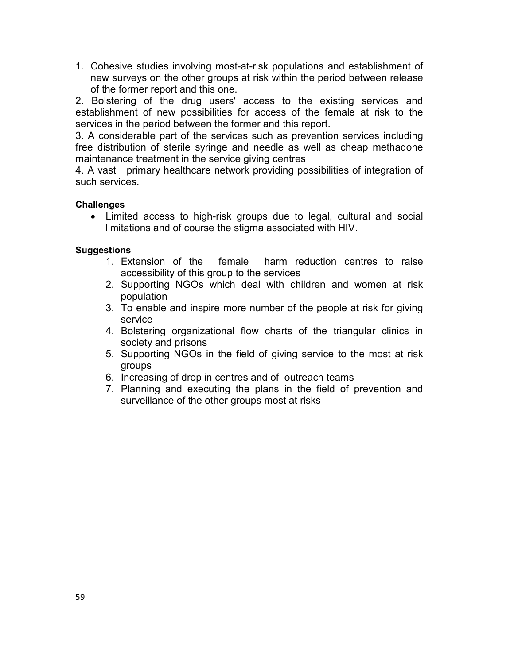1. Cohesive studies involving most-at-risk populations and establishment of new surveys on the other groups at risk within the period between release of the former report and this one.

2. Bolstering of the drug users' access to the existing services and establishment of new possibilities for access of the female at risk to the services in the period between the former and this report.

3. A considerable part of the services such as prevention services including free distribution of sterile syringe and needle as well as cheap methadone maintenance treatment in the service giving centres

4. A vast primary healthcare network providing possibilities of integration of such services.

#### **Challenges**

• Limited access to high-risk groups due to legal, cultural and social limitations and of course the stigma associated with HIV.

#### **Suggestions**

- 1. Extension of the female harm reduction centres to raise accessibility of this group to the services
- 2. Supporting NGOs which deal with children and women at risk population
- 3. To enable and inspire more number of the people at risk for giving service
- 4. Bolstering organizational flow charts of the triangular clinics in society and prisons
- 5. Supporting NGOs in the field of giving service to the most at risk groups
- 6. Increasing of drop in centres and of outreach teams
- 7. Planning and executing the plans in the field of prevention and surveillance of the other groups most at risks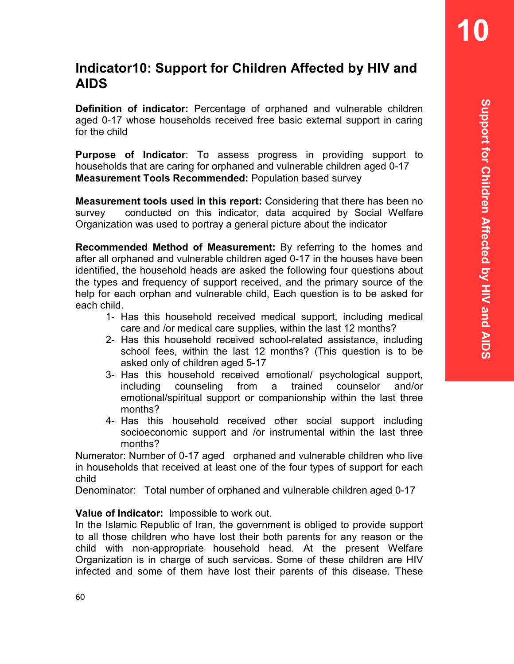# **Indicator10: Support for Children Affected by HIV and AIDS**

**Definition of indicator:** Percentage of orphaned and vulnerable children aged 0-17 whose households received free basic external support in caring for the child

**Purpose of Indicator**: To assess progress in providing support to households that are caring for orphaned and vulnerable children aged 0-17 **Measurement Tools Recommended:** Population based survey

**Measurement tools used in this report:** Considering that there has been no survey conducted on this indicator, data acquired by Social Welfare Organization was used to portray a general picture about the indicator

**Recommended Method of Measurement:** By referring to the homes and after all orphaned and vulnerable children aged 0-17 in the houses have been identified, the household heads are asked the following four questions about the types and frequency of support received, and the primary source of the help for each orphan and vulnerable child, Each question is to be asked for each child.

- 1- Has this household received medical support, including medical care and /or medical care supplies, within the last 12 months?
- 2- Has this household received school-related assistance, including school fees, within the last 12 months? (This question is to be asked only of children aged 5-17
- 3- Has this household received emotional/ psychological support, including counseling from a trained counselor and/or emotional/spiritual support or companionship within the last three months?
- 4- Has this household received other social support including socioeconomic support and /or instrumental within the last three months?

Numerator: Number of 0-17 aged orphaned and vulnerable children who live in households that received at least one of the four types of support for each child

Denominator: Total number of orphaned and vulnerable children aged 0-17

## **Value of Indicator:** Impossible to work out.

In the Islamic Republic of Iran, the government is obliged to provide support to all those children who have lost their both parents for any reason or the child with non-appropriate household head. At the present Welfare Organization is in charge of such services. Some of these children are HIV infected and some of them have lost their parents of this disease. These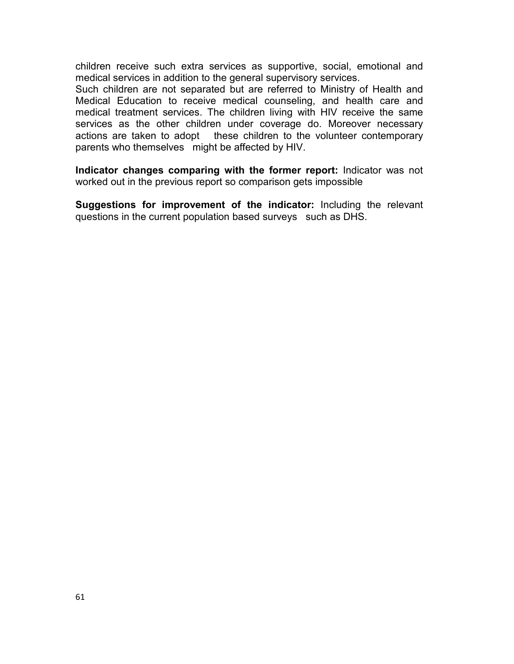children receive such extra services as supportive, social, emotional and medical services in addition to the general supervisory services.

Such children are not separated but are referred to Ministry of Health and Medical Education to receive medical counseling, and health care and medical treatment services. The children living with HIV receive the same services as the other children under coverage do. Moreover necessary actions are taken to adopt these children to the volunteer contemporary parents who themselves might be affected by HIV.

**Indicator changes comparing with the former report:** Indicator was not worked out in the previous report so comparison gets impossible

**Suggestions for improvement of the indicator:** Including the relevant questions in the current population based surveys such as DHS.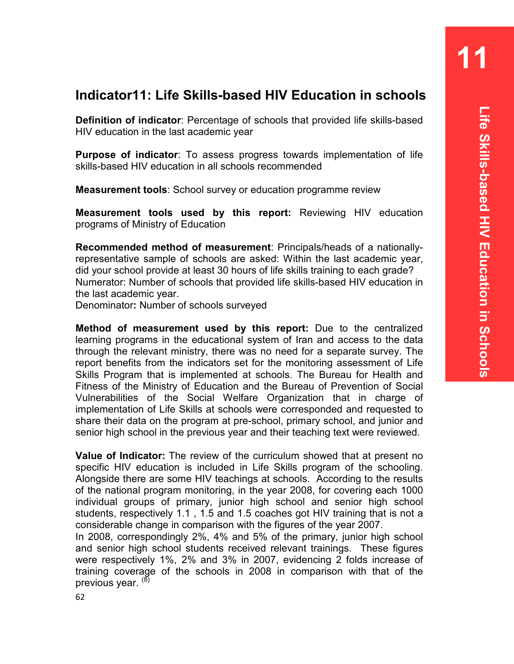## **Indicator11: Life Skills-based HIV Education in schools**

**Definition of indicator**: Percentage of schools that provided life skills-based HIV education in the last academic year

**Purpose of indicator**: To assess progress towards implementation of life skills-based HIV education in all schools recommended

**Measurement tools**: School survey or education programme review

**Measurement tools used by this report:** Reviewing HIV education programs of Ministry of Education

**Recommended method of measurement**: Principals/heads of a nationallyrepresentative sample of schools are asked: Within the last academic year, did your school provide at least 30 hours of life skills training to each grade? Numerator: Number of schools that provided life skills-based HIV education in the last academic year.

Denominator**:** Number of schools surveyed

**Method of measurement used by this report:** Due to the centralized learning programs in the educational system of Iran and access to the data through the relevant ministry, there was no need for a separate survey. The report benefits from the indicators set for the monitoring assessment of Life Skills Program that is implemented at schools. The Bureau for Health and Fitness of the Ministry of Education and the Bureau of Prevention of Social Vulnerabilities of the Social Welfare Organization that in charge of implementation of Life Skills at schools were corresponded and requested to share their data on the program at pre-school, primary school, and junior and senior high school in the previous year and their teaching text were reviewed.

**Value of Indicator:** The review of the curriculum showed that at present no specific HIV education is included in Life Skills program of the schooling. Alongside there are some HIV teachings at schools. According to the results of the national program monitoring, in the year 2008, for covering each 1000 individual groups of primary, junior high school and senior high school students, respectively 1.1 , 1.5 and 1.5 coaches got HIV training that is not a considerable change in comparison with the figures of the year 2007.

In 2008, correspondingly 2%, 4% and 5% of the primary, junior high school and senior high school students received relevant trainings. These figures were respectively 1%, 2% and 3% in 2007, evidencing 2 folds increase of training coverage of the schools in 2008 in comparison with that of the previous year. (8)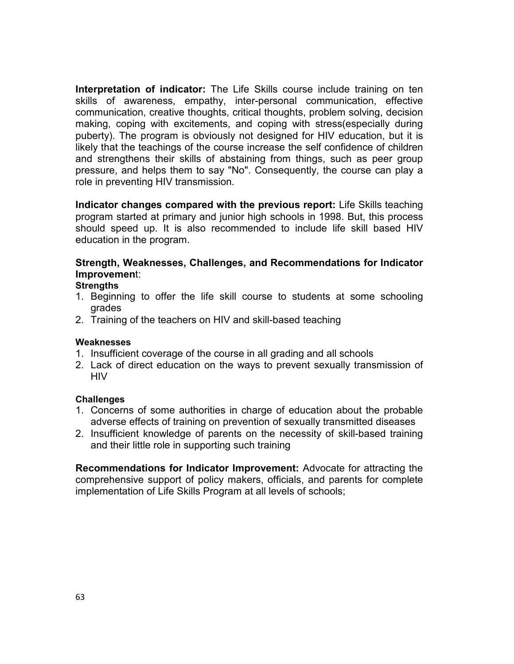**Interpretation of indicator:** The Life Skills course include training on ten skills of awareness, empathy, inter-personal communication, effective communication, creative thoughts, critical thoughts, problem solving, decision making, coping with excitements, and coping with stress(especially during puberty). The program is obviously not designed for HIV education, but it is likely that the teachings of the course increase the self confidence of children and strengthens their skills of abstaining from things, such as peer group pressure, and helps them to say "No". Consequently, the course can play a role in preventing HIV transmission.

**Indicator changes compared with the previous report:** Life Skills teaching program started at primary and junior high schools in 1998. But, this process should speed up. It is also recommended to include life skill based HIV education in the program.

## **Strength, Weaknesses, Challenges, and Recommendations for Indicator Improvemen**t:

#### **Strengths**

- 1. Beginning to offer the life skill course to students at some schooling grades
- 2. Training of the teachers on HIV and skill-based teaching

#### **Weaknesses**

- 1. Insufficient coverage of the course in all grading and all schools
- 2. Lack of direct education on the ways to prevent sexually transmission of **HIV**

#### **Challenges**

- 1. Concerns of some authorities in charge of education about the probable adverse effects of training on prevention of sexually transmitted diseases
- 2. Insufficient knowledge of parents on the necessity of skill-based training and their little role in supporting such training

**Recommendations for Indicator Improvement:** Advocate for attracting the comprehensive support of policy makers, officials, and parents for complete implementation of Life Skills Program at all levels of schools;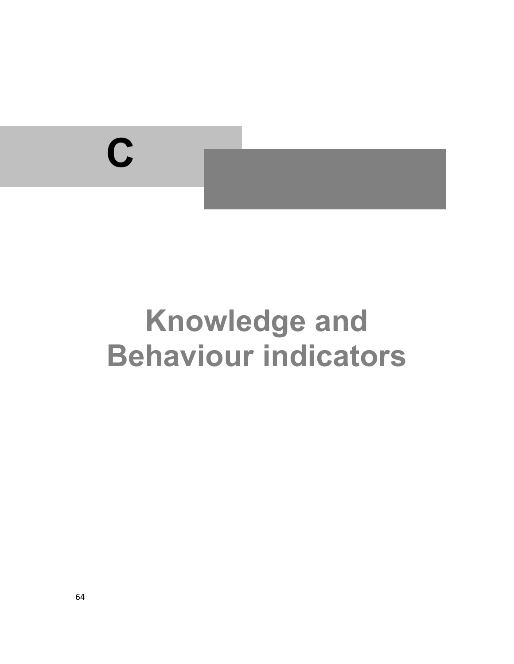

# **Knowledge and Behaviour indicators**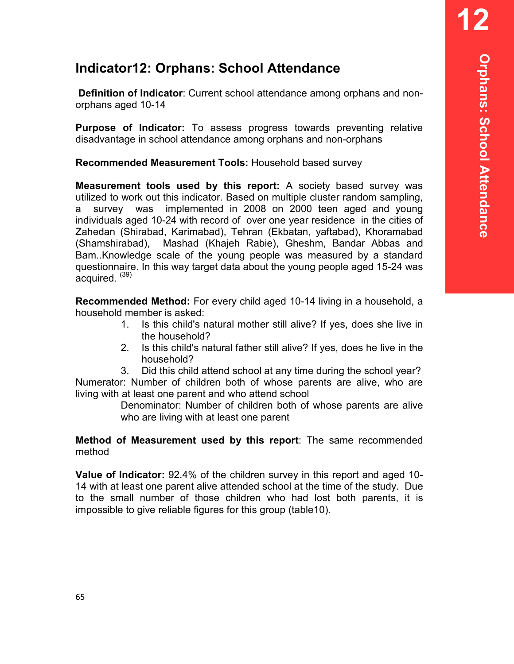# **Indicator12: Orphans: School Attendance**

**Definition of Indicator**: Current school attendance among orphans and nonorphans aged 10-14

**Purpose of Indicator:** To assess progress towards preventing relative disadvantage in school attendance among orphans and non-orphans

**Recommended Measurement Tools:** Household based survey

**Measurement tools used by this report:** A society based survey was utilized to work out this indicator. Based on multiple cluster random sampling, a survey was implemented in 2008 on 2000 teen aged and young individuals aged 10-24 with record of over one year residence in the cities of Zahedan (Shirabad, Karimabad), Tehran (Ekbatan, yaftabad), Khoramabad (Shamshirabad), Mashad (Khajeh Rabie), Gheshm, Bandar Abbas and Bam..Knowledge scale of the young people was measured by a standard questionnaire. In this way target data about the young people aged 15-24 was acquired.  $(39)$ 

**Recommended Method:** For every child aged 10-14 living in a household, a household member is asked:

- 1. Is this child's natural mother still alive? If yes, does she live in the household?
- 2. Is this child's natural father still alive? If yes, does he live in the household?

3. Did this child attend school at any time during the school year? Numerator: Number of children both of whose parents are alive, who are living with at least one parent and who attend school

> Denominator: Number of children both of whose parents are alive who are living with at least one parent

#### **Method of Measurement used by this report**: The same recommended method

**Value of Indicator:** 92.4% of the children survey in this report and aged 10- 14 with at least one parent alive attended school at the time of the study. Due to the small number of those children who had lost both parents, it is impossible to give reliable figures for this group (table10).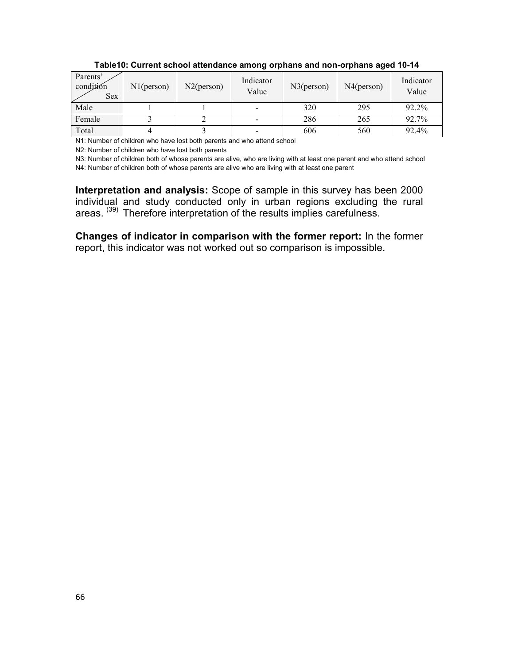| Parents'<br>condition<br><b>Sex</b> | N1(person) | $N2$ (person) | Indicator<br>Value       | $N3$ (person) | N4(person) | Indicator<br>Value |  |
|-------------------------------------|------------|---------------|--------------------------|---------------|------------|--------------------|--|
| Male                                |            |               |                          | 320           | 295        | 92.2%              |  |
| Female                              |            |               | $\overline{\phantom{0}}$ | 286           | 265        | 92.7%              |  |
| Total                               |            |               | -                        | 606           | 560        | 92.4%              |  |

**Table10: Current school attendance among orphans and non-orphans aged 10-14** 

N1: Number of children who have lost both parents and who attend school

N2: Number of children who have lost both parents

N3: Number of children both of whose parents are alive, who are living with at least one parent and who attend school N4: Number of children both of whose parents are alive who are living with at least one parent

**Interpretation and analysis:** Scope of sample in this survey has been 2000 individual and study conducted only in urban regions excluding the rural areas.<sup>(39)</sup> Therefore interpretation of the results implies carefulness.

**Changes of indicator in comparison with the former report:** In the former report, this indicator was not worked out so comparison is impossible.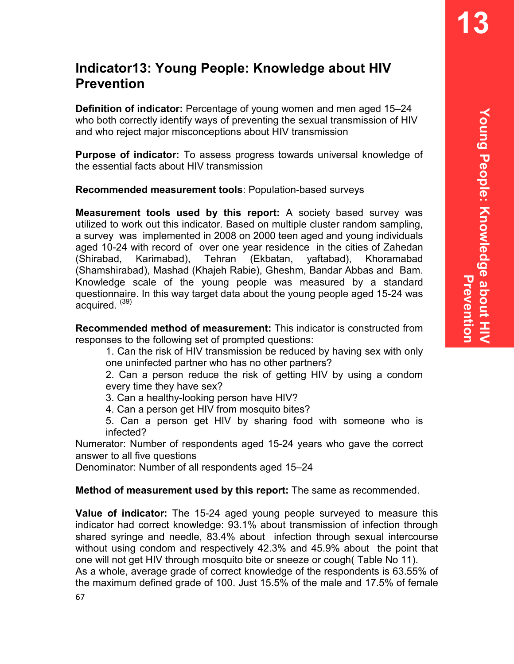# **Indicator13: Young People: Knowledge about HIV Prevention**

**Definition of indicator:** Percentage of young women and men aged 15–24 who both correctly identify ways of preventing the sexual transmission of HIV and who reject major misconceptions about HIV transmission

**Purpose of indicator:** To assess progress towards universal knowledge of the essential facts about HIV transmission

**Recommended measurement tools**: Population-based surveys

**Measurement tools used by this report:** A society based survey was utilized to work out this indicator. Based on multiple cluster random sampling, a survey was implemented in 2008 on 2000 teen aged and young individuals aged 10-24 with record of over one year residence in the cities of Zahedan (Shirabad, Karimabad), Tehran (Ekbatan, yaftabad), Khoramabad (Shamshirabad), Mashad (Khajeh Rabie), Gheshm, Bandar Abbas and Bam. Knowledge scale of the young people was measured by a standard questionnaire. In this way target data about the young people aged 15-24 was  $acquired.$   $(39)$ 

**Recommended method of measurement:** This indicator is constructed from responses to the following set of prompted questions:

1. Can the risk of HIV transmission be reduced by having sex with only one uninfected partner who has no other partners?

2. Can a person reduce the risk of getting HIV by using a condom every time they have sex?

3. Can a healthy-looking person have HIV?

4. Can a person get HIV from mosquito bites?

5. Can a person get HIV by sharing food with someone who is infected?

Numerator: Number of respondents aged 15-24 years who gave the correct answer to all five questions

Denominator: Number of all respondents aged 15–24

**Method of measurement used by this report:** The same as recommended.

**Value of indicator:** The 15-24 aged young people surveyed to measure this indicator had correct knowledge: 93.1% about transmission of infection through shared syringe and needle, 83.4% about infection through sexual intercourse without using condom and respectively 42.3% and 45.9% about the point that one will not get HIV through mosquito bite or sneeze or cough( Table No 11). As a whole, average grade of correct knowledge of the respondents is 63.55% of the maximum defined grade of 100. Just 15.5% of the male and 17.5% of female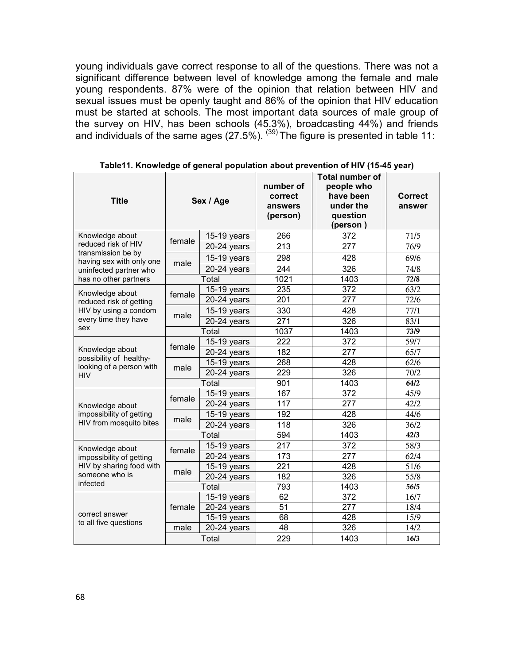young individuals gave correct response to all of the questions. There was not a significant difference between level of knowledge among the female and male young respondents. 87% were of the opinion that relation between HIV and sexual issues must be openly taught and 86% of the opinion that HIV education must be started at schools. The most important data sources of male group of the survey on HIV, has been schools (45.3%), broadcasting 44%) and friends and individuals of the same ages (27.5%).  $^{(39)}$  The figure is presented in table 11:

| <b>Title</b>                                        |        | Sex / Age                                                                                                            | number of<br>correct<br>answers<br>(person) | <b>Total number of</b><br>people who<br>have been<br>under the<br>question<br>(person) | <b>Correct</b><br>answer |
|-----------------------------------------------------|--------|----------------------------------------------------------------------------------------------------------------------|---------------------------------------------|----------------------------------------------------------------------------------------|--------------------------|
| Knowledge about                                     | female | $15-19$ years                                                                                                        | 266                                         | 372                                                                                    | 71/5                     |
| reduced risk of HIV                                 |        | 20-24 years                                                                                                          | 213                                         | 277                                                                                    | 76/9                     |
| transmission be by<br>having sex with only one      |        | $15-19$ years                                                                                                        | 298                                         | 428                                                                                    | 69/6                     |
| uninfected partner who                              | male   | $20-24$ years                                                                                                        | 244                                         | 326                                                                                    | 74/8                     |
| has no other partners                               |        | Total                                                                                                                | 1021                                        | 1403                                                                                   | 72/8                     |
| Knowledge about                                     | female | 15-19 years                                                                                                          | 235                                         | 372                                                                                    | 63/2                     |
| reduced risk of getting                             |        | $20-24$ years                                                                                                        | 201                                         | 277                                                                                    | 72/6                     |
| HIV by using a condom                               |        | 15-19 years                                                                                                          | 330                                         | 428                                                                                    | 77/1                     |
| every time they have                                | male   | 20-24 years                                                                                                          | 271                                         | 326                                                                                    | 83/1                     |
| sex                                                 | Total  |                                                                                                                      | 1037                                        | 1403                                                                                   | 73/9                     |
|                                                     | female | 15-19 years                                                                                                          | 222                                         | 372                                                                                    | 59/7                     |
| Knowledge about                                     |        | $20-24$ years                                                                                                        | 182                                         | 277                                                                                    | 65/7                     |
| possibility of healthy-<br>looking of a person with | male   | 15-19 years                                                                                                          | 268                                         | 428                                                                                    | 62/6                     |
| HIV                                                 |        | 229<br>20-24 years<br>Total<br>901<br>167<br>15-19 years<br>117<br>277<br>$20-24$ years<br>192<br>428<br>15-19 years | 326                                         | 70/2                                                                                   |                          |
|                                                     |        |                                                                                                                      |                                             | 1403                                                                                   | 64/2                     |
|                                                     | female |                                                                                                                      |                                             | 372                                                                                    | 45/9                     |
| Knowledge about                                     |        |                                                                                                                      |                                             |                                                                                        | 42/2                     |
| impossibility of getting                            | male   |                                                                                                                      |                                             |                                                                                        | 44/6                     |
| HIV from mosquito bites                             |        | $20-24$ years                                                                                                        | 118                                         | 326                                                                                    | 36/2                     |
|                                                     |        | Total                                                                                                                | 594                                         | 1403                                                                                   | 42/3                     |
| Knowledge about                                     | female | 15-19 years                                                                                                          | 217                                         | 372                                                                                    | 58/3                     |
| impossibility of getting                            |        | $20-24$ years                                                                                                        | 173                                         | 277                                                                                    | 62/4                     |
| HIV by sharing food with                            | male   | $15-19$ years                                                                                                        | 221                                         | 428                                                                                    | 51/6                     |
| someone who is                                      |        | 20-24 years                                                                                                          | 182                                         | 326                                                                                    | 55/8                     |
| infected                                            |        | Total                                                                                                                | 793                                         | 1403                                                                                   | 56/5                     |
|                                                     |        | 15-19 years                                                                                                          | 62                                          | 372                                                                                    | 16/7                     |
| correct answer                                      | female | 20-24 years                                                                                                          | 51                                          | 277                                                                                    | 18/4                     |
| to all five questions                               |        | 15-19 years                                                                                                          | 68                                          | 428                                                                                    | 15/9                     |
|                                                     | male   | $20-24$ years                                                                                                        | 48                                          | 326                                                                                    | 14/2                     |
|                                                     | Total  |                                                                                                                      | 229                                         | 1403                                                                                   | 16/3                     |

**Table11. Knowledge of general population about prevention of HIV (15-45 year)**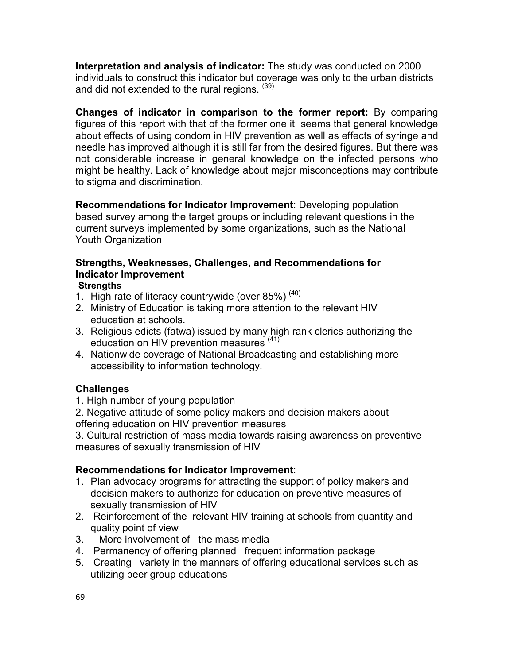**Interpretation and analysis of indicator:** The study was conducted on 2000 individuals to construct this indicator but coverage was only to the urban districts and did not extended to the rural regions. (39)

**Changes of indicator in comparison to the former report:** By comparing figures of this report with that of the former one it seems that general knowledge about effects of using condom in HIV prevention as well as effects of syringe and needle has improved although it is still far from the desired figures. But there was not considerable increase in general knowledge on the infected persons who might be healthy. Lack of knowledge about major misconceptions may contribute to stigma and discrimination.

**Recommendations for Indicator Improvement**: Developing population based survey among the target groups or including relevant questions in the current surveys implemented by some organizations, such as the National Youth Organization

## **Strengths, Weaknesses, Challenges, and Recommendations for Indicator Improvement**

## **Strengths**

- 1. High rate of literacy countrywide (over  $85\%$ )<sup>(40)</sup>
- 2. Ministry of Education is taking more attention to the relevant HIV education at schools.
- 3. Religious edicts (fatwa) issued by many high rank clerics authorizing the education on HIV prevention measures<sup>(41)</sup>
- 4. Nationwide coverage of National Broadcasting and establishing more accessibility to information technology.

## **Challenges**

1. High number of young population

2. Negative attitude of some policy makers and decision makers about offering education on HIV prevention measures

3. Cultural restriction of mass media towards raising awareness on preventive measures of sexually transmission of HIV

## **Recommendations for Indicator Improvement**:

- 1. Plan advocacy programs for attracting the support of policy makers and decision makers to authorize for education on preventive measures of sexually transmission of HIV
- 2. Reinforcement of the relevant HIV training at schools from quantity and quality point of view
- 3. More involvement of the mass media
- 4. Permanency of offering planned frequent information package
- 5. Creating variety in the manners of offering educational services such as utilizing peer group educations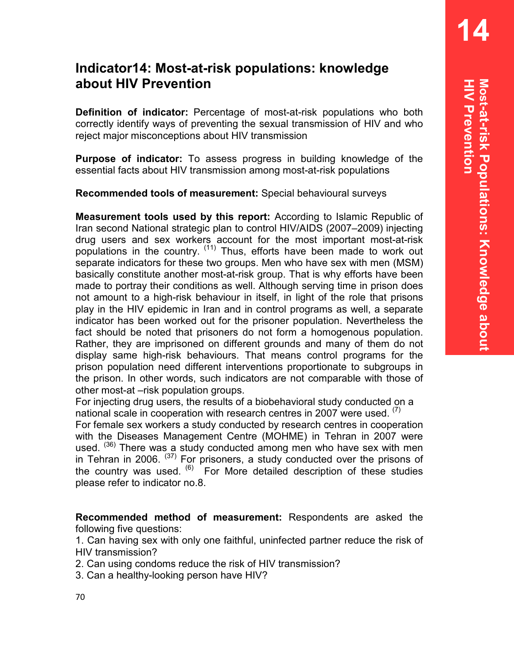# **Indicator14: Most-at-risk populations: knowledge about HIV Prevention**

**Definition of indicator:** Percentage of most-at-risk populations who both correctly identify ways of preventing the sexual transmission of HIV and who reject major misconceptions about HIV transmission

**Purpose of indicator:** To assess progress in building knowledge of the essential facts about HIV transmission among most-at-risk populations

**Recommended tools of measurement:** Special behavioural surveys

**Measurement tools used by this report:** According to Islamic Republic of Iran second National strategic plan to control HIV/AIDS (2007–2009) injecting drug users and sex workers account for the most important most-at-risk populations in the country. (11) Thus, efforts have been made to work out separate indicators for these two groups. Men who have sex with men (MSM) basically constitute another most-at-risk group. That is why efforts have been made to portray their conditions as well. Although serving time in prison does not amount to a high-risk behaviour in itself, in light of the role that prisons play in the HIV epidemic in Iran and in control programs as well, a separate indicator has been worked out for the prisoner population. Nevertheless the fact should be noted that prisoners do not form a homogenous population. Rather, they are imprisoned on different grounds and many of them do not display same high-risk behaviours. That means control programs for the prison population need different interventions proportionate to subgroups in the prison. In other words, such indicators are not comparable with those of other most-at –risk population groups.

For injecting drug users, the results of a biobehavioral study conducted on a national scale in cooperation with research centres in 2007 were used.  $(7)$ 

For female sex workers a study conducted by research centres in cooperation with the Diseases Management Centre (MOHME) in Tehran in 2007 were used. <sup>(36)</sup> There was a study conducted among men who have sex with men in Tehran in 2006.  $(37)$  For prisoners, a study conducted over the prisons of the country was used.  $(6)$  For More detailed description of these studies please refer to indicator no.8.

**Recommended method of measurement:** Respondents are asked the following five questions:

1. Can having sex with only one faithful, uninfected partner reduce the risk of HIV transmission?

2. Can using condoms reduce the risk of HIV transmission?

3. Can a healthy-looking person have HIV?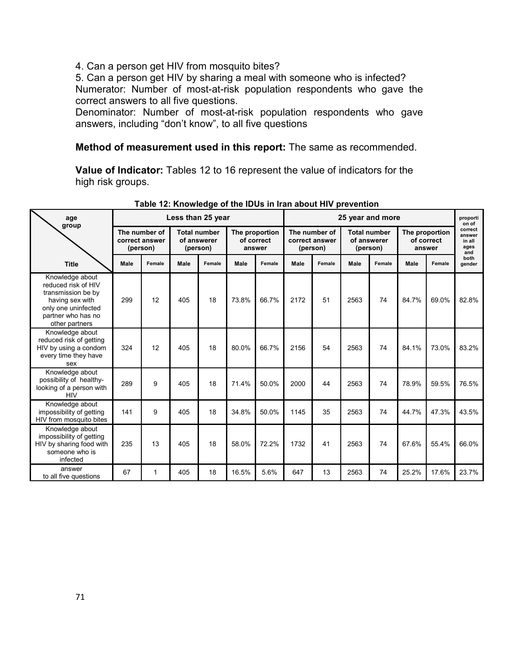4. Can a person get HIV from mosquito bites?

5. Can a person get HIV by sharing a meal with someone who is infected? Numerator: Number of most-at-risk population respondents who gave the correct answers to all five questions.

Denominator: Number of most-at-risk population respondents who gave answers, including "don't know", to all five questions

#### **Method of measurement used in this report:** The same as recommended.

**Value of Indicator:** Tables 12 to 16 represent the value of indicators for the high risk groups.

| age                                                                                                                                            | Less than 25 year                           |        |                                                |        |                                        |        |                                             | 25 year and more |                                                |        |                                        |        | proporti<br>on of                          |
|------------------------------------------------------------------------------------------------------------------------------------------------|---------------------------------------------|--------|------------------------------------------------|--------|----------------------------------------|--------|---------------------------------------------|------------------|------------------------------------------------|--------|----------------------------------------|--------|--------------------------------------------|
| group                                                                                                                                          | The number of<br>correct answer<br>(person) |        | <b>Total number</b><br>of answerer<br>(person) |        | The proportion<br>of correct<br>answer |        | The number of<br>correct answer<br>(person) |                  | <b>Total number</b><br>of answerer<br>(person) |        | The proportion<br>of correct<br>answer |        | correct<br>answer<br>in all<br>ages<br>and |
| <b>Title</b>                                                                                                                                   | Male                                        | Female | Male                                           | Female | Male                                   | Female | Male                                        | Female           | Male                                           | Female | Male                                   | Female | both<br>gender                             |
| Knowledge about<br>reduced risk of HIV<br>transmission be by<br>having sex with<br>only one uninfected<br>partner who has no<br>other partners | 299                                         | 12     | 405                                            | 18     | 73.8%                                  | 66.7%  | 2172                                        | 51               | 2563                                           | 74     | 84.7%                                  | 69.0%  | 82.8%                                      |
| Knowledge about<br>reduced risk of getting<br>HIV by using a condom<br>every time they have<br>sex                                             | 324                                         | 12     | 405                                            | 18     | 80.0%                                  | 66.7%  | 2156                                        | 54               | 2563                                           | 74     | 84.1%                                  | 73.0%  | 83.2%                                      |
| Knowledge about<br>possibility of healthy-<br>looking of a person with<br><b>HIV</b>                                                           | 289                                         | 9      | 405                                            | 18     | 71.4%                                  | 50.0%  | 2000                                        | 44               | 2563                                           | 74     | 78.9%                                  | 59.5%  | 76.5%                                      |
| Knowledge about<br>impossibility of getting<br>HIV from mosquito bites                                                                         | 141                                         | 9      | 405                                            | 18     | 34.8%                                  | 50.0%  | 1145                                        | 35               | 2563                                           | 74     | 44.7%                                  | 47.3%  | 43.5%                                      |
| Knowledge about<br>impossibility of getting<br>HIV by sharing food with<br>someone who is<br>infected                                          | 235                                         | 13     | 405                                            | 18     | 58.0%                                  | 72.2%  | 1732                                        | 41               | 2563                                           | 74     | 67.6%                                  | 55.4%  | 66.0%                                      |
| answer<br>to all five questions                                                                                                                | 67                                          | 1      | 405                                            | 18     | 16.5%                                  | 5.6%   | 647                                         | 13               | 2563                                           | 74     | 25.2%                                  | 17.6%  | 23.7%                                      |

**Table 12: Knowledge of the IDUs in Iran about HIV prevention**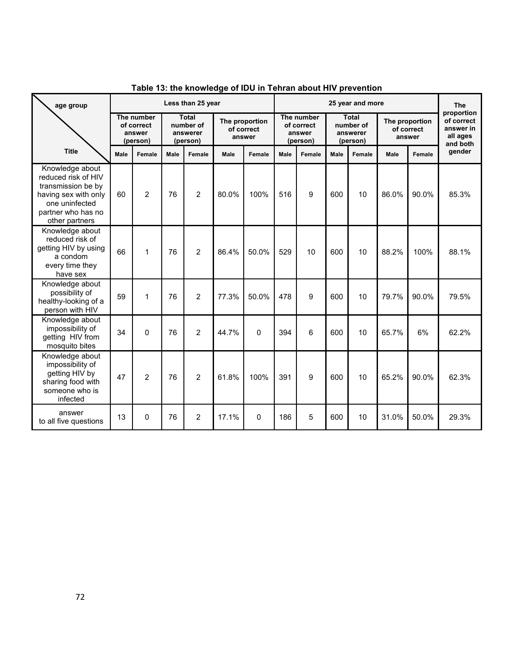| age group                                                                                                                                      | Less than 25 year                              |                |                                                   |                |                                        |          | 25 year and more                               |        |                                                   |        |                                        |        | <b>The</b>                                                    |
|------------------------------------------------------------------------------------------------------------------------------------------------|------------------------------------------------|----------------|---------------------------------------------------|----------------|----------------------------------------|----------|------------------------------------------------|--------|---------------------------------------------------|--------|----------------------------------------|--------|---------------------------------------------------------------|
|                                                                                                                                                | The number<br>of correct<br>answer<br>(person) |                | <b>Total</b><br>number of<br>answerer<br>(person) |                | The proportion<br>of correct<br>answer |          | The number<br>of correct<br>answer<br>(person) |        | <b>Total</b><br>number of<br>answerer<br>(person) |        | The proportion<br>of correct<br>answer |        | proportion<br>of correct<br>answer in<br>all ages<br>and both |
| <b>Title</b>                                                                                                                                   | <b>Male</b>                                    | Female         | Male                                              | Female         | Male                                   | Female   | <b>Male</b>                                    | Female | <b>Male</b>                                       | Female | <b>Male</b>                            | Female | gender                                                        |
| Knowledge about<br>reduced risk of HIV<br>transmission be by<br>having sex with only<br>one uninfected<br>partner who has no<br>other partners | 60                                             | 2              | 76                                                | $\overline{2}$ | 80.0%                                  | 100%     | 516                                            | 9      | 600                                               | 10     | 86.0%                                  | 90.0%  | 85.3%                                                         |
| Knowledge about<br>reduced risk of<br>getting HIV by using<br>a condom<br>every time they<br>have sex                                          | 66                                             | 1              | 76                                                | $\overline{2}$ | 86.4%                                  | 50.0%    | 529                                            | 10     | 600                                               | 10     | 88.2%                                  | 100%   | 88.1%                                                         |
| Knowledge about<br>possibility of<br>healthy-looking of a<br>person with HIV                                                                   | 59                                             | 1              | 76                                                | $\overline{2}$ | 77.3%                                  | 50.0%    | 478                                            | 9      | 600                                               | 10     | 79.7%                                  | 90.0%  | 79.5%                                                         |
| Knowledge about<br>impossibility of<br>getting HIV from<br>mosquito bites                                                                      | 34                                             | $\Omega$       | 76                                                | $\overline{2}$ | 44.7%                                  | $\Omega$ | 394                                            | 6      | 600                                               | 10     | 65.7%                                  | 6%     | 62.2%                                                         |
| Knowledge about<br>impossibility of<br>getting HIV by<br>sharing food with<br>someone who is<br>infected                                       | 47                                             | $\overline{2}$ | 76                                                | $\overline{2}$ | 61.8%                                  | 100%     | 391                                            | 9      | 600                                               | 10     | 65.2%                                  | 90.0%  | 62.3%                                                         |
| answer<br>to all five questions                                                                                                                | 13                                             | 0              | 76                                                | 2              | 17.1%                                  | 0        | 186                                            | 5      | 600                                               | 10     | 31.0%                                  | 50.0%  | 29.3%                                                         |

**Table 13: the knowledge of IDU in Tehran about HIV prevention**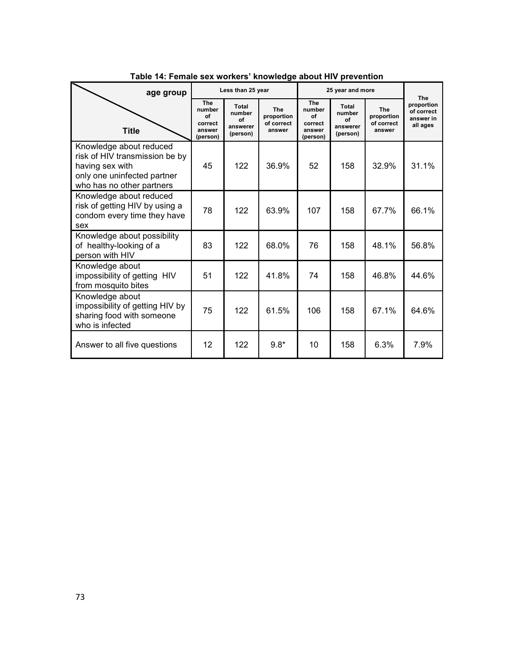| age group                                                                                                                                |                                                             | Less than 25 year                             |                                                  |                                                      | 25 year and more                              |                                                  | The                                               |
|------------------------------------------------------------------------------------------------------------------------------------------|-------------------------------------------------------------|-----------------------------------------------|--------------------------------------------------|------------------------------------------------------|-----------------------------------------------|--------------------------------------------------|---------------------------------------------------|
| <b>Title</b>                                                                                                                             | <b>The</b><br>number<br>οf<br>correct<br>answer<br>(person) | Total<br>number<br>Ωf<br>answerer<br>(person) | <b>The</b><br>proportion<br>of correct<br>answer | The<br>number<br>of<br>correct<br>answer<br>(person) | Total<br>number<br>Ωf<br>answerer<br>(person) | <b>The</b><br>proportion<br>of correct<br>answer | proportion<br>of correct<br>answer in<br>all ages |
| Knowledge about reduced<br>risk of HIV transmission be by<br>having sex with<br>only one uninfected partner<br>who has no other partners | 45                                                          | 122                                           | 36.9%                                            | 52                                                   | 158                                           | 32.9%                                            | 31.1%                                             |
| Knowledge about reduced<br>risk of getting HIV by using a<br>condom every time they have<br>sex                                          | 78                                                          | 122                                           | 63.9%                                            | 107                                                  | 158                                           | 67.7%                                            | 66.1%                                             |
| Knowledge about possibility<br>of healthy-looking of a<br>person with HIV                                                                | 83                                                          | 122                                           | 68.0%                                            | 76                                                   | 158                                           | 48.1%                                            | 56.8%                                             |
| Knowledge about<br>impossibility of getting HIV<br>from mosquito bites                                                                   | 51                                                          | 122                                           | 41.8%                                            | 74                                                   | 158                                           | 46.8%                                            | 44.6%                                             |
| Knowledge about<br>impossibility of getting HIV by<br>sharing food with someone<br>who is infected                                       | 75                                                          | 122                                           | 61.5%                                            | 106                                                  | 158                                           | 67.1%                                            | 64.6%                                             |
| Answer to all five questions                                                                                                             | 12                                                          | 122                                           | $9.8*$                                           | 10                                                   | 158                                           | 6.3%                                             | 7.9%                                              |

#### **Table 14: Female sex workers' knowledge about HIV prevention**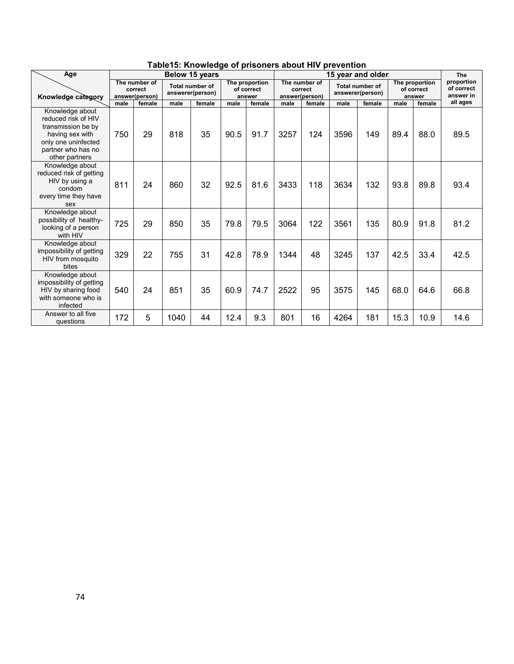| Age                                                                                                                                            |      | Below 15 years                             |      |                                            |      |                                        |      |                                            |      | 15 year and older                          |      |                                        | The                                   |
|------------------------------------------------------------------------------------------------------------------------------------------------|------|--------------------------------------------|------|--------------------------------------------|------|----------------------------------------|------|--------------------------------------------|------|--------------------------------------------|------|----------------------------------------|---------------------------------------|
| Knowledge category                                                                                                                             |      | The number of<br>correct<br>answer(person) |      | <b>Total number of</b><br>answerer(person) |      | The proportion<br>of correct<br>answer |      | The number of<br>correct<br>answer(person) |      | <b>Total number of</b><br>answerer(person) |      | The proportion<br>of correct<br>answer | proportion<br>of correct<br>answer in |
|                                                                                                                                                | male | female                                     | male | female                                     | male | female                                 | male | female                                     | male | female                                     | male | female                                 | all ages                              |
| Knowledge about<br>reduced risk of HIV<br>transmission be by<br>having sex with<br>only one uninfected<br>partner who has no<br>other partners | 750  | 29                                         | 818  | 35                                         | 90.5 | 91.7                                   | 3257 | 124                                        | 3596 | 149                                        | 89.4 | 88.0                                   | 89.5                                  |
| Knowledge about<br>reduced risk of getting<br>HIV by using a<br>condom<br>every time they have<br>sex                                          | 811  | 24                                         | 860  | 32                                         | 92.5 | 81.6                                   | 3433 | 118                                        | 3634 | 132                                        | 93.8 | 89.8                                   | 93.4                                  |
| Knowledge about<br>possibility of healthy-<br>looking of a person<br>with HIV                                                                  | 725  | 29                                         | 850  | 35                                         | 79.8 | 79.5                                   | 3064 | 122                                        | 3561 | 135                                        | 80.9 | 91.8                                   | 81.2                                  |
| Knowledge about<br>impossibility of getting<br>HIV from mosquito<br>bites                                                                      | 329  | 22                                         | 755  | 31                                         | 42.8 | 78.9                                   | 1344 | 48                                         | 3245 | 137                                        | 42.5 | 33.4                                   | 42.5                                  |
| Knowledge about<br>impossibility of getting<br>HIV by sharing food<br>with someone who is<br>infected                                          | 540  | 24                                         | 851  | 35                                         | 60.9 | 74.7                                   | 2522 | 95                                         | 3575 | 145                                        | 68.0 | 64.6                                   | 66.8                                  |
| Answer to all five<br>questions                                                                                                                | 172  | 5                                          | 1040 | 44                                         | 12.4 | 9.3                                    | 801  | 16                                         | 4264 | 181                                        | 15.3 | 10.9                                   | 14.6                                  |

#### **Table15: Knowledge of prisoners about HIV prevention**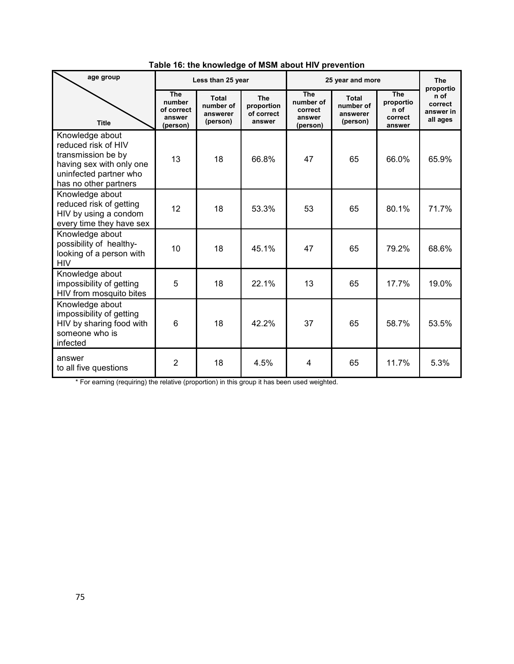| age group                                                                                                                                   |                                                          | Less than 25 year                          |                                           |                                                          | 25 year and more                           |                                                      | <b>The</b>                                            |
|---------------------------------------------------------------------------------------------------------------------------------------------|----------------------------------------------------------|--------------------------------------------|-------------------------------------------|----------------------------------------------------------|--------------------------------------------|------------------------------------------------------|-------------------------------------------------------|
| <b>Title</b>                                                                                                                                | <b>The</b><br>number<br>of correct<br>answer<br>(person) | Total<br>number of<br>answerer<br>(person) | The<br>proportion<br>of correct<br>answer | <b>The</b><br>number of<br>correct<br>answer<br>(person) | Total<br>number of<br>answerer<br>(person) | <b>The</b><br>proportio<br>n of<br>correct<br>answer | proportio<br>n of<br>correct<br>answer in<br>all ages |
| Knowledge about<br>reduced risk of HIV<br>transmission be by<br>having sex with only one<br>uninfected partner who<br>has no other partners | 13                                                       | 18                                         | 66.8%                                     | 47                                                       | 65                                         | 66.0%                                                | 65.9%                                                 |
| Knowledge about<br>reduced risk of getting<br>HIV by using a condom<br>every time they have sex                                             | 12                                                       | 18                                         | 53.3%                                     | 53                                                       | 65                                         | 80.1%                                                | 71.7%                                                 |
| Knowledge about<br>possibility of healthy-<br>looking of a person with<br><b>HIV</b>                                                        | 10                                                       | 18                                         | 45.1%                                     | 47                                                       | 65                                         | 79.2%                                                | 68.6%                                                 |
| Knowledge about<br>impossibility of getting<br>HIV from mosquito bites                                                                      | 5                                                        | 18                                         | 22.1%                                     | 13                                                       | 65                                         | 17.7%                                                | 19.0%                                                 |
| Knowledge about<br>impossibility of getting<br>HIV by sharing food with<br>someone who is<br>infected                                       | 6                                                        | 18                                         | 42.2%                                     | 37                                                       | 65                                         | 58.7%                                                | 53.5%                                                 |
| answer<br>to all five questions                                                                                                             | 2                                                        | 18                                         | 4.5%                                      | 4                                                        | 65                                         | 11.7%                                                | 5.3%                                                  |

**Table 16: the knowledge of MSM about HIV prevention** 

\* For earning (requiring) the relative (proportion) in this group it has been used weighted.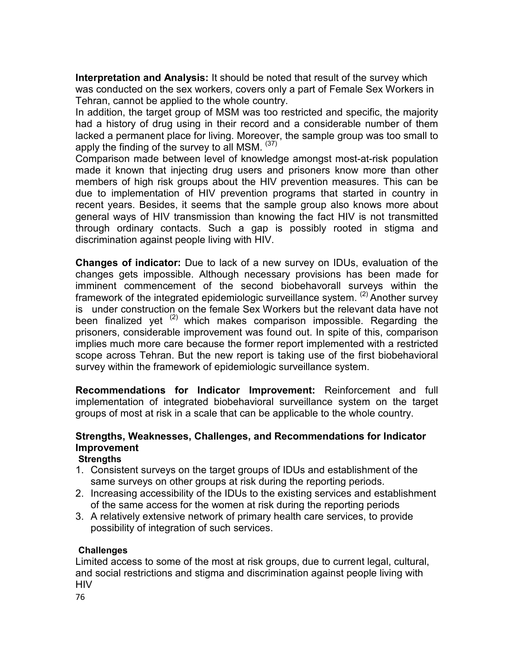**Interpretation and Analysis:** It should be noted that result of the survey which was conducted on the sex workers, covers only a part of Female Sex Workers in Tehran, cannot be applied to the whole country.

In addition, the target group of MSM was too restricted and specific, the majority had a history of drug using in their record and a considerable number of them lacked a permanent place for living. Moreover, the sample group was too small to apply the finding of the survey to all MSM.  $(37)$ 

Comparison made between level of knowledge amongst most-at-risk population made it known that injecting drug users and prisoners know more than other members of high risk groups about the HIV prevention measures. This can be due to implementation of HIV prevention programs that started in country in recent years. Besides, it seems that the sample group also knows more about general ways of HIV transmission than knowing the fact HIV is not transmitted through ordinary contacts. Such a gap is possibly rooted in stigma and discrimination against people living with HIV.

**Changes of indicator:** Due to lack of a new survey on IDUs, evaluation of the changes gets impossible. Although necessary provisions has been made for imminent commencement of the second biobehavorall surveys within the framework of the integrated epidemiologic surveillance system.  $(2)$  Another survey is under construction on the female Sex Workers but the relevant data have not been finalized yet  $(2)$  which makes comparison impossible. Regarding the prisoners, considerable improvement was found out. In spite of this, comparison implies much more care because the former report implemented with a restricted scope across Tehran. But the new report is taking use of the first biobehavioral survey within the framework of epidemiologic surveillance system.

**Recommendations for Indicator Improvement:** Reinforcement and full implementation of integrated biobehavioral surveillance system on the target groups of most at risk in a scale that can be applicable to the whole country.

#### **Strengths, Weaknesses, Challenges, and Recommendations for Indicator Improvement**

**Strengths**

- 1. Consistent surveys on the target groups of IDUs and establishment of the same surveys on other groups at risk during the reporting periods.
- 2. Increasing accessibility of the IDUs to the existing services and establishment of the same access for the women at risk during the reporting periods
- 3. A relatively extensive network of primary health care services, to provide possibility of integration of such services.

#### **Challenges**

Limited access to some of the most at risk groups, due to current legal, cultural, and social restrictions and stigma and discrimination against people living with HIV

76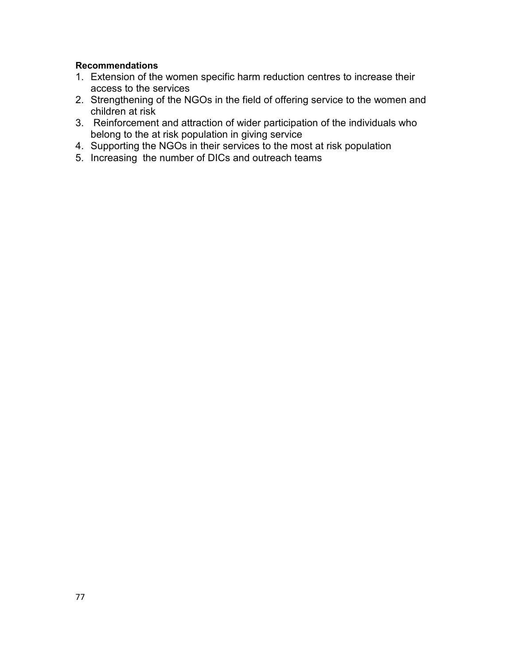#### **Recommendations**

- 1. Extension of the women specific harm reduction centres to increase their access to the services
- 2. Strengthening of the NGOs in the field of offering service to the women and children at risk
- 3. Reinforcement and attraction of wider participation of the individuals who belong to the at risk population in giving service
- 4. Supporting the NGOs in their services to the most at risk population
- 5. Increasing the number of DICs and outreach teams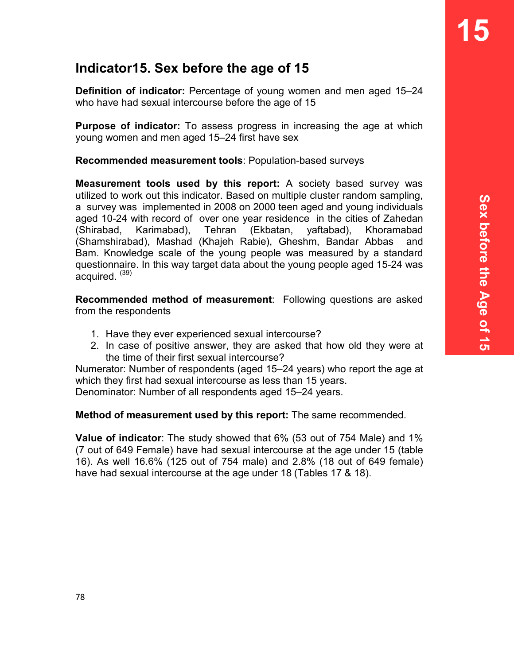# **Indicator15. Sex before the age of 15**

**Definition of indicator:** Percentage of young women and men aged 15–24 who have had sexual intercourse before the age of 15

**Purpose of indicator:** To assess progress in increasing the age at which young women and men aged 15–24 first have sex

**Recommended measurement tools**: Population-based surveys

**Measurement tools used by this report:** A society based survey was utilized to work out this indicator. Based on multiple cluster random sampling, a survey was implemented in 2008 on 2000 teen aged and young individuals aged 10-24 with record of over one year residence in the cities of Zahedan (Shirabad, Karimabad), Tehran (Ekbatan, yaftabad), Khoramabad (Shamshirabad), Mashad (Khajeh Rabie), Gheshm, Bandar Abbas and Bam. Knowledge scale of the young people was measured by a standard questionnaire. In this way target data about the young people aged 15-24 was acquired.  $(39)$ 

**Recommended method of measurement**: Following questions are asked from the respondents

- 1. Have they ever experienced sexual intercourse?
- 2. In case of positive answer, they are asked that how old they were at the time of their first sexual intercourse?

Numerator: Number of respondents (aged 15–24 years) who report the age at which they first had sexual intercourse as less than 15 years.

Denominator: Number of all respondents aged 15–24 years.

**Method of measurement used by this report:** The same recommended.

**Value of indicator**: The study showed that 6% (53 out of 754 Male) and 1% (7 out of 649 Female) have had sexual intercourse at the age under 15 (table 16). As well 16.6% (125 out of 754 male) and 2.8% (18 out of 649 female) have had sexual intercourse at the age under 18 (Tables 17 & 18).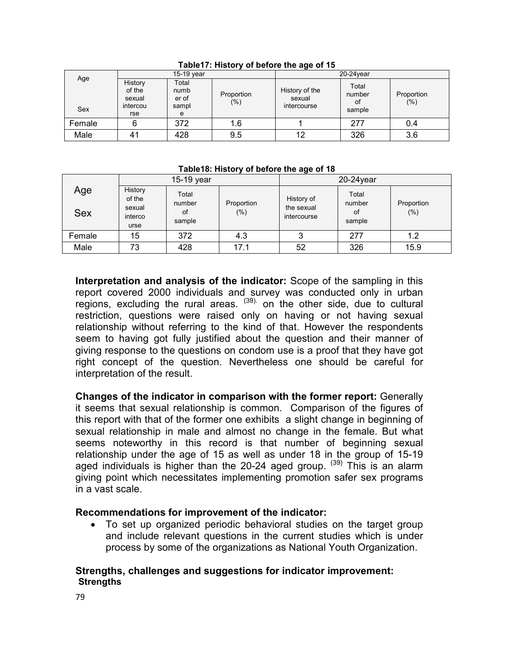|            |                                                | 15-19 year                           |                       | $20-24$ year                            |                                 |                       |  |
|------------|------------------------------------------------|--------------------------------------|-----------------------|-----------------------------------------|---------------------------------|-----------------------|--|
| Age<br>Sex | History<br>of the<br>sexual<br>intercou<br>rse | Total<br>numb<br>er of<br>sampl<br>e | Proportion<br>$(\% )$ | History of the<br>sexual<br>intercourse | Total<br>number<br>0t<br>sample | Proportion<br>$(\% )$ |  |
| Female     |                                                | 372                                  | 1.6                   |                                         | 277                             | 0.4                   |  |
| Male       |                                                | 428                                  | 9.5                   | 12                                      | 326                             | 3.6                   |  |

**Table17: History of before the age of 15** 

#### **Table18: History of before the age of 18**

|                   | 15-19 year                                     |                                 |                       |                                         | $20-24$ year                    |                       |  |  |
|-------------------|------------------------------------------------|---------------------------------|-----------------------|-----------------------------------------|---------------------------------|-----------------------|--|--|
| Age<br><b>Sex</b> | History<br>of the<br>sexual<br>interco<br>urse | Total<br>number<br>0f<br>sample | Proportion<br>$(\% )$ | History of<br>the sexual<br>intercourse | Total<br>number<br>οf<br>sample | Proportion<br>$(\% )$ |  |  |
| Female            | 15                                             | 372                             | 4.3                   | 3                                       | 277                             | 1.2                   |  |  |
| Male              | 73                                             | 428                             | 17.1                  | 52                                      | 326                             | 15.9                  |  |  |

**Interpretation and analysis of the indicator:** Scope of the sampling in this report covered 2000 individuals and survey was conducted only in urban regions, excluding the rural areas.  $(39)$  on the other side, due to cultural restriction, questions were raised only on having or not having sexual relationship without referring to the kind of that. However the respondents seem to having got fully justified about the question and their manner of giving response to the questions on condom use is a proof that they have got right concept of the question. Nevertheless one should be careful for interpretation of the result.

**Changes of the indicator in comparison with the former report:** Generally it seems that sexual relationship is common. Comparison of the figures of this report with that of the former one exhibits a slight change in beginning of sexual relationship in male and almost no change in the female. But what seems noteworthy in this record is that number of beginning sexual relationship under the age of 15 as well as under 18 in the group of 15-19 aged individuals is higher than the 20-24 aged group.  $(39)$  This is an alarm giving point which necessitates implementing promotion safer sex programs in a vast scale.

#### **Recommendations for improvement of the indicator:**

• To set up organized periodic behavioral studies on the target group and include relevant questions in the current studies which is under process by some of the organizations as National Youth Organization.

#### **Strengths, challenges and suggestions for indicator improvement: Strengths**

79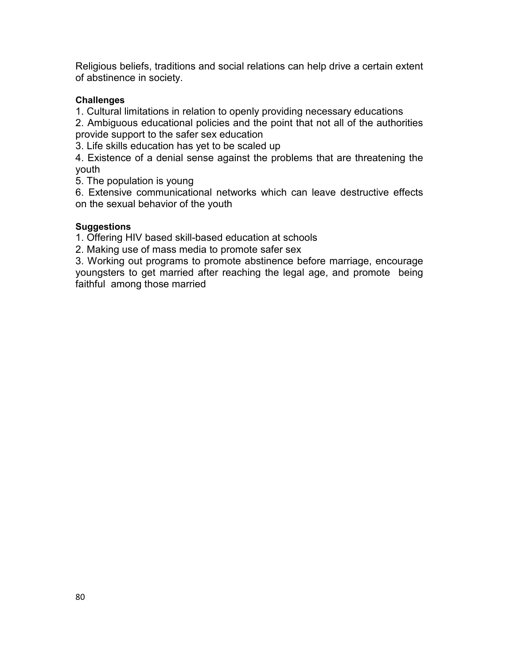Religious beliefs, traditions and social relations can help drive a certain extent of abstinence in society.

#### **Challenges**

1. Cultural limitations in relation to openly providing necessary educations

2. Ambiguous educational policies and the point that not all of the authorities provide support to the safer sex education

3. Life skills education has yet to be scaled up

4. Existence of a denial sense against the problems that are threatening the youth

5. The population is young

6. Extensive communicational networks which can leave destructive effects on the sexual behavior of the youth

#### **Suggestions**

1. Offering HIV based skill-based education at schools

2. Making use of mass media to promote safer sex

3. Working out programs to promote abstinence before marriage, encourage youngsters to get married after reaching the legal age, and promote being faithful among those married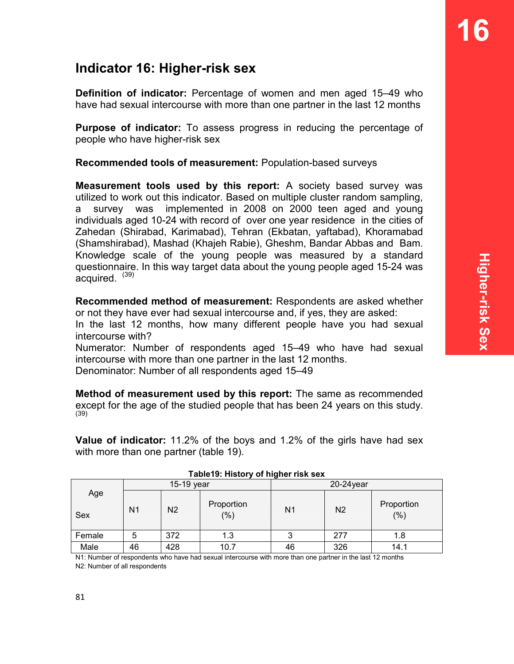# **Indicator 16: Higher-risk sex**

**Definition of indicator:** Percentage of women and men aged 15–49 who have had sexual intercourse with more than one partner in the last 12 months

**Purpose of indicator:** To assess progress in reducing the percentage of people who have higher-risk sex

**Recommended tools of measurement:** Population-based surveys

**Measurement tools used by this report:** A society based survey was utilized to work out this indicator. Based on multiple cluster random sampling, a survey was implemented in 2008 on 2000 teen aged and young individuals aged 10-24 with record of over one year residence in the cities of Zahedan (Shirabad, Karimabad), Tehran (Ekbatan, yaftabad), Khoramabad (Shamshirabad), Mashad (Khajeh Rabie), Gheshm, Bandar Abbas and Bam. Knowledge scale of the young people was measured by a standard questionnaire. In this way target data about the young people aged 15-24 was acquired.  $(39)$ 

**Recommended method of measurement:** Respondents are asked whether or not they have ever had sexual intercourse and, if yes, they are asked:

In the last 12 months, how many different people have you had sexual intercourse with?

Numerator: Number of respondents aged 15–49 who have had sexual intercourse with more than one partner in the last 12 months.

Denominator: Number of all respondents aged 15–49

**Method of measurement used by this report:** The same as recommended except for the age of the studied people that has been 24 years on this study. (39)

**Value of indicator:** 11.2% of the boys and 1.2% of the girls have had sex with more than one partner (table 19).

|            |                | 15-19 year                          |      | $20-24$ year   |                |                    |  |
|------------|----------------|-------------------------------------|------|----------------|----------------|--------------------|--|
| Age<br>Sex | N <sub>1</sub> | Proportion<br>N <sub>2</sub><br>(%) |      | N <sub>1</sub> | N <sub>2</sub> | Proportion<br>(% ) |  |
| Female     | 5              | 372                                 | 1.3  | 3              | 277            | 1.8                |  |
| Male       | 46             | 428                                 | 10.7 | 46             | 326            | 14.1               |  |

| Table19: History of higher risk sex |  |  |  |
|-------------------------------------|--|--|--|
|                                     |  |  |  |

N1: Number of respondents who have had sexual intercourse with more than one partner in the last 12 months N2: Number of all respondents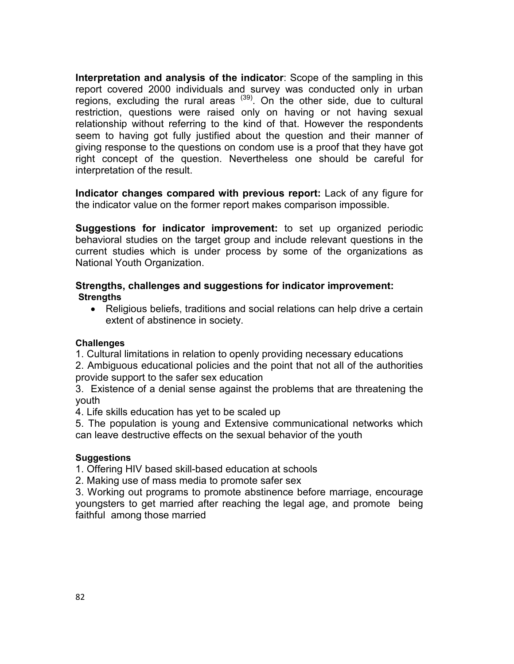**Interpretation and analysis of the indicator**: Scope of the sampling in this report covered 2000 individuals and survey was conducted only in urban regions, excluding the rural areas  $(39)$ . On the other side, due to cultural restriction, questions were raised only on having or not having sexual relationship without referring to the kind of that. However the respondents seem to having got fully justified about the question and their manner of giving response to the questions on condom use is a proof that they have got right concept of the question. Nevertheless one should be careful for interpretation of the result.

**Indicator changes compared with previous report:** Lack of any figure for the indicator value on the former report makes comparison impossible.

**Suggestions for indicator improvement:** to set up organized periodic behavioral studies on the target group and include relevant questions in the current studies which is under process by some of the organizations as National Youth Organization.

#### **Strengths, challenges and suggestions for indicator improvement: Strengths**

• Religious beliefs, traditions and social relations can help drive a certain extent of abstinence in society.

#### **Challenges**

1. Cultural limitations in relation to openly providing necessary educations

2. Ambiguous educational policies and the point that not all of the authorities provide support to the safer sex education

3. Existence of a denial sense against the problems that are threatening the youth

4. Life skills education has yet to be scaled up

5. The population is young and Extensive communicational networks which can leave destructive effects on the sexual behavior of the youth

#### **Suggestions**

1. Offering HIV based skill-based education at schools

2. Making use of mass media to promote safer sex

3. Working out programs to promote abstinence before marriage, encourage youngsters to get married after reaching the legal age, and promote being faithful among those married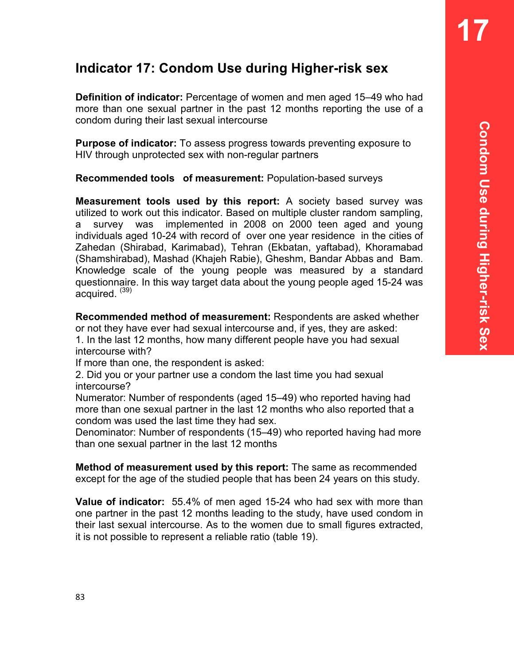**17** 

# **Indicator 17: Condom Use during Higher-risk sex**

**Definition of indicator:** Percentage of women and men aged 15–49 who had more than one sexual partner in the past 12 months reporting the use of a condom during their last sexual intercourse

**Purpose of indicator:** To assess progress towards preventing exposure to HIV through unprotected sex with non-regular partners

**Recommended tools of measurement:** Population-based surveys

**Measurement tools used by this report:** A society based survey was utilized to work out this indicator. Based on multiple cluster random sampling, a survey was implemented in 2008 on 2000 teen aged and young individuals aged 10-24 with record of over one year residence in the cities of Zahedan (Shirabad, Karimabad), Tehran (Ekbatan, yaftabad), Khoramabad (Shamshirabad), Mashad (Khajeh Rabie), Gheshm, Bandar Abbas and Bam. Knowledge scale of the young people was measured by a standard questionnaire. In this way target data about the young people aged 15-24 was acquired.  $(39)$ 

**Recommended method of measurement:** Respondents are asked whether or not they have ever had sexual intercourse and, if yes, they are asked:

1. In the last 12 months, how many different people have you had sexual intercourse with?

If more than one, the respondent is asked:

2. Did you or your partner use a condom the last time you had sexual intercourse?

Numerator: Number of respondents (aged 15–49) who reported having had more than one sexual partner in the last 12 months who also reported that a condom was used the last time they had sex.

Denominator: Number of respondents (15–49) who reported having had more than one sexual partner in the last 12 months

**Method of measurement used by this report:** The same as recommended except for the age of the studied people that has been 24 years on this study.

**Value of indicator:** 55.4% of men aged 15-24 who had sex with more than one partner in the past 12 months leading to the study, have used condom in their last sexual intercourse. As to the women due to small figures extracted, it is not possible to represent a reliable ratio (table 19).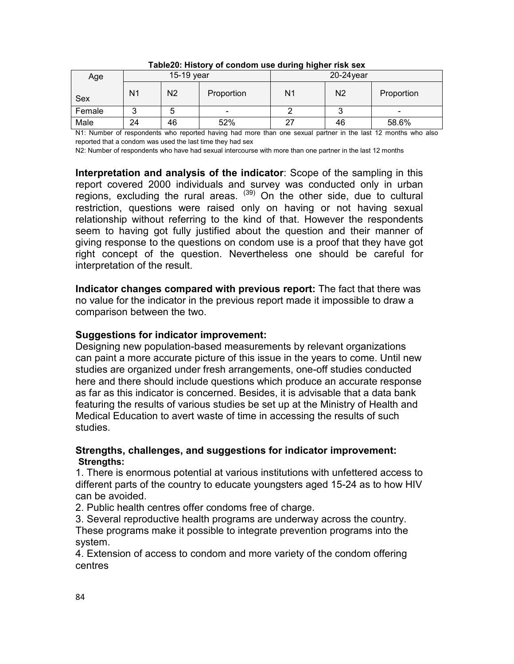| Age    | 15-19 year     |                |            |                | $20-24$ year   |            |  |  |
|--------|----------------|----------------|------------|----------------|----------------|------------|--|--|
| Sex    | N <sub>1</sub> | N <sub>2</sub> | Proportion | N <sub>1</sub> | N <sub>2</sub> | Proportion |  |  |
| Female | ◠<br>J         | 5              | -          |                | u              |            |  |  |
| Male   | 24             | 46             | 52%        | 27             | 46             | 58.6%      |  |  |

#### **Table20: History of condom use during higher risk sex**

N1: Number of respondents who reported having had more than one sexual partner in the last 12 months who also reported that a condom was used the last time they had sex

N2: Number of respondents who have had sexual intercourse with more than one partner in the last 12 months

**Interpretation and analysis of the indicator**: Scope of the sampling in this report covered 2000 individuals and survey was conducted only in urban regions, excluding the rural areas.  $^{(39)}$  On the other side, due to cultural restriction, questions were raised only on having or not having sexual relationship without referring to the kind of that. However the respondents seem to having got fully justified about the question and their manner of giving response to the questions on condom use is a proof that they have got right concept of the question. Nevertheless one should be careful for interpretation of the result.

**Indicator changes compared with previous report:** The fact that there was no value for the indicator in the previous report made it impossible to draw a comparison between the two.

#### **Suggestions for indicator improvement:**

Designing new population-based measurements by relevant organizations can paint a more accurate picture of this issue in the years to come. Until new studies are organized under fresh arrangements, one-off studies conducted here and there should include questions which produce an accurate response as far as this indicator is concerned. Besides, it is advisable that a data bank featuring the results of various studies be set up at the Ministry of Health and Medical Education to avert waste of time in accessing the results of such studies.

#### **Strengths, challenges, and suggestions for indicator improvement: Strengths:**

1. There is enormous potential at various institutions with unfettered access to different parts of the country to educate youngsters aged 15-24 as to how HIV can be avoided.

2. Public health centres offer condoms free of charge.

3. Several reproductive health programs are underway across the country.

These programs make it possible to integrate prevention programs into the system.

4. Extension of access to condom and more variety of the condom offering centres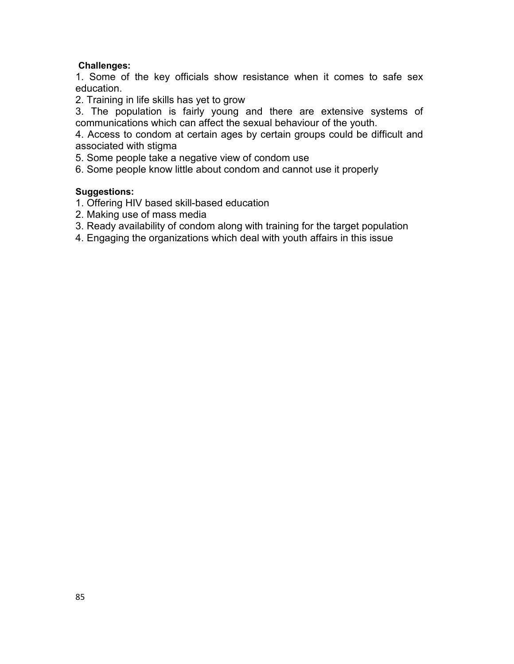#### **Challenges:**

1. Some of the key officials show resistance when it comes to safe sex education.

2. Training in life skills has yet to grow

3. The population is fairly young and there are extensive systems of communications which can affect the sexual behaviour of the youth.

4. Access to condom at certain ages by certain groups could be difficult and associated with stigma

5. Some people take a negative view of condom use

6. Some people know little about condom and cannot use it properly

#### **Suggestions:**

- 1. Offering HIV based skill-based education
- 2. Making use of mass media
- 3. Ready availability of condom along with training for the target population
- 4. Engaging the organizations which deal with youth affairs in this issue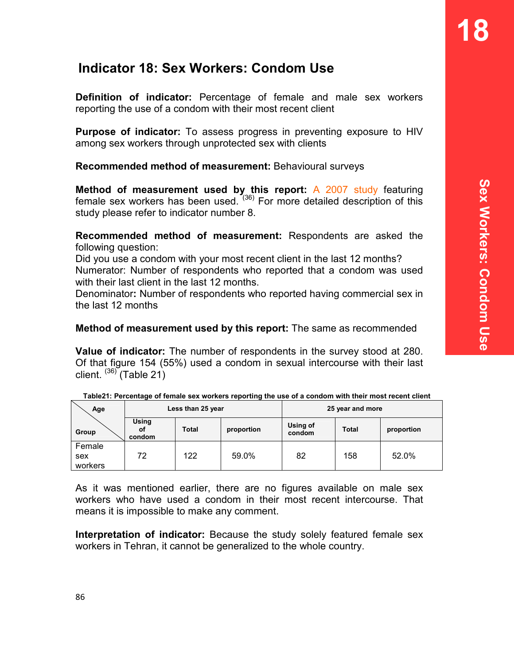# **Indicator 18: Sex Workers: Condom Use**

**Definition of indicator:** Percentage of female and male sex workers reporting the use of a condom with their most recent client

**Purpose of indicator:** To assess progress in preventing exposure to HIV among sex workers through unprotected sex with clients

**Recommended method of measurement:** Behavioural surveys

**Method of measurement used by this report:** A 2007 study featuring female sex workers has been used.  $(36)$  For more detailed description of this study please refer to indicator number 8.

**Recommended method of measurement:** Respondents are asked the following question:

Did you use a condom with your most recent client in the last 12 months? Numerator: Number of respondents who reported that a condom was used with their last client in the last 12 months.

Denominator**:** Number of respondents who reported having commercial sex in the last 12 months

**Method of measurement used by this report:** The same as recommended

**Value of indicator:** The number of respondents in the survey stood at 280. Of that figure 154 (55%) used a condom in sexual intercourse with their last client.  $(36)$ <sup>(Table 21)</sup>

| Age                      | Less than 25 year     |              |            | 25 year and more   |              |            |  |
|--------------------------|-----------------------|--------------|------------|--------------------|--------------|------------|--|
| Group                    | Using<br>οf<br>condom | <b>Total</b> | proportion | Using of<br>condom | <b>Total</b> | proportion |  |
| Female<br>sex<br>workers | 72                    | 122          | 59.0%      | 82                 | 158          | 52.0%      |  |

| Table21: Percentage of female sex workers reporting the use of a condom with their most recent client |  |  |  |
|-------------------------------------------------------------------------------------------------------|--|--|--|
|                                                                                                       |  |  |  |

As it was mentioned earlier, there are no figures available on male sex workers who have used a condom in their most recent intercourse. That means it is impossible to make any comment.

**Interpretation of indicator:** Because the study solely featured female sex workers in Tehran, it cannot be generalized to the whole country.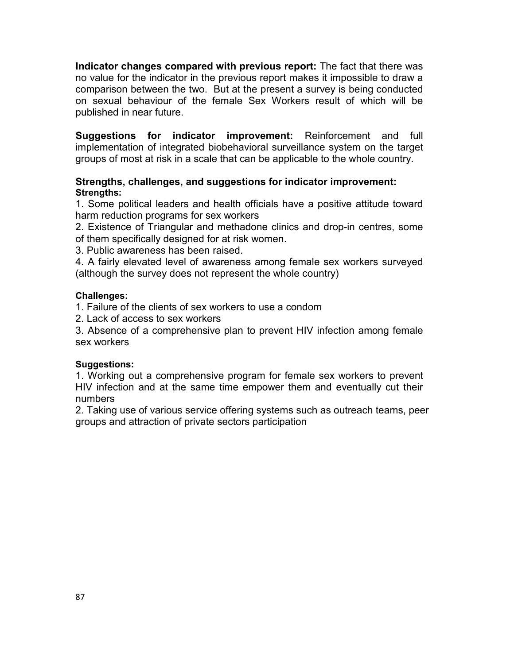**Indicator changes compared with previous report:** The fact that there was no value for the indicator in the previous report makes it impossible to draw a comparison between the two. But at the present a survey is being conducted on sexual behaviour of the female Sex Workers result of which will be published in near future.

**Suggestions for indicator improvement:** Reinforcement and full implementation of integrated biobehavioral surveillance system on the target groups of most at risk in a scale that can be applicable to the whole country.

#### **Strengths, challenges, and suggestions for indicator improvement: Strengths:**

1. Some political leaders and health officials have a positive attitude toward harm reduction programs for sex workers

2. Existence of Triangular and methadone clinics and drop-in centres, some of them specifically designed for at risk women.

3. Public awareness has been raised.

4. A fairly elevated level of awareness among female sex workers surveyed (although the survey does not represent the whole country)

#### **Challenges:**

1. Failure of the clients of sex workers to use a condom

2. Lack of access to sex workers

3. Absence of a comprehensive plan to prevent HIV infection among female sex workers

#### **Suggestions:**

1. Working out a comprehensive program for female sex workers to prevent HIV infection and at the same time empower them and eventually cut their numbers

2. Taking use of various service offering systems such as outreach teams, peer groups and attraction of private sectors participation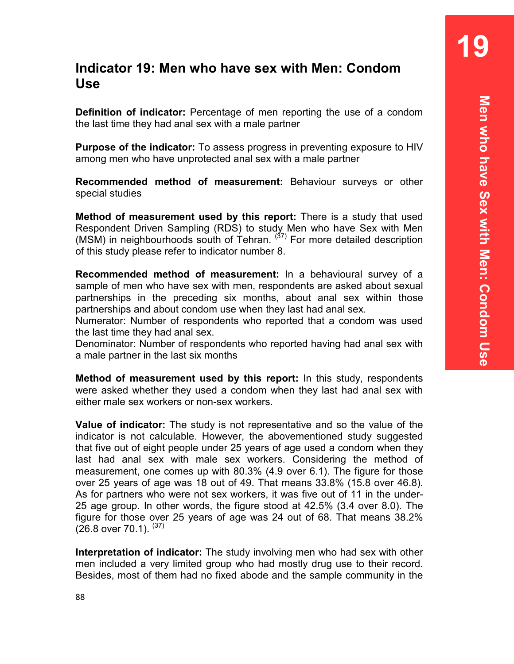**19** 

# **Indicator 19: Men who have sex with Men: Condom Use**

**Definition of indicator:** Percentage of men reporting the use of a condom the last time they had anal sex with a male partner

**Purpose of the indicator:** To assess progress in preventing exposure to HIV among men who have unprotected anal sex with a male partner

**Recommended method of measurement:** Behaviour surveys or other special studies

**Method of measurement used by this report:** There is a study that used Respondent Driven Sampling (RDS) to study Men who have Sex with Men (MSM) in neighbourhoods south of Tehran.  $(37)$  For more detailed description of this study please refer to indicator number 8.

**Recommended method of measurement:** In a behavioural survey of a sample of men who have sex with men, respondents are asked about sexual partnerships in the preceding six months, about anal sex within those partnerships and about condom use when they last had anal sex.

Numerator: Number of respondents who reported that a condom was used the last time they had anal sex.

Denominator: Number of respondents who reported having had anal sex with a male partner in the last six months

**Method of measurement used by this report:** In this study, respondents were asked whether they used a condom when they last had anal sex with either male sex workers or non-sex workers.

**Value of indicator:** The study is not representative and so the value of the indicator is not calculable. However, the abovementioned study suggested that five out of eight people under 25 years of age used a condom when they last had anal sex with male sex workers. Considering the method of measurement, one comes up with 80.3% (4.9 over 6.1). The figure for those over 25 years of age was 18 out of 49. That means 33.8% (15.8 over 46.8). As for partners who were not sex workers, it was five out of 11 in the under-25 age group. In other words, the figure stood at 42.5% (3.4 over 8.0). The figure for those over 25 years of age was 24 out of 68. That means 38.2%  $(26.8$  over 70.1).  $(37)$ 

**Interpretation of indicator:** The study involving men who had sex with other men included a very limited group who had mostly drug use to their record. Besides, most of them had no fixed abode and the sample community in the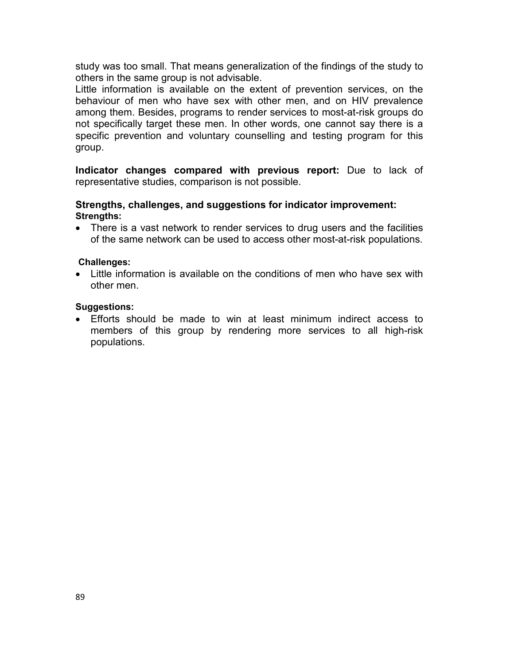study was too small. That means generalization of the findings of the study to others in the same group is not advisable.

Little information is available on the extent of prevention services, on the behaviour of men who have sex with other men, and on HIV prevalence among them. Besides, programs to render services to most-at-risk groups do not specifically target these men. In other words, one cannot say there is a specific prevention and voluntary counselling and testing program for this group.

**Indicator changes compared with previous report:** Due to lack of representative studies, comparison is not possible.

#### **Strengths, challenges, and suggestions for indicator improvement: Strengths:**

• There is a vast network to render services to drug users and the facilities of the same network can be used to access other most-at-risk populations.

#### **Challenges:**

• Little information is available on the conditions of men who have sex with other men.

#### **Suggestions:**

• Efforts should be made to win at least minimum indirect access to members of this group by rendering more services to all high-risk populations.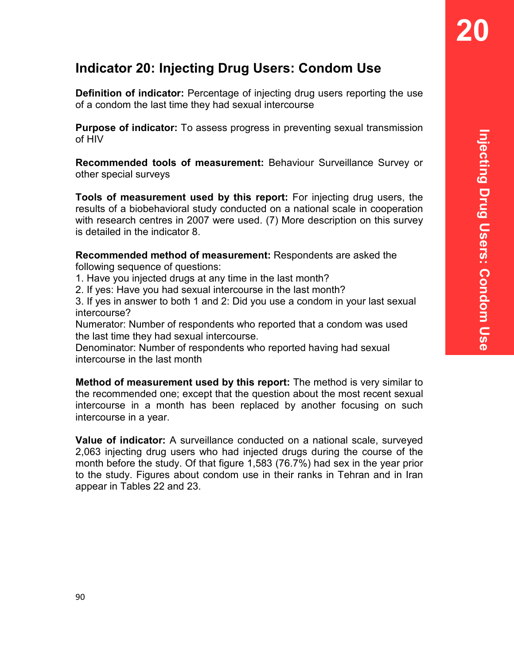# **Indicator 20: Injecting Drug Users: Condom Use**

**Definition of indicator:** Percentage of injecting drug users reporting the use of a condom the last time they had sexual intercourse

**Purpose of indicator:** To assess progress in preventing sexual transmission of HIV

**Recommended tools of measurement:** Behaviour Surveillance Survey or other special surveys

**Tools of measurement used by this report:** For injecting drug users, the results of a biobehavioral study conducted on a national scale in cooperation with research centres in 2007 were used. (7) More description on this survey is detailed in the indicator 8.

**Recommended method of measurement:** Respondents are asked the following sequence of questions:

1. Have you injected drugs at any time in the last month?

2. If yes: Have you had sexual intercourse in the last month?

3. If yes in answer to both 1 and 2: Did you use a condom in your last sexual intercourse?

Numerator: Number of respondents who reported that a condom was used the last time they had sexual intercourse.

Denominator: Number of respondents who reported having had sexual intercourse in the last month

**Method of measurement used by this report:** The method is very similar to the recommended one; except that the question about the most recent sexual intercourse in a month has been replaced by another focusing on such intercourse in a year.

**Value of indicator:** A surveillance conducted on a national scale, surveyed 2,063 injecting drug users who had injected drugs during the course of the month before the study. Of that figure 1,583 (76.7%) had sex in the year prior to the study. Figures about condom use in their ranks in Tehran and in Iran appear in Tables 22 and 23.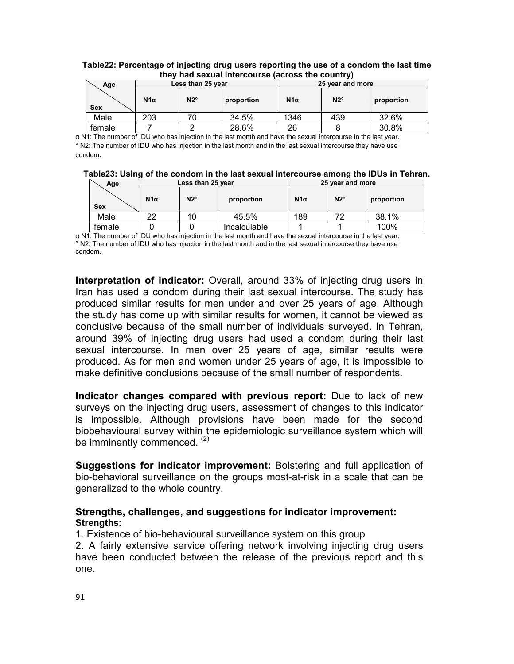|            | <u>UIGY HOU SCAUGH INIGICOUISC (OCIOSS LIIG COUNTINY)</u> |              |            |                  |              |            |  |  |
|------------|-----------------------------------------------------------|--------------|------------|------------------|--------------|------------|--|--|
| Age        | Less than 25 year                                         |              |            | 25 year and more |              |            |  |  |
| <b>Sex</b> | $N1\alpha$                                                | $N2^{\circ}$ | proportion | $N1\alpha$       | $N2^{\circ}$ | proportion |  |  |
| Male       | 203                                                       |              | 34.5%      | 1346             | 439          | 32.6%      |  |  |
| female     |                                                           |              | 28.6%      | 26               |              | 30.8%      |  |  |

#### **Table22: Percentage of injecting drug users reporting the use of a condom the last time they had sexual intercourse (across the country)**

α N1: The number of IDU who has injection in the last month and have the sexual intercourse in the last year. ° N2: The number of IDU who has injection in the last month and in the last sexual intercourse they have use condom.

| Table23: Using of the condom in the last sexual intercourse among the IDUs in Tehran. |  |  |
|---------------------------------------------------------------------------------------|--|--|
|---------------------------------------------------------------------------------------|--|--|

| Age        |            | Less than 25 year |                     | 25 year and more |              |            |  |
|------------|------------|-------------------|---------------------|------------------|--------------|------------|--|
| <b>Sex</b> | $N1\alpha$ | $N2^{\circ}$      | proportion          | $N1\alpha$       | $N2^{\circ}$ | proportion |  |
| Male       | າາ         | 10                | 45.5%               | 189              |              | 38.1%      |  |
| female     |            |                   | <b>Incalculable</b> |                  |              | 100%       |  |

α N1: The number of IDU who has injection in the last month and have the sexual intercourse in the last year. ° N2: The number of IDU who has injection in the last month and in the last sexual intercourse they have use condom.

**Interpretation of indicator:** Overall, around 33% of injecting drug users in Iran has used a condom during their last sexual intercourse. The study has produced similar results for men under and over 25 years of age. Although the study has come up with similar results for women, it cannot be viewed as conclusive because of the small number of individuals surveyed. In Tehran, around 39% of injecting drug users had used a condom during their last sexual intercourse. In men over 25 years of age, similar results were produced. As for men and women under 25 years of age, it is impossible to make definitive conclusions because of the small number of respondents.

**Indicator changes compared with previous report:** Due to lack of new surveys on the injecting drug users, assessment of changes to this indicator is impossible. Although provisions have been made for the second biobehavioural survey within the epidemiologic surveillance system which will be imminently commenced. (2)

**Suggestions for indicator improvement:** Bolstering and full application of bio-behavioral surveillance on the groups most-at-risk in a scale that can be generalized to the whole country.

#### **Strengths, challenges, and suggestions for indicator improvement: Strengths:**

1. Existence of bio-behavioural surveillance system on this group

2. A fairly extensive service offering network involving injecting drug users have been conducted between the release of the previous report and this one.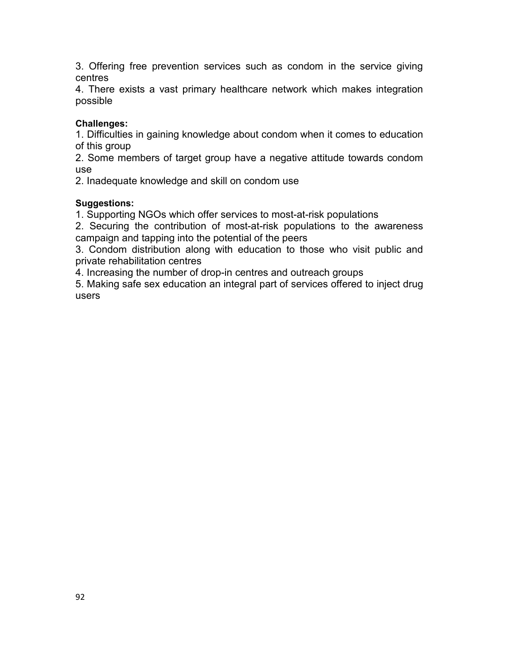3. Offering free prevention services such as condom in the service giving centres

4. There exists a vast primary healthcare network which makes integration possible

#### **Challenges:**

1. Difficulties in gaining knowledge about condom when it comes to education of this group

2. Some members of target group have a negative attitude towards condom use

2. Inadequate knowledge and skill on condom use

#### **Suggestions:**

1. Supporting NGOs which offer services to most-at-risk populations

2. Securing the contribution of most-at-risk populations to the awareness campaign and tapping into the potential of the peers

3. Condom distribution along with education to those who visit public and private rehabilitation centres

4. Increasing the number of drop-in centres and outreach groups

5. Making safe sex education an integral part of services offered to inject drug users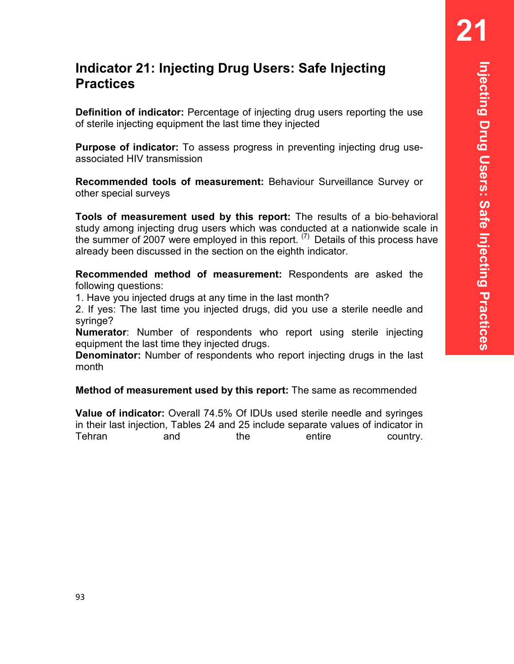# **Indicator 21: Injecting Drug Users: Safe Injecting Practices**

**Definition of indicator:** Percentage of injecting drug users reporting the use of sterile injecting equipment the last time they injected

**Purpose of indicator:** To assess progress in preventing injecting drug useassociated HIV transmission

**Recommended tools of measurement:** Behaviour Surveillance Survey or other special surveys

**Tools of measurement used by this report:** The results of a bio-behavioral study among injecting drug users which was conducted at a nationwide scale in the summer of 2007 were employed in this report.  $(7)$  Details of this process have already been discussed in the section on the eighth indicator.

**Recommended method of measurement:** Respondents are asked the following questions:

1. Have you injected drugs at any time in the last month?

2. If yes: The last time you injected drugs, did you use a sterile needle and syringe?

**Numerator**: Number of respondents who report using sterile injecting equipment the last time they injected drugs.

**Denominator:** Number of respondents who report injecting drugs in the last month

**Method of measurement used by this report:** The same as recommended

**Value of indicator:** Overall 74.5% Of IDUs used sterile needle and syringes in their last injection, Tables 24 and 25 include separate values of indicator in Tehran and the entire country.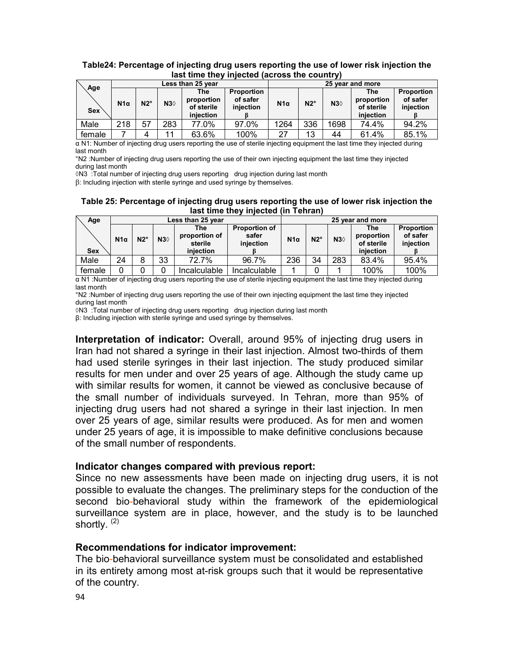| Age<br><b>Sex</b> | Less than 25 year |              |     |                                              |                                            | 25 year and more |              |      |                                                     |                                            |
|-------------------|-------------------|--------------|-----|----------------------------------------------|--------------------------------------------|------------------|--------------|------|-----------------------------------------------------|--------------------------------------------|
|                   | $N1\alpha$        | $N2^{\circ}$ | N30 | The<br>proportion<br>of sterile<br>iniection | <b>Proportion</b><br>of safer<br>injection | $N1\alpha$       | $N2^{\circ}$ | N30  | <b>The</b><br>proportion<br>of sterile<br>iniection | <b>Proportion</b><br>of safer<br>injection |
| Male              | 218               | 57           | 283 | 77.0%                                        | 97.0%                                      | 1264             | 336          | 1698 | 74.4%                                               | 94.2%                                      |
| female            |                   | 4            | 11  | 63.6%                                        | 100%                                       | 27               | 13           | 44   | 61.4%                                               | 85.1%                                      |

#### **Table24: Percentage of injecting drug users reporting the use of lower risk injection the last time they injected (across the country)**

α N1: Number of injecting drug users reporting the use of sterile injecting equipment the last time they injected during last month

°N2 :Number of injecting drug users reporting the use of their own injecting equipment the last time they injected during last month

◊N3 :Total number of injecting drug users reporting drug injection during last month

β: Including injection with sterile syringe and used syringe by themselves.

#### **Table 25: Percentage of injecting drug users reporting the use of lower risk injection the last time they injected (in Tehran)**

| Age        | Less than 25 year |              |     |                                              |                                            |            | 25 year and more |     |                                              |                                     |  |
|------------|-------------------|--------------|-----|----------------------------------------------|--------------------------------------------|------------|------------------|-----|----------------------------------------------|-------------------------------------|--|
| <b>Sex</b> | $N1\alpha$        | $N2^{\circ}$ | N30 | The<br>proportion of<br>sterile<br>iniection | <b>Proportion of</b><br>safer<br>injection | $N1\alpha$ | $N2^{\circ}$     | N30 | The<br>proportion<br>of sterile<br>iniection | Proportion<br>of safer<br>injection |  |
| Male       | 24                | 8            | 33  | 72.7%                                        | 96.7%                                      | 236        | 34               | 283 | 83.4%                                        | 95.4%                               |  |
| female     |                   |              |     | Incalculable                                 | Incalculable                               |            |                  |     | 100%                                         | 100%                                |  |

α N1 :Number of injecting drug users reporting the use of sterile injecting equipment the last time they injected during last month

°N2 :Number of injecting drug users reporting the use of their own injecting equipment the last time they injected during last month

◊N3 :Total number of injecting drug users reporting drug injection during last month

β: Including injection with sterile syringe and used syringe by themselves.

**Interpretation of indicator:** Overall, around 95% of injecting drug users in Iran had not shared a syringe in their last injection. Almost two-thirds of them had used sterile syringes in their last injection. The study produced similar results for men under and over 25 years of age. Although the study came up with similar results for women, it cannot be viewed as conclusive because of the small number of individuals surveyed. In Tehran, more than 95% of injecting drug users had not shared a syringe in their last injection. In men over 25 years of age, similar results were produced. As for men and women under 25 years of age, it is impossible to make definitive conclusions because of the small number of respondents.

#### **Indicator changes compared with previous report:**

Since no new assessments have been made on injecting drug users, it is not possible to evaluate the changes. The preliminary steps for the conduction of the second bio-behavioral study within the framework of the epidemiological surveillance system are in place, however, and the study is to be launched shortly.<sup>(2)</sup>

#### **Recommendations for indicator improvement:**

The bio-behavioral surveillance system must be consolidated and established in its entirety among most at-risk groups such that it would be representative of the country.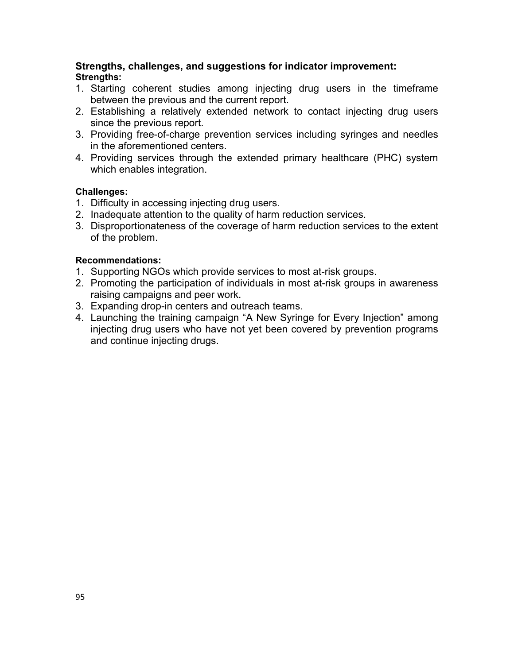#### **Strengths, challenges, and suggestions for indicator improvement: Strengths:**

- 1. Starting coherent studies among injecting drug users in the timeframe between the previous and the current report.
- 2. Establishing a relatively extended network to contact injecting drug users since the previous report.
- 3. Providing free-of-charge prevention services including syringes and needles in the aforementioned centers.
- 4. Providing services through the extended primary healthcare (PHC) system which enables integration.

#### **Challenges:**

- 1. Difficulty in accessing injecting drug users.
- 2. Inadequate attention to the quality of harm reduction services.
- 3. Disproportionateness of the coverage of harm reduction services to the extent of the problem.

#### **Recommendations:**

- 1. Supporting NGOs which provide services to most at-risk groups.
- 2. Promoting the participation of individuals in most at-risk groups in awareness raising campaigns and peer work.
- 3. Expanding drop-in centers and outreach teams.
- 4. Launching the training campaign "A New Syringe for Every Injection" among injecting drug users who have not yet been covered by prevention programs and continue injecting drugs.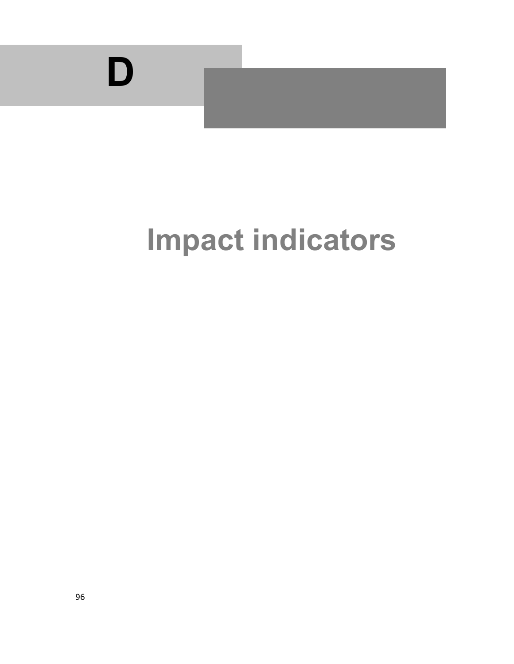

# **Impact indicators**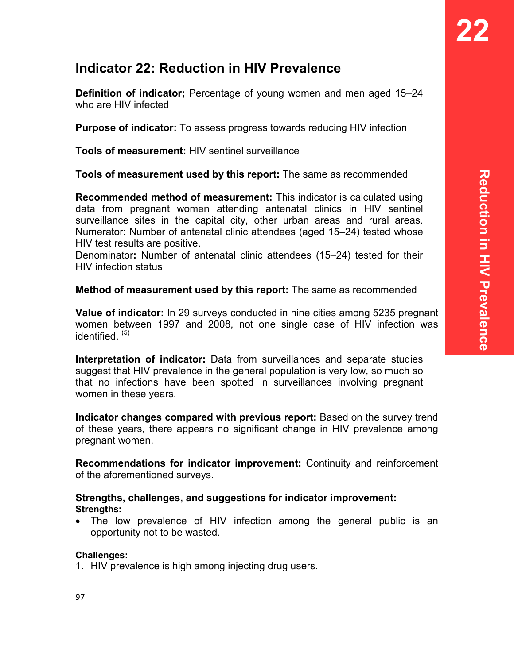# **Indicator 22: Reduction in HIV Prevalence**

**Definition of indicator;** Percentage of young women and men aged 15–24 who are HIV infected

**Purpose of indicator:** To assess progress towards reducing HIV infection

**Tools of measurement:** HIV sentinel surveillance

**Tools of measurement used by this report:** The same as recommended

**Recommended method of measurement:** This indicator is calculated using data from pregnant women attending antenatal clinics in HIV sentinel surveillance sites in the capital city, other urban areas and rural areas. Numerator: Number of antenatal clinic attendees (aged 15–24) tested whose HIV test results are positive.

Denominator**:** Number of antenatal clinic attendees (15–24) tested for their HIV infection status

#### **Method of measurement used by this report:** The same as recommended

**Value of indicator:** In 29 surveys conducted in nine cities among 5235 pregnant women between 1997 and 2008, not one single case of HIV infection was identified.<sup>(5)</sup>

**Interpretation of indicator:** Data from surveillances and separate studies suggest that HIV prevalence in the general population is very low, so much so that no infections have been spotted in surveillances involving pregnant women in these years.

**Indicator changes compared with previous report:** Based on the survey trend of these years, there appears no significant change in HIV prevalence among pregnant women.

**Recommendations for indicator improvement:** Continuity and reinforcement of the aforementioned surveys.

#### **Strengths, challenges, and suggestions for indicator improvement: Strengths:**

• The low prevalence of HIV infection among the general public is an opportunity not to be wasted.

#### **Challenges:**

1. HIV prevalence is high among injecting drug users.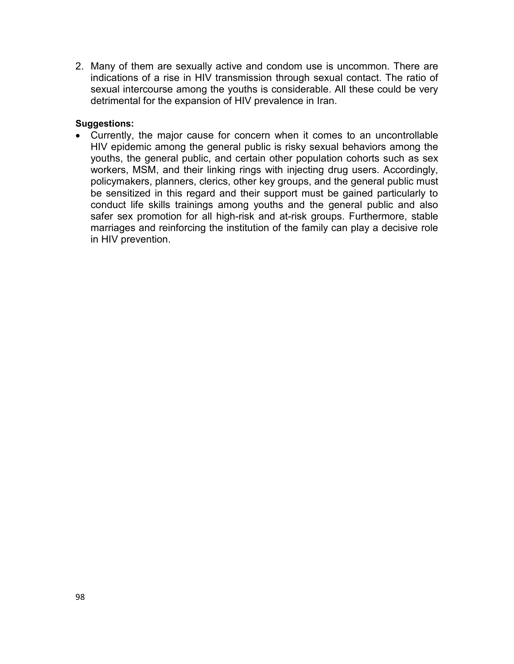2. Many of them are sexually active and condom use is uncommon. There are indications of a rise in HIV transmission through sexual contact. The ratio of sexual intercourse among the youths is considerable. All these could be very detrimental for the expansion of HIV prevalence in Iran.

#### **Suggestions:**

• Currently, the major cause for concern when it comes to an uncontrollable HIV epidemic among the general public is risky sexual behaviors among the youths, the general public, and certain other population cohorts such as sex workers, MSM, and their linking rings with injecting drug users. Accordingly, policymakers, planners, clerics, other key groups, and the general public must be sensitized in this regard and their support must be gained particularly to conduct life skills trainings among youths and the general public and also safer sex promotion for all high-risk and at-risk groups. Furthermore, stable marriages and reinforcing the institution of the family can play a decisive role in HIV prevention.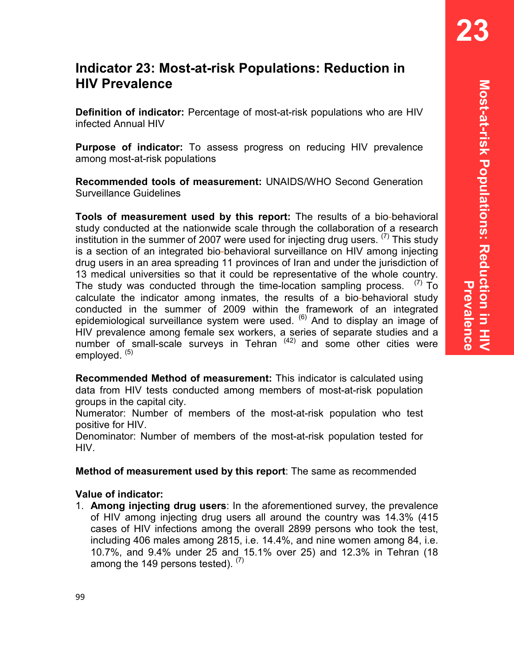# **Indicator 23: Most-at-risk Populations: Reduction in HIV Prevalence**

**Definition of indicator:** Percentage of most-at-risk populations who are HIV infected Annual HIV

**Purpose of indicator:** To assess progress on reducing HIV prevalence among most-at-risk populations

**Recommended tools of measurement:** UNAIDS/WHO Second Generation Surveillance Guidelines

**Tools of measurement used by this report:** The results of a bio-behavioral study conducted at the nationwide scale through the collaboration of a research institution in the summer of 2007 were used for injecting drug users.  $(7)$  This study is a section of an integrated bio-behavioral surveillance on HIV among injecting drug users in an area spreading 11 provinces of Iran and under the jurisdiction of 13 medical universities so that it could be representative of the whole country. The study was conducted through the time-location sampling process.  $(7)$  To calculate the indicator among inmates, the results of a bio-behavioral study conducted in the summer of 2009 within the framework of an integrated epidemiological surveillance system were used. <sup>(6)</sup> And to display an image of HIV prevalence among female sex workers, a series of separate studies and a number of small-scale surveys in Tehran  $(42)$  and some other cities were employed.  $(5)$ 

**Recommended Method of measurement:** This indicator is calculated using data from HIV tests conducted among members of most-at-risk population groups in the capital city.

Numerator: Number of members of the most-at-risk population who test positive for HIV.

Denominator: Number of members of the most-at-risk population tested for HIV.

**Method of measurement used by this report**: The same as recommended

#### **Value of indicator:**

1. **Among injecting drug users**: In the aforementioned survey, the prevalence of HIV among injecting drug users all around the country was 14.3% (415 cases of HIV infections among the overall 2899 persons who took the test, including 406 males among 2815, i.e. 14.4%, and nine women among 84, i.e. 10.7%, and 9.4% under 25 and 15.1% over 25) and 12.3% in Tehran (18 among the 149 persons tested).  $(7)$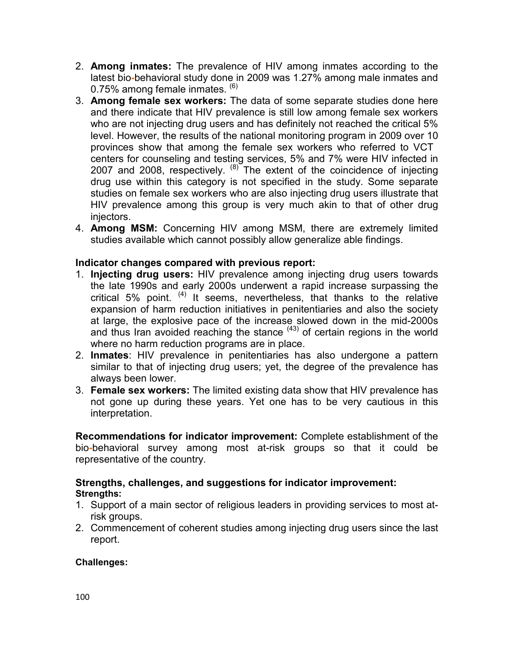- 2. **Among inmates:** The prevalence of HIV among inmates according to the latest bio**-**behavioral study done in 2009 was 1.27% among male inmates and 0.75% among female inmates. <sup>(6)</sup>
- 3. **Among female sex workers:** The data of some separate studies done here and there indicate that HIV prevalence is still low among female sex workers who are not injecting drug users and has definitely not reached the critical 5% level. However, the results of the national monitoring program in 2009 over 10 provinces show that among the female sex workers who referred to VCT centers for counseling and testing services, 5% and 7% were HIV infected in 2007 and 2008, respectively.  $^{(8)}$  The extent of the coincidence of injecting drug use within this category is not specified in the study. Some separate studies on female sex workers who are also injecting drug users illustrate that HIV prevalence among this group is very much akin to that of other drug injectors.
- 4. **Among MSM:** Concerning HIV among MSM, there are extremely limited studies available which cannot possibly allow generalize able findings.

#### **Indicator changes compared with previous report:**

- 1. **Injecting drug users:** HIV prevalence among injecting drug users towards the late 1990s and early 2000s underwent a rapid increase surpassing the critical 5% point.  $(4)$  It seems, nevertheless, that thanks to the relative expansion of harm reduction initiatives in penitentiaries and also the society at large, the explosive pace of the increase slowed down in the mid-2000s and thus Iran avoided reaching the stance  $(43)$  of certain regions in the world where no harm reduction programs are in place.
- 2. **Inmates**: HIV prevalence in penitentiaries has also undergone a pattern similar to that of injecting drug users; yet, the degree of the prevalence has always been lower.
- 3. **Female sex workers:** The limited existing data show that HIV prevalence has not gone up during these years. Yet one has to be very cautious in this interpretation.

**Recommendations for indicator improvement:** Complete establishment of the bio**-**behavioral survey among most at-risk groups so that it could be representative of the country.

#### **Strengths, challenges, and suggestions for indicator improvement: Strengths:**

- 1. Support of a main sector of religious leaders in providing services to most atrisk groups.
- 2. Commencement of coherent studies among injecting drug users since the last report.

#### **Challenges:**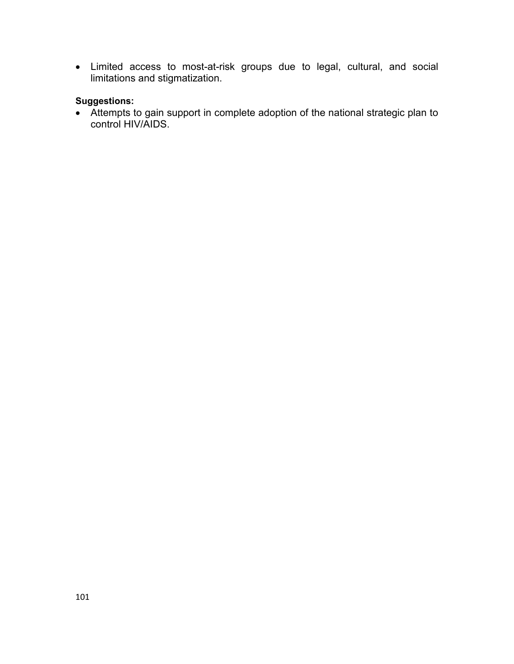• Limited access to most-at-risk groups due to legal, cultural, and social limitations and stigmatization.

#### **Suggestions:**

• Attempts to gain support in complete adoption of the national strategic plan to control HIV/AIDS.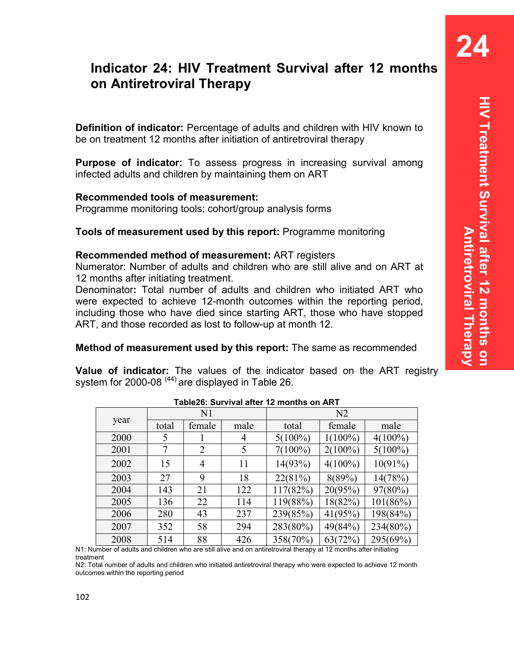**24** 

# **Indicator 24: HIV Treatment Survival after 12 months on Antiretroviral Therapy**

**Definition of indicator:** Percentage of adults and children with HIV known to be on treatment 12 months after initiation of antiretroviral therapy

**Purpose of indicator:** To assess progress in increasing survival among infected adults and children by maintaining them on ART

#### **Recommended tools of measurement:**

Programme monitoring tools; cohort/group analysis forms

#### **Tools of measurement used by this report:** Programme monitoring

#### **Recommended method of measurement:** ART registers

Numerator: Number of adults and children who are still alive and on ART at 12 months after initiating treatment.

Denominator**:** Total number of adults and children who initiated ART who were expected to achieve 12-month outcomes within the reporting period, including those who have died since starting ART, those who have stopped ART, and those recorded as lost to follow-up at month 12.

#### **Method of measurement used by this report:** The same as recommended

**Value of indicator:** The values of the indicator based on the ART registry system for 2000-08  $(44)$  are displayed in Table 26.

|      |       |                | $\overline{\phantom{a}}$ adjects. Survival and the monitors on ART |            |            |            |  |  |
|------|-------|----------------|--------------------------------------------------------------------|------------|------------|------------|--|--|
| year |       | N <sub>1</sub> |                                                                    | N2         |            |            |  |  |
|      | total | female         | male                                                               | total      | female     | male       |  |  |
| 2000 | 5     |                | 4                                                                  | $5(100\%)$ | $1(100\%)$ | $4(100\%)$ |  |  |
| 2001 | 7     | $\overline{2}$ | 5                                                                  | $7(100\%)$ | $2(100\%)$ | $5(100\%)$ |  |  |
| 2002 | 15    | $\overline{4}$ | 11                                                                 | 14(93%)    | $4(100\%)$ | 10(91%)    |  |  |
| 2003 | 27    | 9              | 18                                                                 | 22(81%)    | 8(89%)     | 14(78%)    |  |  |
| 2004 | 143   | 21             | 122                                                                | 117(82%)   | 20(95%)    | $97(80\%)$ |  |  |
| 2005 | 136   | 22             | 114                                                                | 119(88%)   | 18(82%)    | 101(86%)   |  |  |
| 2006 | 280   | 43             | 237                                                                | 239(85%)   | 41(95%)    | 198(84%)   |  |  |
| 2007 | 352   | 58             | 294                                                                | 283(80%)   | 49(84%)    | 234(80%)   |  |  |
| 2008 | 514   | 88             | 426                                                                | 358(70%)   | 63(72%)    | 295(69%)   |  |  |

**Table26: Survival after 12 months on ART** 

N1: Number of adults and children who are still alive and on antiretroviral therapy at 12 months after initiating treatment

N2: Total number of adults and children who initiated antiretroviral therapy who were expected to achieve 12 month outcomes within the reporting period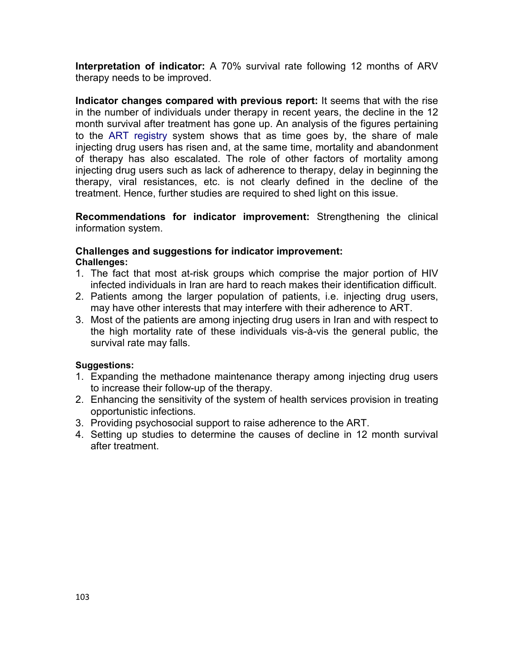**Interpretation of indicator:** A 70% survival rate following 12 months of ARV therapy needs to be improved.

**Indicator changes compared with previous report:** It seems that with the rise in the number of individuals under therapy in recent years, the decline in the 12 month survival after treatment has gone up. An analysis of the figures pertaining to the ART registry system shows that as time goes by, the share of male injecting drug users has risen and, at the same time, mortality and abandonment of therapy has also escalated. The role of other factors of mortality among injecting drug users such as lack of adherence to therapy, delay in beginning the therapy, viral resistances, etc. is not clearly defined in the decline of the treatment. Hence, further studies are required to shed light on this issue.

**Recommendations for indicator improvement:** Strengthening the clinical information system.

#### **Challenges and suggestions for indicator improvement: Challenges:**

- 1. The fact that most at-risk groups which comprise the major portion of HIV infected individuals in Iran are hard to reach makes their identification difficult.
- 2. Patients among the larger population of patients, i.e. injecting drug users, may have other interests that may interfere with their adherence to ART.
- 3. Most of the patients are among injecting drug users in Iran and with respect to the high mortality rate of these individuals vis-à-vis the general public, the survival rate may falls.

#### **Suggestions:**

- 1. Expanding the methadone maintenance therapy among injecting drug users to increase their follow-up of the therapy.
- 2. Enhancing the sensitivity of the system of health services provision in treating opportunistic infections.
- 3. Providing psychosocial support to raise adherence to the ART.
- 4. Setting up studies to determine the causes of decline in 12 month survival after treatment.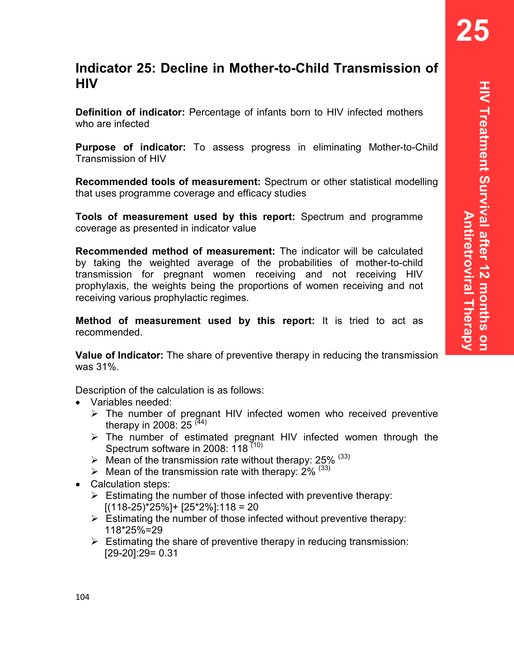**25** 

# **Indicator 25: Decline in Mother-to-Child Transmission of HIV**

**Definition of indicator:** Percentage of infants born to HIV infected mothers who are infected

**Purpose of indicator:** To assess progress in eliminating Mother-to-Child Transmission of HIV

**Recommended tools of measurement:** Spectrum or other statistical modelling that uses programme coverage and efficacy studies

**Tools of measurement used by this report:** Spectrum and programme coverage as presented in indicator value

**Recommended method of measurement:** The indicator will be calculated by taking the weighted average of the probabilities of mother-to-child transmission for pregnant women receiving and not receiving HIV prophylaxis, the weights being the proportions of women receiving and not receiving various prophylactic regimes.

**Method of measurement used by this report:** It is tried to act as recommended.

**Value of Indicator:** The share of preventive therapy in reducing the transmission was 31%.

Description of the calculation is as follows:

- Variables needed:
	- $\triangleright$  The number of pregnant HIV infected women who received preventive therapy in 2008: 25  $(44)$
	- $\triangleright$  The number of estimated pregnant HIV infected women through the Spectrum software in 2008: 118<sup>(10)</sup>
	- $\triangleright$  Mean of the transmission rate without therapy: 25% (33)
	- $\triangleright$  Mean of the transmission rate with therapy: 2% (33)
- Calculation steps:
	- $\triangleright$  Estimating the number of those infected with preventive therapy: [(118-25)\*25%]+ [25\*2%]:118 = 20
	- $\triangleright$  Estimating the number of those infected without preventive therapy: 118\*25%=29
	- $\triangleright$  Estimating the share of preventive therapy in reducing transmission: [29-20]:29= 0.31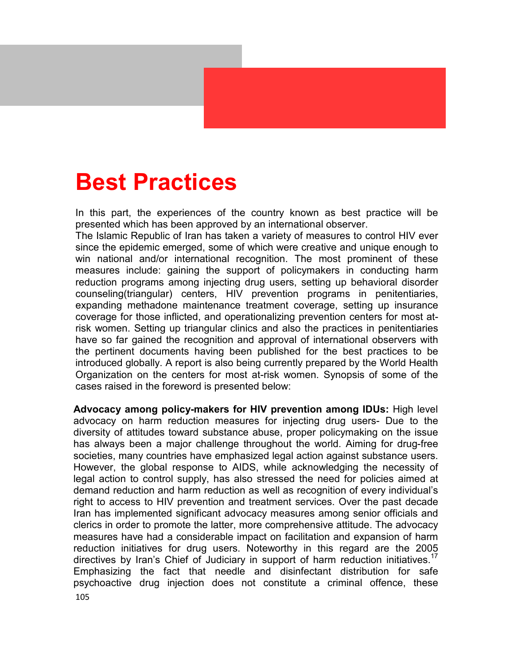# **Best Practices**

In this part, the experiences of the country known as best practice will be presented which has been approved by an international observer.

The Islamic Republic of Iran has taken a variety of measures to control HIV ever since the epidemic emerged, some of which were creative and unique enough to win national and/or international recognition. The most prominent of these measures include: gaining the support of policymakers in conducting harm reduction programs among injecting drug users, setting up behavioral disorder counseling(triangular) centers, HIV prevention programs in penitentiaries, expanding methadone maintenance treatment coverage, setting up insurance coverage for those inflicted, and operationalizing prevention centers for most atrisk women. Setting up triangular clinics and also the practices in penitentiaries have so far gained the recognition and approval of international observers with the pertinent documents having been published for the best practices to be introduced globally. A report is also being currently prepared by the World Health Organization on the centers for most at-risk women. Synopsis of some of the cases raised in the foreword is presented below:

**Advocacy among policy-makers for HIV prevention among IDUs:** High level advocacy on harm reduction measures for injecting drug users- Due to the diversity of attitudes toward substance abuse, proper policymaking on the issue has always been a major challenge throughout the world. Aiming for drug-free societies, many countries have emphasized legal action against substance users. However, the global response to AIDS, while acknowledging the necessity of legal action to control supply, has also stressed the need for policies aimed at demand reduction and harm reduction as well as recognition of every individual's right to access to HIV prevention and treatment services. Over the past decade Iran has implemented significant advocacy measures among senior officials and clerics in order to promote the latter, more comprehensive attitude. The advocacy measures have had a considerable impact on facilitation and expansion of harm reduction initiatives for drug users. Noteworthy in this regard are the 2005 directives by Iran's Chief of Judiciary in support of harm reduction initiatives.<sup>17</sup> Emphasizing the fact that needle and disinfectant distribution for safe psychoactive drug injection does not constitute a criminal offence, these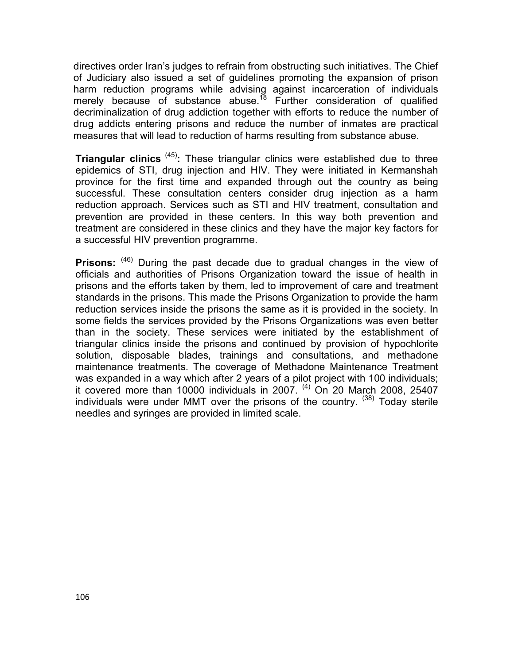directives order Iran's judges to refrain from obstructing such initiatives. The Chief of Judiciary also issued a set of guidelines promoting the expansion of prison harm reduction programs while advising against incarceration of individuals merely because of substance abuse.<sup>18</sup> Further consideration of qualified decriminalization of drug addiction together with efforts to reduce the number of drug addicts entering prisons and reduce the number of inmates are practical measures that will lead to reduction of harms resulting from substance abuse.

**Triangular clinics** (45)**:** These triangular clinics were established due to three epidemics of STI, drug injection and HIV. They were initiated in Kermanshah province for the first time and expanded through out the country as being successful. These consultation centers consider drug injection as a harm reduction approach. Services such as STI and HIV treatment, consultation and prevention are provided in these centers. In this way both prevention and treatment are considered in these clinics and they have the major key factors for a successful HIV prevention programme.

**Prisons:** <sup>(46)</sup> During the past decade due to gradual changes in the view of officials and authorities of Prisons Organization toward the issue of health in prisons and the efforts taken by them, led to improvement of care and treatment standards in the prisons. This made the Prisons Organization to provide the harm reduction services inside the prisons the same as it is provided in the society. In some fields the services provided by the Prisons Organizations was even better than in the society. These services were initiated by the establishment of triangular clinics inside the prisons and continued by provision of hypochlorite solution, disposable blades, trainings and consultations, and methadone maintenance treatments. The coverage of Methadone Maintenance Treatment was expanded in a way which after 2 years of a pilot project with 100 individuals; it covered more than 10000 individuals in 2007. <sup>(4)</sup> On 20 March 2008, 25407 individuals were under MMT over the prisons of the country.  $(38)$  Today sterile needles and syringes are provided in limited scale.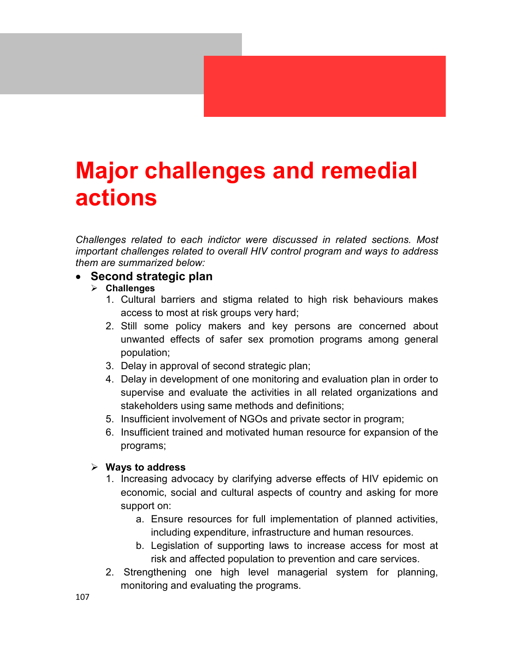# **Major challenges and remedial actions**

*Challenges related to each indictor were discussed in related sections. Most important challenges related to overall HIV control program and ways to address them are summarized below:* 

#### • **Second strategic plan**

- **Challenges** 
	- 1. Cultural barriers and stigma related to high risk behaviours makes access to most at risk groups very hard;
	- 2. Still some policy makers and key persons are concerned about unwanted effects of safer sex promotion programs among general population;
	- 3. Delay in approval of second strategic plan;
	- 4. Delay in development of one monitoring and evaluation plan in order to supervise and evaluate the activities in all related organizations and stakeholders using same methods and definitions;
	- 5. Insufficient involvement of NGOs and private sector in program;
	- 6. Insufficient trained and motivated human resource for expansion of the programs;

#### **Ways to address**

- 1. Increasing advocacy by clarifying adverse effects of HIV epidemic on economic, social and cultural aspects of country and asking for more support on:
	- a. Ensure resources for full implementation of planned activities, including expenditure, infrastructure and human resources.
	- b. Legislation of supporting laws to increase access for most at risk and affected population to prevention and care services.
- 2. Strengthening one high level managerial system for planning, monitoring and evaluating the programs.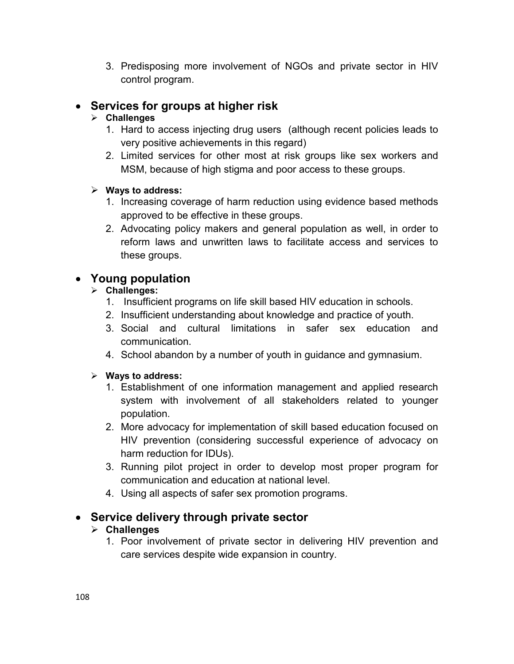3. Predisposing more involvement of NGOs and private sector in HIV control program.

# • **Services for groups at higher risk**

#### **Challenges**

- 1. Hard to access injecting drug users (although recent policies leads to very positive achievements in this regard)
- 2. Limited services for other most at risk groups like sex workers and MSM, because of high stigma and poor access to these groups.

#### **Ways to address:**

- 1. Increasing coverage of harm reduction using evidence based methods approved to be effective in these groups.
- 2. Advocating policy makers and general population as well, in order to reform laws and unwritten laws to facilitate access and services to these groups.

# • **Young population**

### **Challenges:**

- 1. Insufficient programs on life skill based HIV education in schools.
- 2. Insufficient understanding about knowledge and practice of youth.
- 3. Social and cultural limitations in safer sex education and communication.
- 4. School abandon by a number of youth in guidance and gymnasium.

#### **Ways to address:**

- 1. Establishment of one information management and applied research system with involvement of all stakeholders related to younger population.
- 2. More advocacy for implementation of skill based education focused on HIV prevention (considering successful experience of advocacy on harm reduction for IDUs).
- 3. Running pilot project in order to develop most proper program for communication and education at national level.
- 4. Using all aspects of safer sex promotion programs.

## • **Service delivery through private sector**

## **Challenges**

1. Poor involvement of private sector in delivering HIV prevention and care services despite wide expansion in country.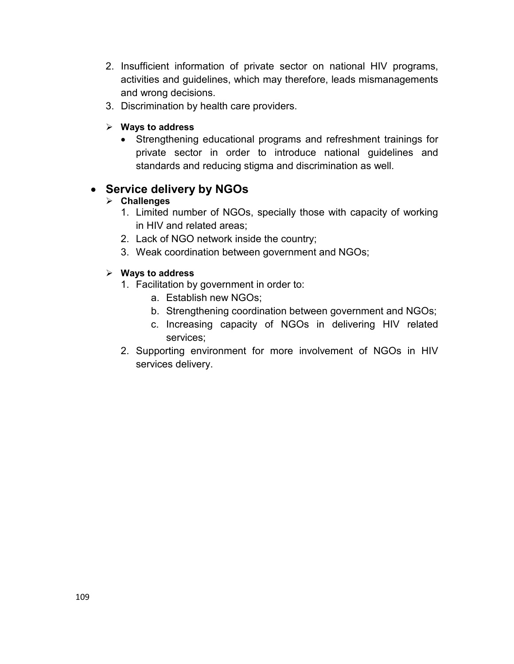- 2. Insufficient information of private sector on national HIV programs, activities and guidelines, which may therefore, leads mismanagements and wrong decisions.
- 3. Discrimination by health care providers.
- **Ways to address** 
	- Strengthening educational programs and refreshment trainings for private sector in order to introduce national guidelines and standards and reducing stigma and discrimination as well.

## • **Service delivery by NGOs**

### **Challenges**

- 1. Limited number of NGOs, specially those with capacity of working in HIV and related areas;
- 2. Lack of NGO network inside the country;
- 3. Weak coordination between government and NGOs;

### **Ways to address**

- 1. Facilitation by government in order to:
	- a. Establish new NGOs;
	- b. Strengthening coordination between government and NGOs;
	- c. Increasing capacity of NGOs in delivering HIV related services;
- 2. Supporting environment for more involvement of NGOs in HIV services delivery.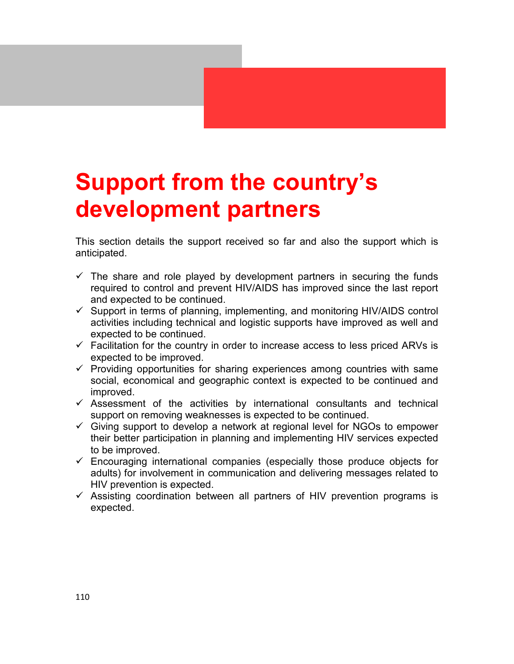# **Support from the country's development partners**

This section details the support received so far and also the support which is anticipated.

- $\checkmark$  The share and role played by development partners in securing the funds required to control and prevent HIV/AIDS has improved since the last report and expected to be continued.
- Support in terms of planning, implementing, and monitoring HIV/AIDS control activities including technical and logistic supports have improved as well and expected to be continued.
- $\checkmark$  Facilitation for the country in order to increase access to less priced ARVs is expected to be improved.
- $\checkmark$  Providing opportunities for sharing experiences among countries with same social, economical and geographic context is expected to be continued and improved.
- $\checkmark$  Assessment of the activities by international consultants and technical support on removing weaknesses is expected to be continued.
- Giving support to develop a network at regional level for NGOs to empower their better participation in planning and implementing HIV services expected to be improved.
- Encouraging international companies (especially those produce objects for adults) for involvement in communication and delivering messages related to HIV prevention is expected.
- $\checkmark$  Assisting coordination between all partners of HIV prevention programs is expected.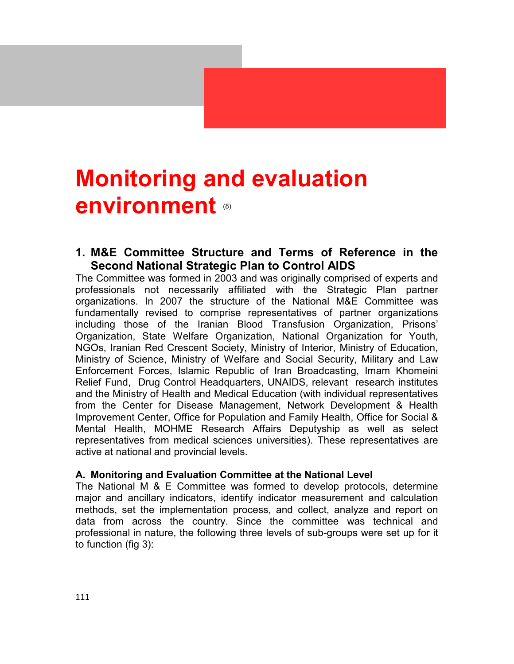# **Monitoring and evaluation environment** (8)

### **1. M&E Committee Structure and Terms of Reference in the Second National Strategic Plan to Control AIDS**

The Committee was formed in 2003 and was originally comprised of experts and professionals not necessarily affiliated with the Strategic Plan partner organizations. In 2007 the structure of the National M&E Committee was fundamentally revised to comprise representatives of partner organizations including those of the Iranian Blood Transfusion Organization, Prisons' Organization, State Welfare Organization, National Organization for Youth, NGOs, Iranian Red Crescent Society, Ministry of Interior, Ministry of Education, Ministry of Science, Ministry of Welfare and Social Security, Military and Law Enforcement Forces, Islamic Republic of Iran Broadcasting, Imam Khomeini Relief Fund, Drug Control Headquarters, UNAIDS, relevant research institutes and the Ministry of Health and Medical Education (with individual representatives from the Center for Disease Management, Network Development & Health Improvement Center, Office for Population and Family Health, Office for Social & Mental Health, MOHME Research Affairs Deputyship as well as select representatives from medical sciences universities). These representatives are active at national and provincial levels.

#### **A. Monitoring and Evaluation Committee at the National Level**

The National M & E Committee was formed to develop protocols, determine major and ancillary indicators, identify indicator measurement and calculation methods, set the implementation process, and collect, analyze and report on data from across the country. Since the committee was technical and professional in nature, the following three levels of sub-groups were set up for it to function (fig 3):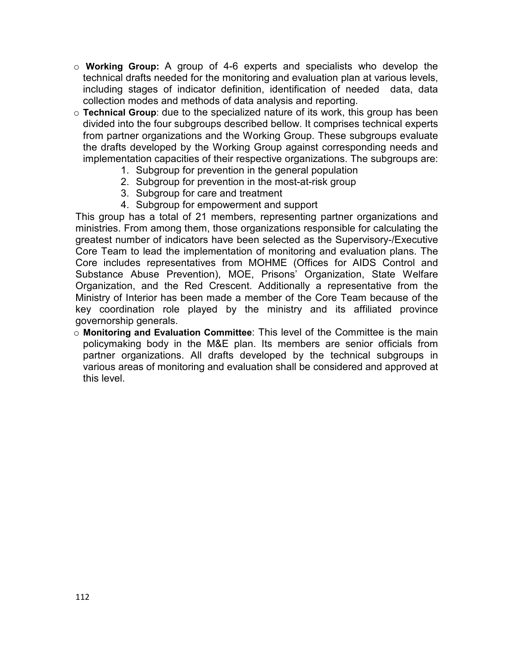- o **Working Group:** A group of 4-6 experts and specialists who develop the technical drafts needed for the monitoring and evaluation plan at various levels, including stages of indicator definition, identification of needed data, data collection modes and methods of data analysis and reporting.
- o **Technical Group**: due to the specialized nature of its work, this group has been divided into the four subgroups described bellow. It comprises technical experts from partner organizations and the Working Group. These subgroups evaluate the drafts developed by the Working Group against corresponding needs and implementation capacities of their respective organizations. The subgroups are:
	- 1. Subgroup for prevention in the general population
	- 2. Subgroup for prevention in the most-at-risk group
	- 3. Subgroup for care and treatment
	- 4. Subgroup for empowerment and support

This group has a total of 21 members, representing partner organizations and ministries. From among them, those organizations responsible for calculating the greatest number of indicators have been selected as the Supervisory-/Executive Core Team to lead the implementation of monitoring and evaluation plans. The Core includes representatives from MOHME (Offices for AIDS Control and Substance Abuse Prevention), MOE, Prisons' Organization, State Welfare Organization, and the Red Crescent. Additionally a representative from the Ministry of Interior has been made a member of the Core Team because of the key coordination role played by the ministry and its affiliated province governorship generals.

o **Monitoring and Evaluation Committee**: This level of the Committee is the main policymaking body in the M&E plan. Its members are senior officials from partner organizations. All drafts developed by the technical subgroups in various areas of monitoring and evaluation shall be considered and approved at this level.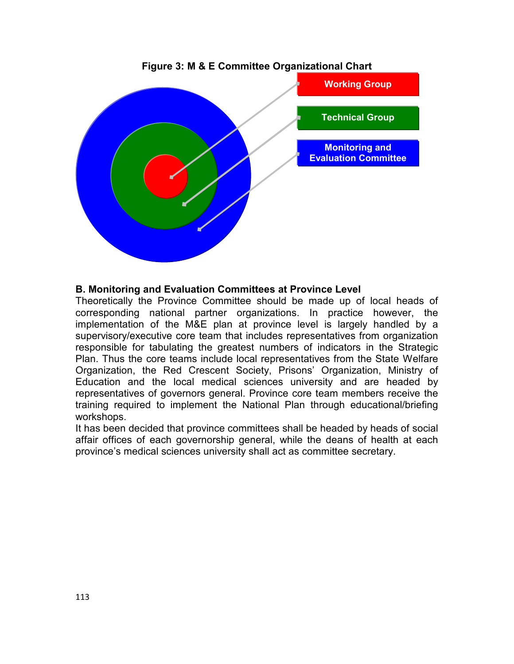

**Figure 3: M & E Committee Organizational Chart** 

#### **B. Monitoring and Evaluation Committees at Province Level**

Theoretically the Province Committee should be made up of local heads of corresponding national partner organizations. In practice however, the implementation of the M&E plan at province level is largely handled by a supervisory/executive core team that includes representatives from organization responsible for tabulating the greatest numbers of indicators in the Strategic Plan. Thus the core teams include local representatives from the State Welfare Organization, the Red Crescent Society, Prisons' Organization, Ministry of Education and the local medical sciences university and are headed by representatives of governors general. Province core team members receive the training required to implement the National Plan through educational/briefing workshops.

It has been decided that province committees shall be headed by heads of social affair offices of each governorship general, while the deans of health at each province's medical sciences university shall act as committee secretary.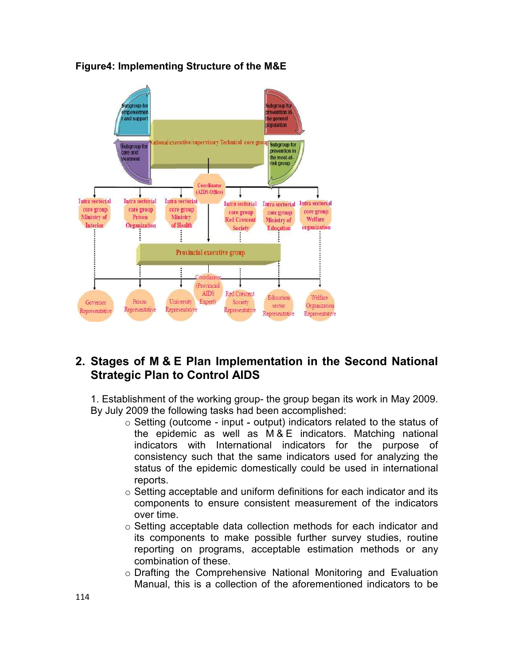

#### **Figure4: Implementing Structure of the M&E**

## **2. Stages of M & E Plan Implementation in the Second National Strategic Plan to Control AIDS**

1. Establishment of the working group- the group began its work in May 2009. By July 2009 the following tasks had been accomplished:

- o Setting (outcome input **-** output) indicators related to the status of the epidemic as well as M & E indicators. Matching national indicators with International indicators for the purpose of consistency such that the same indicators used for analyzing the status of the epidemic domestically could be used in international reports.
- o Setting acceptable and uniform definitions for each indicator and its components to ensure consistent measurement of the indicators over time.
- o Setting acceptable data collection methods for each indicator and its components to make possible further survey studies, routine reporting on programs, acceptable estimation methods or any combination of these.
- o Drafting the Comprehensive National Monitoring and Evaluation Manual, this is a collection of the aforementioned indicators to be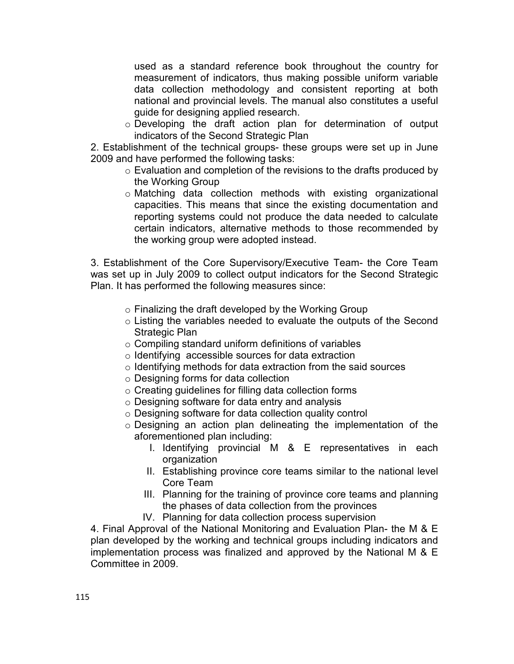used as a standard reference book throughout the country for measurement of indicators, thus making possible uniform variable data collection methodology and consistent reporting at both national and provincial levels. The manual also constitutes a useful guide for designing applied research.

o Developing the draft action plan for determination of output indicators of the Second Strategic Plan

2. Establishment of the technical groups- these groups were set up in June 2009 and have performed the following tasks:

- o Evaluation and completion of the revisions to the drafts produced by the Working Group
- o Matching data collection methods with existing organizational capacities. This means that since the existing documentation and reporting systems could not produce the data needed to calculate certain indicators, alternative methods to those recommended by the working group were adopted instead.

3. Establishment of the Core Supervisory/Executive Team- the Core Team was set up in July 2009 to collect output indicators for the Second Strategic Plan. It has performed the following measures since:

- $\circ$  Finalizing the draft developed by the Working Group
- o Listing the variables needed to evaluate the outputs of the Second Strategic Plan
- $\circ$  Compiling standard uniform definitions of variables
- o Identifying accessible sources for data extraction
- $\circ$  Identifying methods for data extraction from the said sources
- o Designing forms for data collection
- o Creating guidelines for filling data collection forms
- o Designing software for data entry and analysis
- o Designing software for data collection quality control
- o Designing an action plan delineating the implementation of the aforementioned plan including:
	- I. Identifying provincial M & E representatives in each organization
	- II. Establishing province core teams similar to the national level Core Team
	- III. Planning for the training of province core teams and planning the phases of data collection from the provinces
	- IV. Planning for data collection process supervision

4. Final Approval of the National Monitoring and Evaluation Plan- the M & E plan developed by the working and technical groups including indicators and implementation process was finalized and approved by the National M & E Committee in 2009.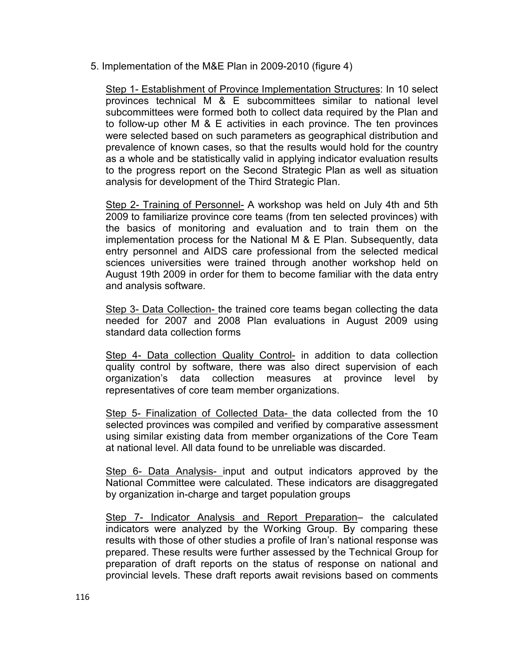5. Implementation of the M&E Plan in 2009-2010 (figure 4)

Step 1- Establishment of Province Implementation Structures: In 10 select provinces technical M & E subcommittees similar to national level subcommittees were formed both to collect data required by the Plan and to follow-up other M & E activities in each province. The ten provinces were selected based on such parameters as geographical distribution and prevalence of known cases, so that the results would hold for the country as a whole and be statistically valid in applying indicator evaluation results to the progress report on the Second Strategic Plan as well as situation analysis for development of the Third Strategic Plan.

Step 2- Training of Personnel- A workshop was held on July 4th and 5th 2009 to familiarize province core teams (from ten selected provinces) with the basics of monitoring and evaluation and to train them on the implementation process for the National M & E Plan. Subsequently, data entry personnel and AIDS care professional from the selected medical sciences universities were trained through another workshop held on August 19th 2009 in order for them to become familiar with the data entry and analysis software.

Step 3- Data Collection- the trained core teams began collecting the data needed for 2007 and 2008 Plan evaluations in August 2009 using standard data collection forms

Step 4- Data collection Quality Control- in addition to data collection quality control by software, there was also direct supervision of each organization's data collection measures at province level by representatives of core team member organizations.

Step 5- Finalization of Collected Data- the data collected from the 10 selected provinces was compiled and verified by comparative assessment using similar existing data from member organizations of the Core Team at national level. All data found to be unreliable was discarded.

Step 6- Data Analysis- input and output indicators approved by the National Committee were calculated. These indicators are disaggregated by organization in-charge and target population groups

Step 7- Indicator Analysis and Report Preparation– the calculated indicators were analyzed by the Working Group. By comparing these results with those of other studies a profile of Iran's national response was prepared. These results were further assessed by the Technical Group for preparation of draft reports on the status of response on national and provincial levels. These draft reports await revisions based on comments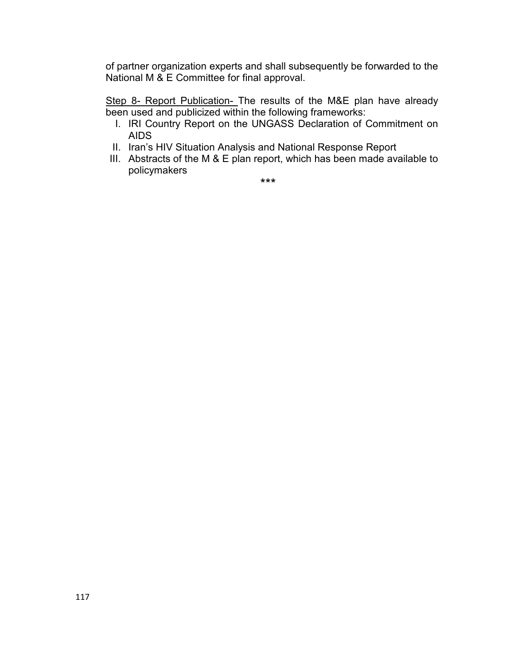of partner organization experts and shall subsequently be forwarded to the National M & E Committee for final approval.

Step 8- Report Publication- The results of the M&E plan have already been used and publicized within the following frameworks:

- I. IRI Country Report on the UNGASS Declaration of Commitment on AIDS
- II. Iran's HIV Situation Analysis and National Response Report
- III. Abstracts of the M & E plan report, which has been made available to policymakers

\*\*\*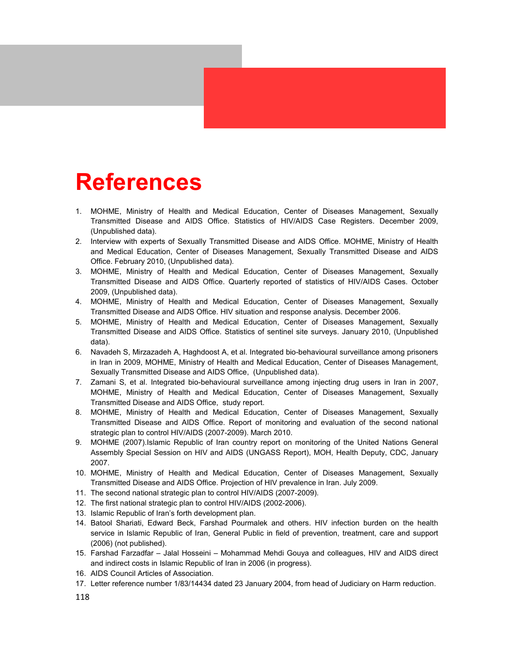## **References**

- 1. MOHME, Ministry of Health and Medical Education, Center of Diseases Management, Sexually Transmitted Disease and AIDS Office. Statistics of HIV/AIDS Case Registers. December 2009, (Unpublished data).
- 2. Interview with experts of Sexually Transmitted Disease and AIDS Office. MOHME, Ministry of Health and Medical Education, Center of Diseases Management, Sexually Transmitted Disease and AIDS Office. February 2010, (Unpublished data).
- 3. MOHME, Ministry of Health and Medical Education, Center of Diseases Management, Sexually Transmitted Disease and AIDS Office. Quarterly reported of statistics of HIV/AIDS Cases. October 2009, (Unpublished data).
- 4. MOHME, Ministry of Health and Medical Education, Center of Diseases Management, Sexually Transmitted Disease and AIDS Office. HIV situation and response analysis. December 2006.
- 5. MOHME, Ministry of Health and Medical Education, Center of Diseases Management, Sexually Transmitted Disease and AIDS Office. Statistics of sentinel site surveys. January 2010, (Unpublished data).
- 6. Navadeh S, Mirzazadeh A, Haghdoost A, et al. Integrated bio-behavioural surveillance among prisoners in Iran in 2009, MOHME, Ministry of Health and Medical Education, Center of Diseases Management, Sexually Transmitted Disease and AIDS Office, (Unpublished data).
- 7. Zamani S, et al. Integrated bio-behavioural surveillance among injecting drug users in Iran in 2007, MOHME, Ministry of Health and Medical Education, Center of Diseases Management, Sexually Transmitted Disease and AIDS Office, study report.
- 8. MOHME, Ministry of Health and Medical Education, Center of Diseases Management, Sexually Transmitted Disease and AIDS Office. Report of monitoring and evaluation of the second national strategic plan to control HIV/AIDS (2007-2009). March 2010.
- 9. MOHME (2007).Islamic Republic of Iran country report on monitoring of the United Nations General Assembly Special Session on HIV and AIDS (UNGASS Report), MOH, Health Deputy, CDC, January 2007.
- 10. MOHME, Ministry of Health and Medical Education, Center of Diseases Management, Sexually Transmitted Disease and AIDS Office. Projection of HIV prevalence in Iran. July 2009.
- 11. The second national strategic plan to control HIV/AIDS (2007-2009).
- 12. The first national strategic plan to control HIV/AIDS (2002-2006).
- 13. Islamic Republic of Iran's forth development plan.
- 14. Batool Shariati, Edward Beck, Farshad Pourmalek and others. HIV infection burden on the health service in Islamic Republic of Iran, General Public in field of prevention, treatment, care and support (2006) (not published).
- 15. Farshad Farzadfar Jalal Hosseini Mohammad Mehdi Gouya and colleagues, HIV and AIDS direct and indirect costs in Islamic Republic of Iran in 2006 (in progress).
- 16. AIDS Council Articles of Association.
- 17. Letter reference number 1/83/14434 dated 23 January 2004, from head of Judiciary on Harm reduction.